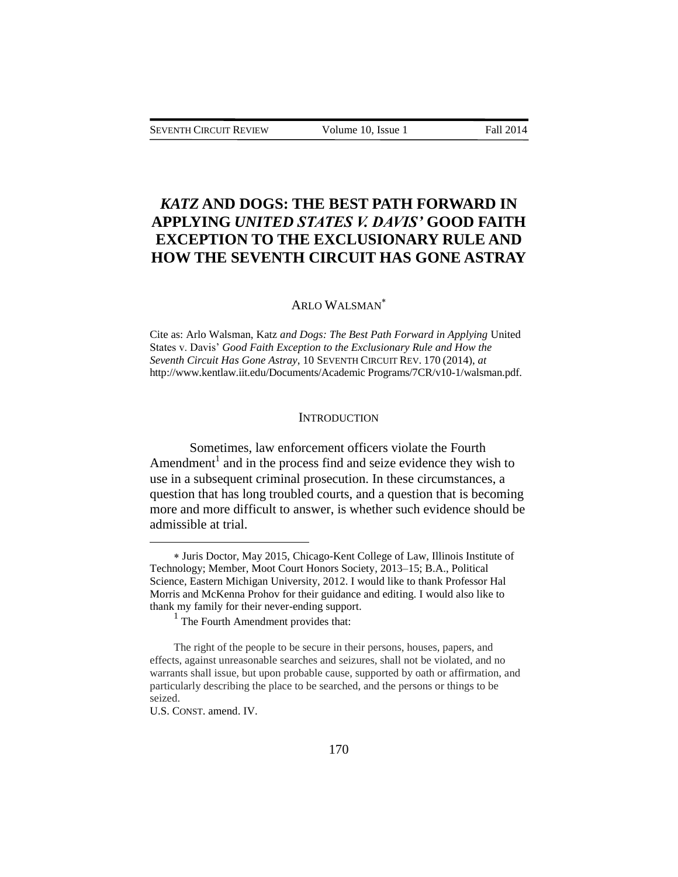# *KATZ* **AND DOGS: THE BEST PATH FORWARD IN APPLYING** *UNITED STATES V. DAVIS'* **GOOD FAITH EXCEPTION TO THE EXCLUSIONARY RULE AND HOW THE SEVENTH CIRCUIT HAS GONE ASTRAY**

#### ARLO WALSMAN

Cite as: Arlo Walsman, Katz *and Dogs: The Best Path Forward in Applying* United States v. Davis' *Good Faith Exception to the Exclusionary Rule and How the Seventh Circuit Has Gone Astray*, 10 SEVENTH CIRCUIT REV. 170 (2014), *at*  [http://www.kentlaw.iit.edu/Documents/Academic Programs/7CR/v10-1/walsman.pdf.](http://www.kentlaw.iit.edu/Documents/Academic%20Programs/7CR/v10-1/walsman.pdf)

#### **INTRODUCTION**

Sometimes, law enforcement officers violate the Fourth Amendment<sup>1</sup> and in the process find and seize evidence they wish to use in a subsequent criminal prosecution. In these circumstances, a question that has long troubled courts, and a question that is becoming more and more difficult to answer, is whether such evidence should be admissible at trial.

Juris Doctor, May 2015, Chicago-Kent College of Law, Illinois Institute of Technology; Member, Moot Court Honors Society, 2013–15; B.A., Political Science, Eastern Michigan University, 2012. I would like to thank Professor Hal Morris and McKenna Prohov for their guidance and editing. I would also like to thank my family for their never-ending support.

<sup>&</sup>lt;sup>1</sup> The Fourth Amendment provides that:

The right of the people to be secure in their persons, houses, papers, and effects, against unreasonable searches and seizures, shall not be violated, and no warrants shall issue, but upon probable cause, supported by oath or affirmation, and particularly describing the place to be searched, and the persons or things to be seized.

U.S. CONST. amend. IV.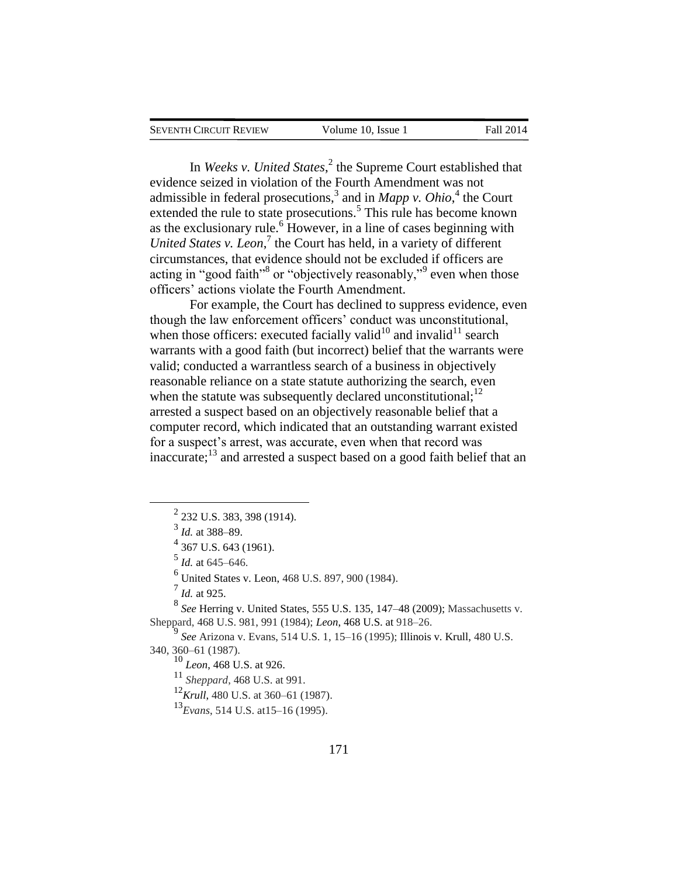| <b>SEVENTH CIRCUIT REVIEW</b> |  |  |
|-------------------------------|--|--|
|-------------------------------|--|--|

In *Weeks v. United States*,<sup>2</sup> the Supreme Court established that evidence seized in violation of the Fourth Amendment was not admissible in federal prosecutions,<sup>3</sup> and in *Mapp v. Ohio*,<sup>4</sup> the Court extended the rule to state prosecutions.<sup>5</sup> This rule has become known as the exclusionary rule.<sup>6</sup> However, in a line of cases beginning with *United States v. Leon*, 7 the Court has held, in a variety of different circumstances, that evidence should not be excluded if officers are acting in "good faith"<sup>8</sup> or "objectively reasonably,"<sup>9</sup> even when those officers' actions violate the Fourth Amendment.

For example, the Court has declined to suppress evidence, even though the law enforcement officers' conduct was unconstitutional, when those officers: executed facially valid<sup>10</sup> and invalid<sup>11</sup> search warrants with a good faith (but incorrect) belief that the warrants were valid; conducted a warrantless search of a business in objectively reasonable reliance on a state statute authorizing the search, even when the statute was subsequently declared unconstitutional; $^{12}$ arrested a suspect based on an objectively reasonable belief that a computer record, which indicated that an outstanding warrant existed for a suspect's arrest, was accurate, even when that record was inaccurate; $^{13}$  and arrested a suspect based on a good faith belief that an

 $\overline{a}$ 

<sup>4</sup> 367 U.S. 643 (1961).

5 *Id.* at 645–646.

6 United States v. Leon, 468 U.S. 897, 900 (1984).

7 *Id.* at 925.

8 *See* Herring v. United States, 555 U.S. 135, 147–48 (2009); Massachusetts v. Sheppard, 468 U.S. 981, 991 (1984); *Leon*, 468 U.S. at 918–26.

9 *See* Arizona v. Evans, 514 U.S. 1, 15–16 (1995); Illinois v. Krull, 480 U.S. 340, 360–61 (1987).

<sup>10</sup> *Leon*, 468 U.S. at 926.

<sup>11</sup> *Sheppard*, 468 U.S. at 991.

<sup>12</sup>*Krull*, 480 U.S. at 360–61 (1987).

<sup>13</sup>*Evans*, 514 U.S. at15–16 (1995).

 $^{2}$  232 U.S. 383, 398 (1914).

<sup>3</sup> *Id.* at 388–89.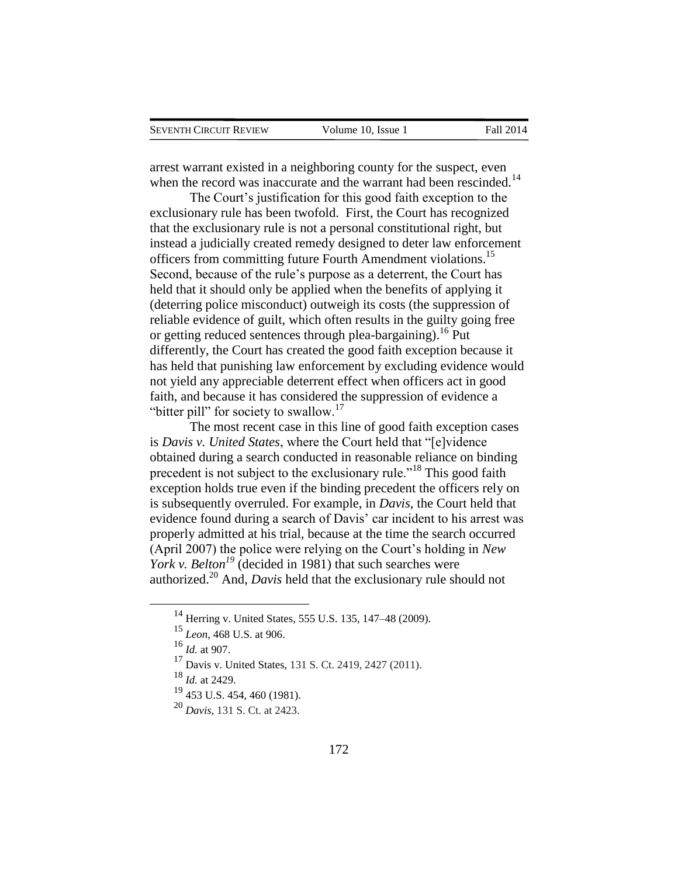arrest warrant existed in a neighboring county for the suspect, even when the record was inaccurate and the warrant had been rescinded.<sup>14</sup>

The Court's justification for this good faith exception to the exclusionary rule has been twofold. First, the Court has recognized that the exclusionary rule is not a personal constitutional right, but instead a judicially created remedy designed to deter law enforcement officers from committing future Fourth Amendment violations.<sup>15</sup> Second, because of the rule's purpose as a deterrent, the Court has held that it should only be applied when the benefits of applying it (deterring police misconduct) outweigh its costs (the suppression of reliable evidence of guilt, which often results in the guilty going free or getting reduced sentences through plea-bargaining).<sup>16</sup> Put differently, the Court has created the good faith exception because it has held that punishing law enforcement by excluding evidence would not yield any appreciable deterrent effect when officers act in good faith, and because it has considered the suppression of evidence a "bitter pill" for society to swallow. $17$ 

The most recent case in this line of good faith exception cases is *Davis v. United States*, where the Court held that "[e]vidence obtained during a search conducted in reasonable reliance on binding precedent is not subject to the exclusionary rule."<sup>18</sup> This good faith exception holds true even if the binding precedent the officers rely on is subsequently overruled. For example, in *Davis*, the Court held that evidence found during a search of Davis' car incident to his arrest was properly admitted at his trial, because at the time the search occurred (April 2007) the police were relying on the Court's holding in *New York v. Belton<sup>19</sup>* (decided in 1981) that such searches were authorized.<sup>20</sup> And, *Davis* held that the exclusionary rule should not

<sup>14</sup> Herring v. United States, 555 U.S. 135, 147–48 (2009).

<sup>15</sup> *Leon*, 468 U.S. at 906.

<sup>16</sup> *Id.* at 907.

<sup>17</sup> Davis v. United States, 131 S. Ct. 2419, 2427 (2011).

<sup>18</sup> *Id.* at 2429.

<sup>19</sup> 453 U.S. 454, 460 (1981).

<sup>20</sup> *Davis*, 131 S. Ct. at 2423.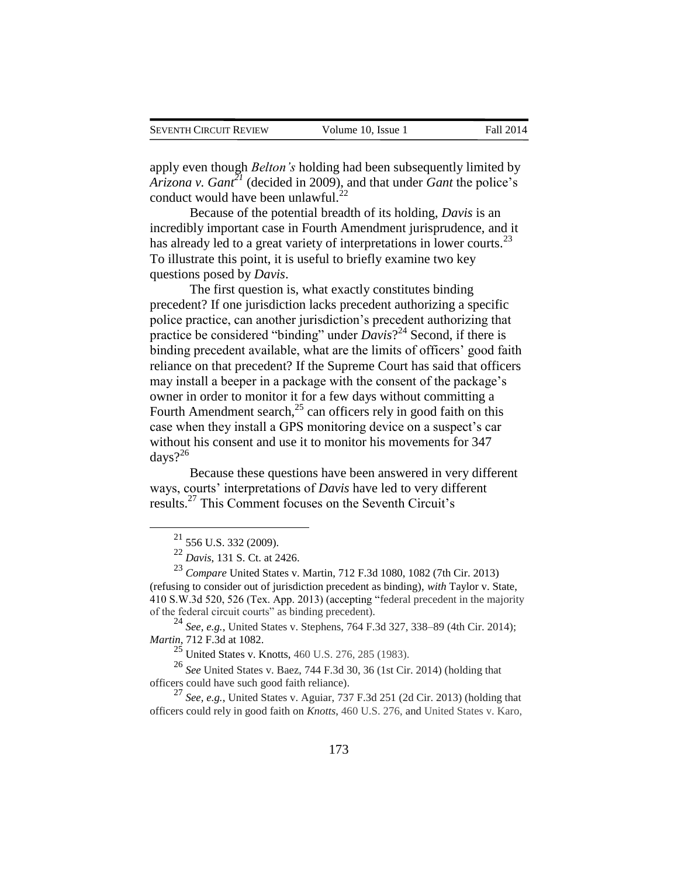apply even though *Belton's* holding had been subsequently limited by *Arizona v. Gant<sup>21</sup>* (decided in 2009), and that under *Gant* the police's conduct would have been unlawful. $^{22}$ 

Because of the potential breadth of its holding, *Davis* is an incredibly important case in Fourth Amendment jurisprudence, and it has already led to a great variety of interpretations in lower courts.<sup>23</sup> To illustrate this point, it is useful to briefly examine two key questions posed by *Davis*.

The first question is, what exactly constitutes binding precedent? If one jurisdiction lacks precedent authorizing a specific police practice, can another jurisdiction's precedent authorizing that practice be considered "binding" under *Davis*? <sup>24</sup> Second, if there is binding precedent available, what are the limits of officers' good faith reliance on that precedent? If the Supreme Court has said that officers may install a beeper in a package with the consent of the package's owner in order to monitor it for a few days without committing a Fourth Amendment search, $^{25}$  can officers rely in good faith on this case when they install a GPS monitoring device on a suspect's car without his consent and use it to monitor his movements for 347 days? $2^{26}$ 

Because these questions have been answered in very different ways, courts' interpretations of *Davis* have led to very different results.<sup>27</sup> This Comment focuses on the Seventh Circuit's

 $\overline{a}$ 

<sup>24</sup> *See, e.g.*, United States v. Stephens, 764 F.3d 327, 338–89 (4th Cir. 2014); *Martin*, 712 F.3d at 1082.

<sup>25</sup> United States v. Knotts, 460 U.S. 276, 285 (1983).

<sup>26</sup> *See* United States v. Baez, 744 F.3d 30, 36 (1st Cir. 2014) (holding that officers could have such good faith reliance).

<sup>27</sup> *See, e.g.*, United States v. Aguiar, 737 F.3d 251 (2d Cir. 2013) (holding that officers could rely in good faith on *Knotts*, 460 U.S. 276, and United States v. Karo,

 $^{21}$  556 U.S. 332 (2009).

<sup>22</sup> *Davis*, 131 S. Ct. at 2426.

<sup>23</sup> *Compare* United States v. Martin, 712 F.3d 1080, 1082 (7th Cir. 2013) (refusing to consider out of jurisdiction precedent as binding), *with* Taylor v. State, 410 S.W.3d 520, 526 (Tex. App. 2013) (accepting "federal precedent in the majority of the federal circuit courts" as binding precedent).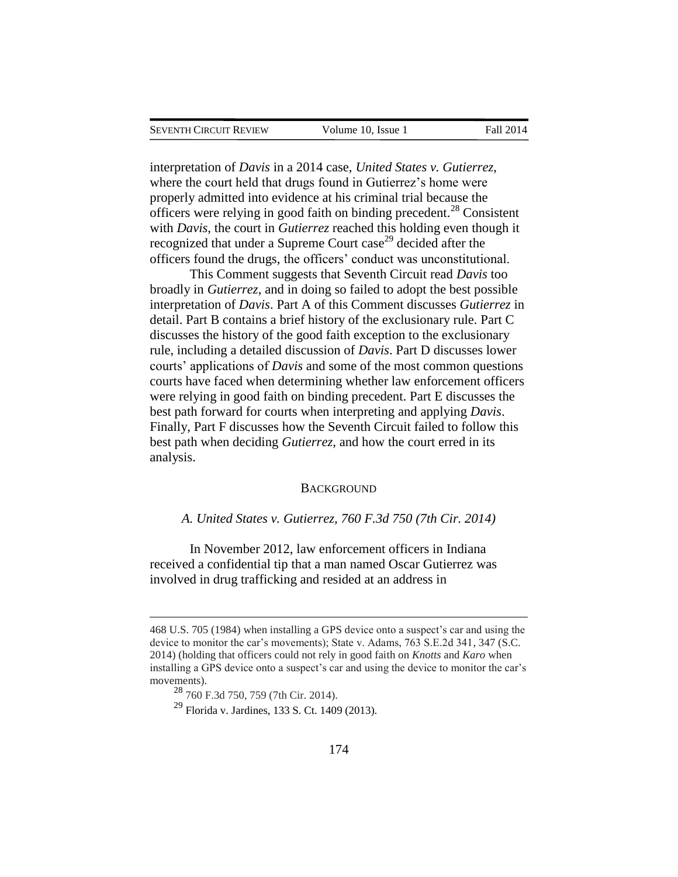interpretation of *Davis* in a 2014 case, *United States v. Gutierrez*, where the court held that drugs found in Gutierrez's home were properly admitted into evidence at his criminal trial because the officers were relying in good faith on binding precedent.<sup>28</sup> Consistent with *Davis*, the court in *Gutierrez* reached this holding even though it recognized that under a Supreme Court case<sup>29</sup> decided after the officers found the drugs, the officers' conduct was unconstitutional.

This Comment suggests that Seventh Circuit read *Davis* too broadly in *Gutierrez*, and in doing so failed to adopt the best possible interpretation of *Davis*. Part A of this Comment discusses *Gutierrez* in detail. Part B contains a brief history of the exclusionary rule. Part C discusses the history of the good faith exception to the exclusionary rule, including a detailed discussion of *Davis*. Part D discusses lower courts' applications of *Davis* and some of the most common questions courts have faced when determining whether law enforcement officers were relying in good faith on binding precedent. Part E discusses the best path forward for courts when interpreting and applying *Davis*. Finally, Part F discusses how the Seventh Circuit failed to follow this best path when deciding *Gutierrez*, and how the court erred in its analysis.

#### **BACKGROUND**

### *A. United States v. Gutierrez, 760 F.3d 750 (7th Cir. 2014)*

In November 2012, law enforcement officers in Indiana received a confidential tip that a man named Oscar Gutierrez was involved in drug trafficking and resided at an address in

<sup>468</sup> U.S. 705 (1984) when installing a GPS device onto a suspect's car and using the device to monitor the car's movements); State v. Adams, 763 S.E.2d 341, 347 (S.C. 2014) (holding that officers could not rely in good faith on *Knotts* and *Karo* when installing a GPS device onto a suspect's car and using the device to monitor the car's movements).

<sup>28</sup> 760 F.3d 750, 759 (7th Cir. 2014).

<sup>29</sup> Florida v. Jardines, 133 S. Ct. 1409 (2013).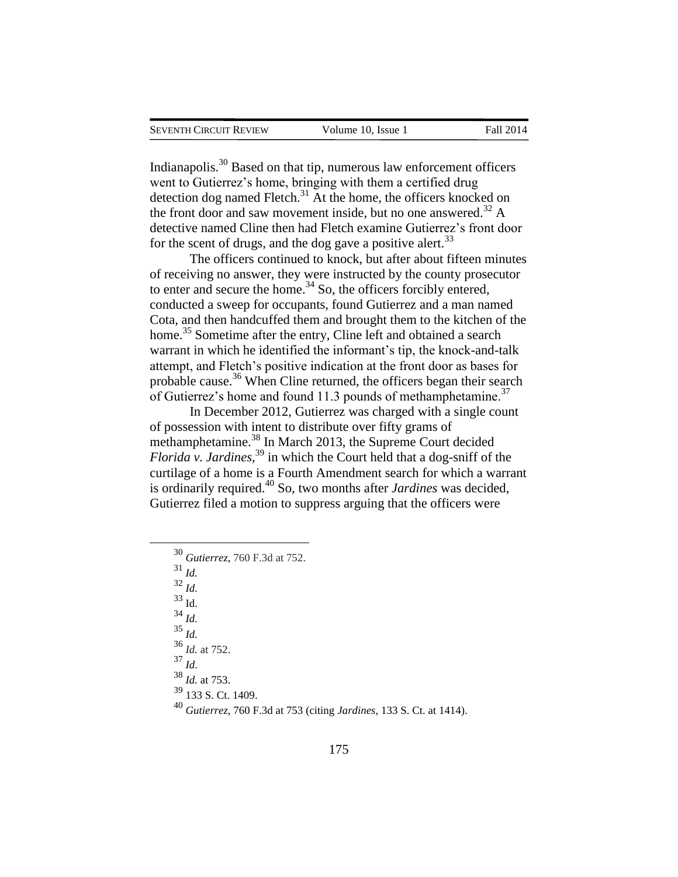Indianapolis.<sup>30</sup> Based on that tip, numerous law enforcement officers went to Gutierrez's home, bringing with them a certified drug detection dog named Fletch.<sup>31</sup> At the home, the officers knocked on the front door and saw movement inside, but no one answered.<sup>32</sup> A detective named Cline then had Fletch examine Gutierrez's front door for the scent of drugs, and the dog gave a positive alert.<sup>33</sup>

The officers continued to knock, but after about fifteen minutes of receiving no answer, they were instructed by the county prosecutor to enter and secure the home. $34$  So, the officers forcibly entered, conducted a sweep for occupants, found Gutierrez and a man named Cota, and then handcuffed them and brought them to the kitchen of the home.<sup>35</sup> Sometime after the entry, Cline left and obtained a search warrant in which he identified the informant's tip, the knock-and-talk attempt, and Fletch's positive indication at the front door as bases for probable cause.<sup>36</sup> When Cline returned, the officers began their search of Gutierrez's home and found 11.3 pounds of methamphetamine.<sup>37</sup>

In December 2012, Gutierrez was charged with a single count of possession with intent to distribute over fifty grams of methamphetamine.<sup>38</sup> In March 2013, the Supreme Court decided *Florida v. Jardines*, <sup>39</sup> in which the Court held that a dog-sniff of the curtilage of a home is a Fourth Amendment search for which a warrant is ordinarily required.<sup>40</sup> So, two months after *Jardines* was decided, Gutierrez filed a motion to suppress arguing that the officers were

- <sup>30</sup> *Gutierrez*, 760 F.3d at 752.
- <sup>31</sup> *Id.*
- <sup>32</sup> *Id.*

 $\overline{a}$ 

<sup>33</sup> Id.

- <sup>34</sup> *Id.*
- <sup>35</sup> *Id.*
- <sup>36</sup> *Id.* at 752.
- <sup>37</sup> *Id*.
- 
- <sup>38</sup> *Id.* at 753.
- <sup>39</sup> 133 S. Ct. 1409.
- <sup>40</sup> *Gutierrez*, 760 F.3d at 753 (citing *Jardines*, 133 S. Ct. at 1414).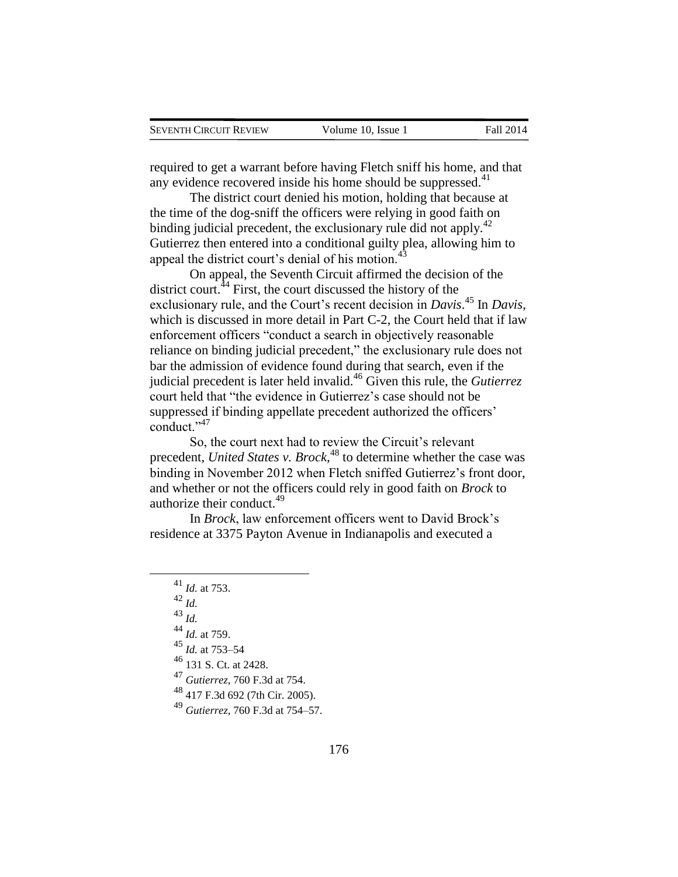required to get a warrant before having Fletch sniff his home, and that any evidence recovered inside his home should be suppressed. $41$ 

The district court denied his motion, holding that because at the time of the dog-sniff the officers were relying in good faith on binding judicial precedent, the exclusionary rule did not apply.<sup>42</sup> Gutierrez then entered into a conditional guilty plea, allowing him to appeal the district court's denial of his motion.<sup>4</sup>

On appeal, the Seventh Circuit affirmed the decision of the district court. $44$  First, the court discussed the history of the exclusionary rule, and the Court's recent decision in *Davis*. <sup>45</sup> In *Davis*, which is discussed in more detail in Part C-2, the Court held that if law enforcement officers "conduct a search in objectively reasonable reliance on binding judicial precedent," the exclusionary rule does not bar the admission of evidence found during that search, even if the judicial precedent is later held invalid.<sup>46</sup> Given this rule, the *Gutierrez* court held that "the evidence in Gutierrez's case should not be suppressed if binding appellate precedent authorized the officers' conduct." $47$ 

So, the court next had to review the Circuit's relevant precedent, *United States v. Brock*, <sup>48</sup> to determine whether the case was binding in November 2012 when Fletch sniffed Gutierrez's front door, and whether or not the officers could rely in good faith on *Brock* to authorize their conduct.<sup>49</sup>

In *Brock*, law enforcement officers went to David Brock's residence at 3375 Payton Avenue in Indianapolis and executed a

<sup>42</sup> *Id.*

 $\overline{a}$ 

- <sup>43</sup> *Id.*
- <sup>44</sup> *Id.* at 759.
- <sup>45</sup> *Id.* at 753–54
- <sup>46</sup> 131 S. Ct. at 2428.

<sup>47</sup> *Gutierrez*, 760 F.3d at 754.

<sup>48</sup> 417 F.3d 692 (7th Cir. 2005).

<sup>49</sup> *Gutierrez*, 760 F.3d at 754–57.

<sup>41</sup> *Id.* at 753.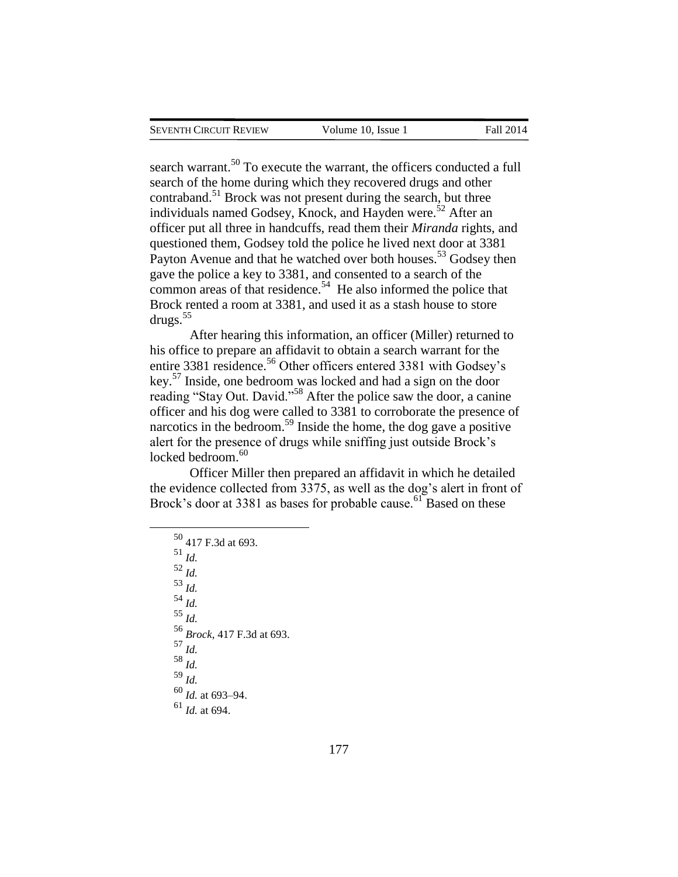search warrant.<sup>50</sup> To execute the warrant, the officers conducted a full search of the home during which they recovered drugs and other contraband.<sup>51</sup> Brock was not present during the search, but three individuals named Godsey, Knock, and Hayden were.<sup>52</sup> After an officer put all three in handcuffs, read them their *Miranda* rights, and questioned them, Godsey told the police he lived next door at 3381 Payton Avenue and that he watched over both houses.<sup>53</sup> Godsey then gave the police a key to 3381, and consented to a search of the common areas of that residence.<sup>54</sup> He also informed the police that Brock rented a room at 3381, and used it as a stash house to store drugs.<sup>55</sup>

After hearing this information, an officer (Miller) returned to his office to prepare an affidavit to obtain a search warrant for the entire 3381 residence.<sup>56</sup> Other officers entered 3381 with Godsey's key.<sup>57</sup> Inside, one bedroom was locked and had a sign on the door reading "Stay Out. David."<sup>58</sup> After the police saw the door, a canine officer and his dog were called to 3381 to corroborate the presence of narcotics in the bedroom.<sup>59</sup> Inside the home, the dog gave a positive alert for the presence of drugs while sniffing just outside Brock's  $locked$  bedroom. $60$ 

Officer Miller then prepared an affidavit in which he detailed the evidence collected from 3375, as well as the dog's alert in front of Brock's door at 3381 as bases for probable cause.<sup>61</sup> Based on these

<sup>50</sup> 417 F.3d at 693. <sup>51</sup> *Id.* <sup>52</sup> *Id.* <sup>53</sup> *Id.* <sup>54</sup> *Id.* <sup>55</sup> *Id.* <sup>56</sup> *Brock*, 417 F.3d at 693. <sup>57</sup> *Id.* <sup>58</sup> *Id.* <sup>59</sup> *Id.* <sup>60</sup> *Id.* at 693–94. <sup>61</sup> *Id.* at 694.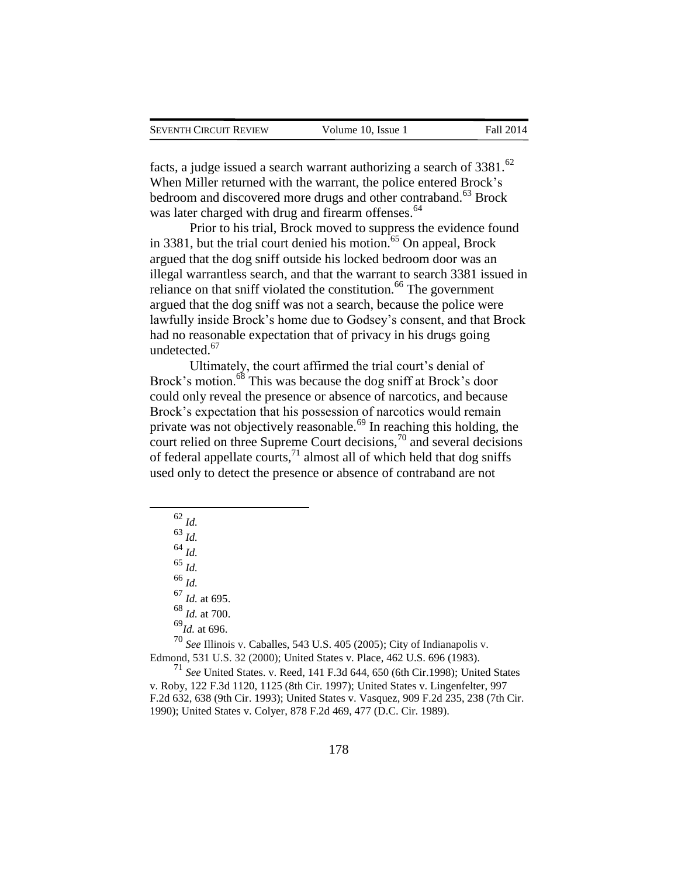facts, a judge issued a search warrant authorizing a search of  $3381$ .<sup>62</sup> When Miller returned with the warrant, the police entered Brock's bedroom and discovered more drugs and other contraband.<sup>63</sup> Brock was later charged with drug and firearm offenses.<sup>64</sup>

Prior to his trial, Brock moved to suppress the evidence found in 3381, but the trial court denied his motion.<sup>65</sup> On appeal, Brock argued that the dog sniff outside his locked bedroom door was an illegal warrantless search, and that the warrant to search 3381 issued in reliance on that sniff violated the constitution.<sup>66</sup> The government argued that the dog sniff was not a search, because the police were lawfully inside Brock's home due to Godsey's consent, and that Brock had no reasonable expectation that of privacy in his drugs going undetected.<sup>67</sup>

Ultimately, the court affirmed the trial court's denial of Brock's motion.<sup>68</sup> This was because the dog sniff at Brock's door could only reveal the presence or absence of narcotics, and because Brock's expectation that his possession of narcotics would remain private was not objectively reasonable.<sup>69</sup> In reaching this holding, the court relied on three Supreme Court decisions,<sup>70</sup> and several decisions of federal appellate courts, $^{71}$  almost all of which held that dog sniffs used only to detect the presence or absence of contraband are not

<sup>62</sup> *Id.* <sup>63</sup> *Id.* <sup>64</sup> *Id.* <sup>65</sup> *Id.* <sup>66</sup> *Id.* <sup>67</sup> *Id.* at 695. <sup>68</sup> *Id.* at 700. <sup>69</sup>*Id.* at 696.

 $\overline{a}$ 

<sup>70</sup> *See* Illinois v. Caballes, 543 U.S. 405 (2005); City of Indianapolis v. Edmond, 531 U.S. 32 (2000); United States v. Place, 462 U.S. 696 (1983).

<sup>71</sup> *See* United States. v. Reed, 141 F.3d 644, 650 (6th Cir.1998); United States v. Roby, 122 F.3d 1120, 1125 (8th Cir. 1997); United States v. Lingenfelter, 997 F.2d 632, 638 (9th Cir. 1993); United States v. Vasquez, 909 F.2d 235, 238 (7th Cir. 1990); United States v. Colyer, 878 F.2d 469, 477 (D.C. Cir. 1989).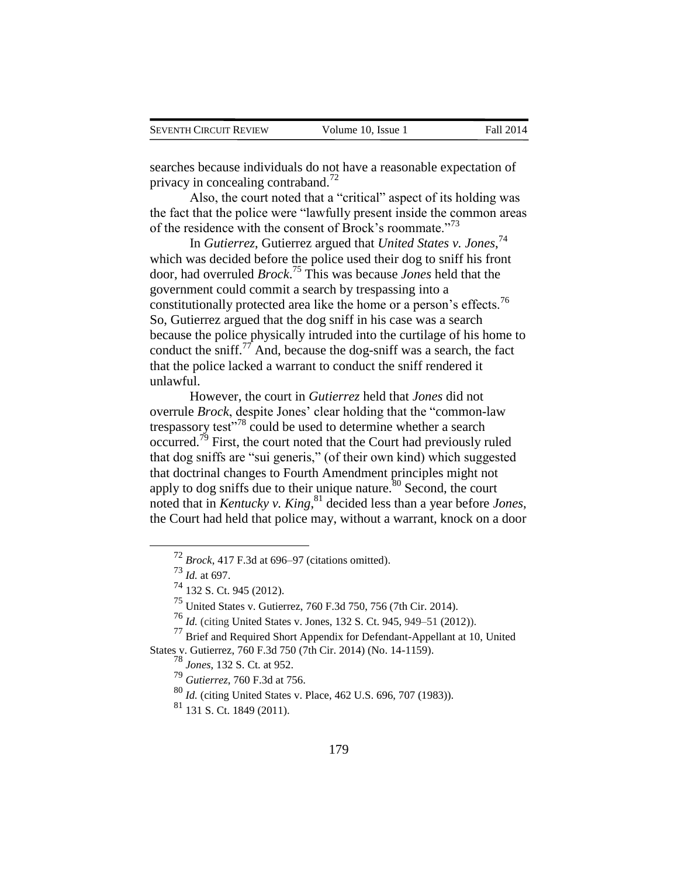searches because individuals do not have a reasonable expectation of privacy in concealing contraband.<sup>72</sup>

Also, the court noted that a "critical" aspect of its holding was the fact that the police were "lawfully present inside the common areas of the residence with the consent of Brock's roommate."<sup>73</sup>

In *Gutierrez*, Gutierrez argued that *United States v. Jones*, 74 which was decided before the police used their dog to sniff his front door, had overruled *Brock*. <sup>75</sup> This was because *Jones* held that the government could commit a search by trespassing into a constitutionally protected area like the home or a person's effects.<sup>76</sup> So, Gutierrez argued that the dog sniff in his case was a search because the police physically intruded into the curtilage of his home to conduct the sniff.<sup>77</sup> And, because the dog-sniff was a search, the fact that the police lacked a warrant to conduct the sniff rendered it unlawful.

However, the court in *Gutierrez* held that *Jones* did not overrule *Brock*, despite Jones' clear holding that the "common-law trespassory test $178$  could be used to determine whether a search occurred.<sup>79</sup> First, the court noted that the Court had previously ruled that dog sniffs are "sui generis," (of their own kind) which suggested that doctrinal changes to Fourth Amendment principles might not apply to dog sniffs due to their unique nature.<sup>80</sup> Second, the court noted that in *Kentucky v. King*, <sup>81</sup> decided less than a year before *Jones*, the Court had held that police may, without a warrant, knock on a door

<sup>72</sup> *Brock*, 417 F.3d at 696–97 (citations omitted).

<sup>73</sup> *Id.* at 697.

<sup>74</sup> 132 S. Ct. 945 (2012).

<sup>75</sup> United States v. Gutierrez, 760 F.3d 750, 756 (7th Cir. 2014).

<sup>76</sup> *Id.* (citing United States v. Jones, 132 S. Ct. 945, 949–51 (2012)).

<sup>77</sup> Brief and Required Short Appendix for Defendant-Appellant at 10, United States v. Gutierrez, 760 F.3d 750 (7th Cir. 2014) (No. 14-1159).

<sup>78</sup> *Jones*, 132 S. Ct. at 952.

<sup>79</sup> *Gutierrez*, 760 F.3d at 756.

<sup>80</sup> *Id.* (citing United States v. Place, 462 U.S. 696, 707 (1983)).

<sup>81</sup> 131 S. Ct. 1849 (2011).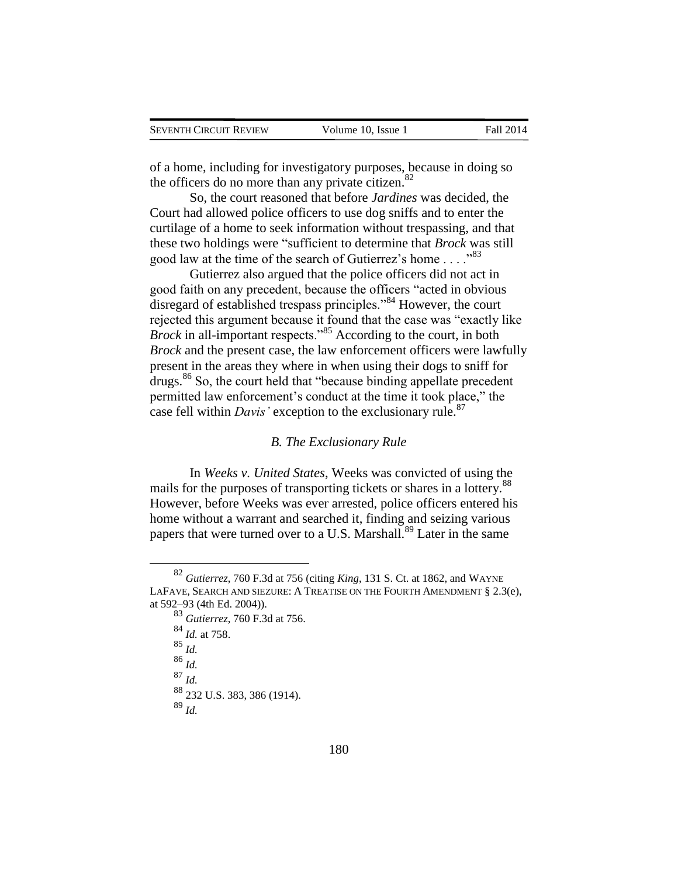of a home, including for investigatory purposes, because in doing so the officers do no more than any private citizen.<sup>82</sup>

So, the court reasoned that before *Jardines* was decided, the Court had allowed police officers to use dog sniffs and to enter the curtilage of a home to seek information without trespassing, and that these two holdings were "sufficient to determine that *Brock* was still good law at the time of the search of Gutierrez's home . . . ."<sup>83</sup>

Gutierrez also argued that the police officers did not act in good faith on any precedent, because the officers "acted in obvious disregard of established trespass principles."<sup>84</sup> However, the court rejected this argument because it found that the case was "exactly like *Brock* in all-important respects."<sup>85</sup> According to the court, in both *Brock* and the present case, the law enforcement officers were lawfully present in the areas they where in when using their dogs to sniff for drugs.<sup>86</sup> So, the court held that "because binding appellate precedent permitted law enforcement's conduct at the time it took place," the case fell within *Davis'* exception to the exclusionary rule.<sup>87</sup>

#### *B. The Exclusionary Rule*

In *Weeks v. United States*, Weeks was convicted of using the mails for the purposes of transporting tickets or shares in a lottery.<sup>88</sup> However, before Weeks was ever arrested, police officers entered his home without a warrant and searched it, finding and seizing various papers that were turned over to a U.S. Marshall.<sup>89</sup> Later in the same

<sup>83</sup> *Gutierrez*, 760 F.3d at 756. <sup>84</sup> *Id.* at 758. <sup>85</sup> *Id.* <sup>86</sup> *Id.* <sup>87</sup> *Id.* <sup>88</sup> 232 U.S. 383, 386 (1914). <sup>89</sup> *Id.*

<sup>82</sup> *Gutierrez*, 760 F.3d at 756 (citing *King*, 131 S. Ct. at 1862, and WAYNE LAFAVE, SEARCH AND SIEZURE: A TREATISE ON THE FOURTH AMENDMENT § 2.3(e), at 592–93 (4th Ed. 2004)).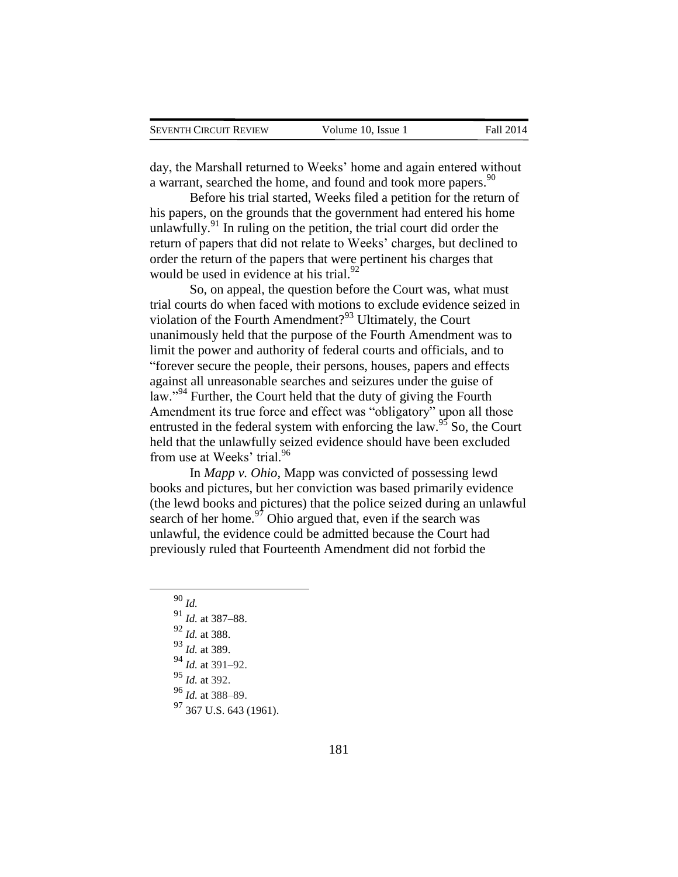day, the Marshall returned to Weeks' home and again entered without a warrant, searched the home, and found and took more papers.<sup>90</sup>

Before his trial started, Weeks filed a petition for the return of his papers, on the grounds that the government had entered his home unlawfully.<sup>91</sup> In ruling on the petition, the trial court did order the return of papers that did not relate to Weeks' charges, but declined to order the return of the papers that were pertinent his charges that would be used in evidence at his trial. $92$ 

So, on appeal, the question before the Court was, what must trial courts do when faced with motions to exclude evidence seized in violation of the Fourth Amendment?<sup>93</sup> Ultimately, the Court unanimously held that the purpose of the Fourth Amendment was to limit the power and authority of federal courts and officials, and to "forever secure the people, their persons, houses, papers and effects against all unreasonable searches and seizures under the guise of law."<sup>94</sup> Further, the Court held that the duty of giving the Fourth Amendment its true force and effect was "obligatory" upon all those entrusted in the federal system with enforcing the law.<sup>95</sup> So, the Court held that the unlawfully seized evidence should have been excluded from use at Weeks' trial.<sup>96</sup>

In *Mapp v. Ohio*, Mapp was convicted of possessing lewd books and pictures, but her conviction was based primarily evidence (the lewd books and pictures) that the police seized during an unlawful search of her home.<sup>97</sup> Ohio argued that, even if the search was unlawful, the evidence could be admitted because the Court had previously ruled that Fourteenth Amendment did not forbid the

- <sup>94</sup> *Id.* at 391–92.
- <sup>95</sup> *Id.* at 392.
- <sup>96</sup> *Id.* at 388–89.
- <sup>97</sup> 367 U.S. 643 (1961).

<sup>90</sup> *Id.*

<sup>91</sup> *Id.* at 387–88. <sup>92</sup> *Id.* at 388.

<sup>93</sup> *Id.* at 389.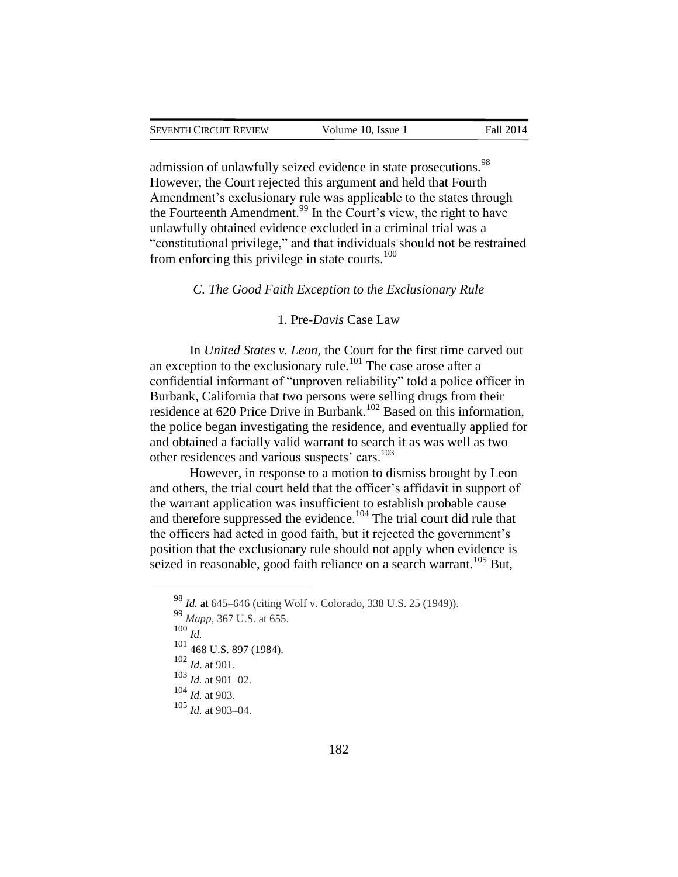admission of unlawfully seized evidence in state prosecutions.<sup>98</sup> However, the Court rejected this argument and held that Fourth Amendment's exclusionary rule was applicable to the states through the Fourteenth Amendment.<sup>99</sup> In the Court's view, the right to have unlawfully obtained evidence excluded in a criminal trial was a "constitutional privilege," and that individuals should not be restrained from enforcing this privilege in state courts. $100$ 

#### *C. The Good Faith Exception to the Exclusionary Rule*

#### 1. Pre-*Davis* Case Law

In *United States v. Leon*, the Court for the first time carved out an exception to the exclusionary rule.<sup>101</sup> The case arose after a confidential informant of "unproven reliability" told a police officer in Burbank, California that two persons were selling drugs from their residence at 620 Price Drive in Burbank.<sup>102</sup> Based on this information, the police began investigating the residence, and eventually applied for and obtained a facially valid warrant to search it as was well as two other residences and various suspects' cars.<sup>103</sup>

However, in response to a motion to dismiss brought by Leon and others, the trial court held that the officer's affidavit in support of the warrant application was insufficient to establish probable cause and therefore suppressed the evidence.<sup>104</sup> The trial court did rule that the officers had acted in good faith, but it rejected the government's position that the exclusionary rule should not apply when evidence is seized in reasonable, good faith reliance on a search warrant.<sup>105</sup> But,

<sup>98</sup> *Id.* at 645–646 (citing Wolf v. Colorado, 338 U.S. 25 (1949)).

<sup>99</sup> *Mapp*, 367 U.S. at 655.

<sup>100</sup> *Id.*

<sup>101</sup> 468 U.S. 897 (1984).

<sup>102</sup> *Id*. at 901.

 $103$  *Id.* at 901–02.

<sup>104</sup> *Id.* at 903.

<sup>105</sup> *Id.* at 903–04.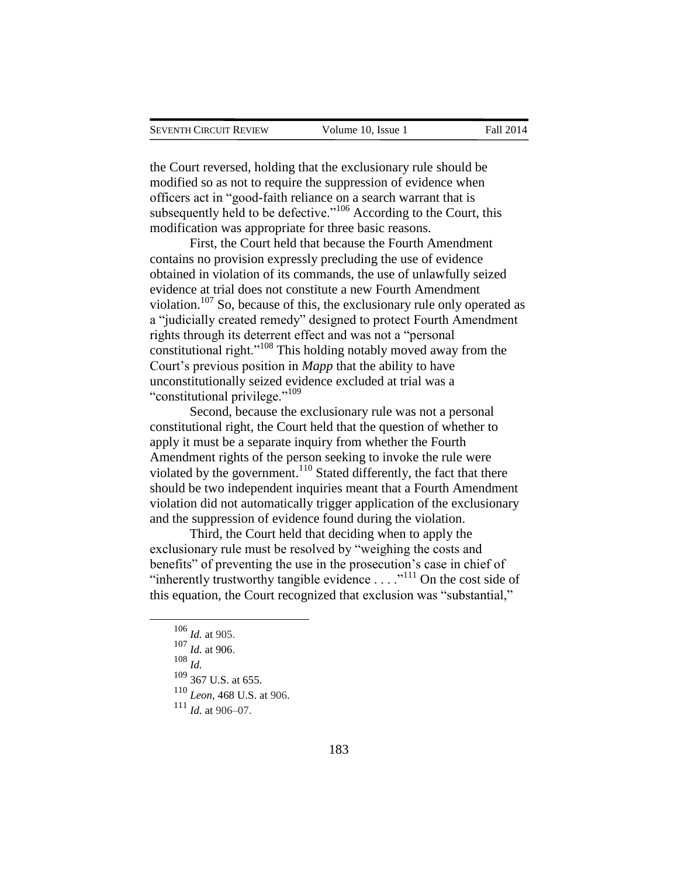the Court reversed, holding that the exclusionary rule should be modified so as not to require the suppression of evidence when officers act in "good-faith reliance on a search warrant that is subsequently held to be defective."<sup>106</sup> According to the Court, this modification was appropriate for three basic reasons.

First, the Court held that because the Fourth Amendment contains no provision expressly precluding the use of evidence obtained in violation of its commands, the use of unlawfully seized evidence at trial does not constitute a new Fourth Amendment violation.<sup>107</sup> So, because of this, the exclusionary rule only operated as a "judicially created remedy" designed to protect Fourth Amendment rights through its deterrent effect and was not a "personal constitutional right."<sup>108</sup> This holding notably moved away from the Court's previous position in *Mapp* that the ability to have unconstitutionally seized evidence excluded at trial was a "constitutional privilege."<sup>109</sup>

Second, because the exclusionary rule was not a personal constitutional right, the Court held that the question of whether to apply it must be a separate inquiry from whether the Fourth Amendment rights of the person seeking to invoke the rule were violated by the government.<sup>110</sup> Stated differently, the fact that there should be two independent inquiries meant that a Fourth Amendment violation did not automatically trigger application of the exclusionary and the suppression of evidence found during the violation.

Third, the Court held that deciding when to apply the exclusionary rule must be resolved by "weighing the costs and benefits" of preventing the use in the prosecution's case in chief of "inherently trustworthy tangible evidence  $\ldots$  ..."<sup>111</sup> On the cost side of this equation, the Court recognized that exclusion was "substantial,"

<sup>106</sup> *Id.* at 905.

<sup>107</sup> *Id.* at 906.

<sup>108</sup> *Id.*

 $109$  367 U.S. at 655.

<sup>110</sup> *Leon*, 468 U.S. at 906.

<sup>111</sup> *Id.* at 906–07.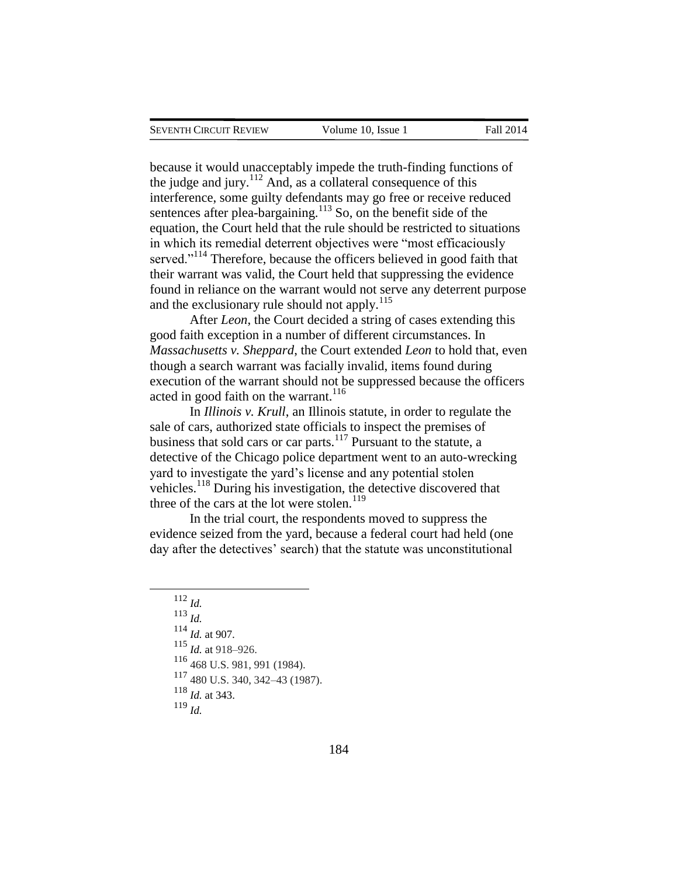because it would unacceptably impede the truth-finding functions of the judge and jury.<sup>112</sup> And, as a collateral consequence of this interference, some guilty defendants may go free or receive reduced sentences after plea-bargaining.<sup>113</sup> So, on the benefit side of the equation, the Court held that the rule should be restricted to situations in which its remedial deterrent objectives were "most efficaciously served."<sup>114</sup> Therefore, because the officers believed in good faith that their warrant was valid, the Court held that suppressing the evidence found in reliance on the warrant would not serve any deterrent purpose and the exclusionary rule should not apply.<sup>115</sup>

After *Leon*, the Court decided a string of cases extending this good faith exception in a number of different circumstances. In *Massachusetts v. Sheppard*, the Court extended *Leon* to hold that, even though a search warrant was facially invalid, items found during execution of the warrant should not be suppressed because the officers acted in good faith on the warrant.<sup>116</sup>

In *Illinois v. Krull*, an Illinois statute, in order to regulate the sale of cars, authorized state officials to inspect the premises of business that sold cars or car parts.<sup>117</sup> Pursuant to the statute, a detective of the Chicago police department went to an auto-wrecking yard to investigate the yard's license and any potential stolen vehicles.<sup>118</sup> During his investigation, the detective discovered that three of the cars at the lot were stolen.<sup>119</sup>

In the trial court, the respondents moved to suppress the evidence seized from the yard, because a federal court had held (one day after the detectives' search) that the statute was unconstitutional

<sup>112</sup> *Id.* <sup>113</sup> *Id. Id.* at 907*. Id.* at 918–926. 468 U.S. 981, 991 (1984). 480 U.S. 340, 342–43 (1987). *Id.* at 343.  $119 \frac{10}{1}$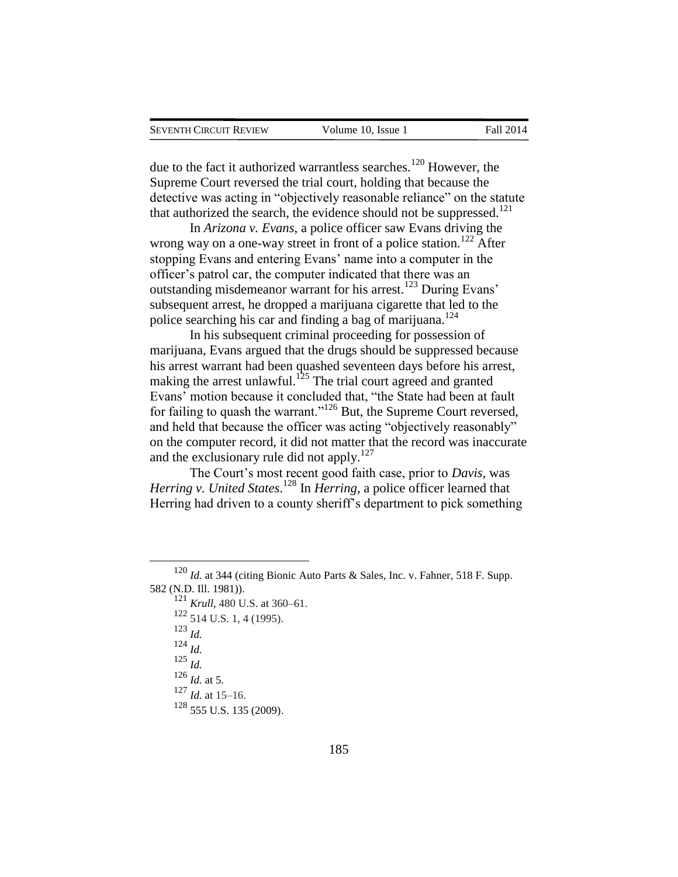due to the fact it authorized warrantless searches.<sup>120</sup> However, the Supreme Court reversed the trial court, holding that because the detective was acting in "objectively reasonable reliance" on the statute that authorized the search, the evidence should not be suppressed. $^{121}$ 

In *Arizona v. Evans*, a police officer saw Evans driving the wrong way on a one-way street in front of a police station.<sup>122</sup> After stopping Evans and entering Evans' name into a computer in the officer's patrol car, the computer indicated that there was an outstanding misdemeanor warrant for his arrest.<sup>123</sup> During Evans' subsequent arrest, he dropped a marijuana cigarette that led to the police searching his car and finding a bag of marijuana.<sup>124</sup>

In his subsequent criminal proceeding for possession of marijuana, Evans argued that the drugs should be suppressed because his arrest warrant had been quashed seventeen days before his arrest, making the arrest unlawful.<sup>125</sup> The trial court agreed and granted Evans' motion because it concluded that, "the State had been at fault for failing to quash the warrant."<sup>126</sup> But, the Supreme Court reversed, and held that because the officer was acting "objectively reasonably" on the computer record, it did not matter that the record was inaccurate and the exclusionary rule did not apply. $127$ 

The Court's most recent good faith case, prior to *Davis*, was *Herring v. United States*. <sup>128</sup> In *Herring*, a police officer learned that Herring had driven to a county sheriff's department to pick something

<sup>120</sup> *Id.* at 344 (citing Bionic Auto Parts & Sales, Inc. v. Fahner, 518 F. Supp. 582 (N.D. Ill. 1981)).

<sup>&</sup>lt;sup>121</sup> *Krull*, 480 U.S. at 360–61.

<sup>122</sup> 514 U.S. 1, 4 (1995).

<sup>123</sup> *Id.*

<sup>124</sup> *Id.*

<sup>125</sup> *Id.*

<sup>126</sup> *Id.* at 5.

 $127$  *Id.* at 15–16.

<sup>128</sup> 555 U.S. 135 (2009).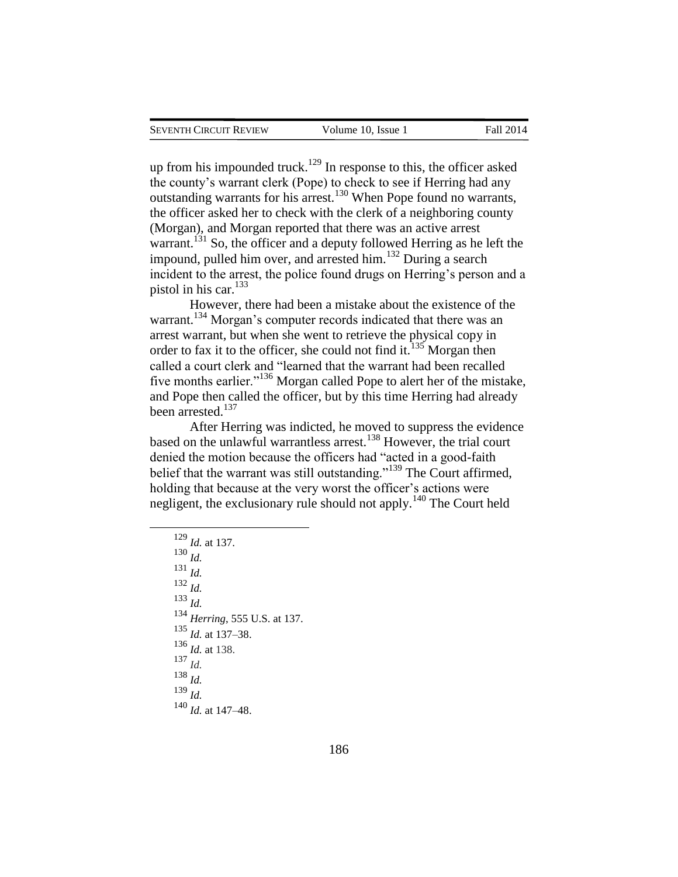up from his impounded truck.<sup>129</sup> In response to this, the officer asked the county's warrant clerk (Pope) to check to see if Herring had any outstanding warrants for his arrest.<sup>130</sup> When Pope found no warrants, the officer asked her to check with the clerk of a neighboring county (Morgan), and Morgan reported that there was an active arrest warrant.<sup>131</sup> So, the officer and a deputy followed Herring as he left the impound, pulled him over, and arrested him.<sup>132</sup> During a search incident to the arrest, the police found drugs on Herring's person and a pistol in his car.<sup>133</sup>

However, there had been a mistake about the existence of the warrant.<sup>134</sup> Morgan's computer records indicated that there was an arrest warrant, but when she went to retrieve the physical copy in order to fax it to the officer, she could not find it.<sup>135</sup> Morgan then called a court clerk and "learned that the warrant had been recalled five months earlier."<sup>136</sup> Morgan called Pope to alert her of the mistake, and Pope then called the officer, but by this time Herring had already been arrested.<sup>137</sup>

After Herring was indicted, he moved to suppress the evidence based on the unlawful warrantless arrest.<sup>138</sup> However, the trial court denied the motion because the officers had "acted in a good-faith belief that the warrant was still outstanding."<sup>139</sup> The Court affirmed, holding that because at the very worst the officer's actions were negligent, the exclusionary rule should not apply.<sup>140</sup> The Court held

<sup>129</sup> *Id.* at 137. <sup>130</sup> *Id.* <sup>131</sup> *Id.* <sup>132</sup> *Id.* <sup>133</sup> *Id.* <sup>134</sup> *Herring*, 555 U.S. at 137. <sup>135</sup> *Id.* at 137–38. <sup>136</sup> *Id.* at 138. <sup>137</sup> *Id.* <sup>138</sup> *Id.* <sup>139</sup> *Id.* <sup>140</sup> *Id.* at 147–48.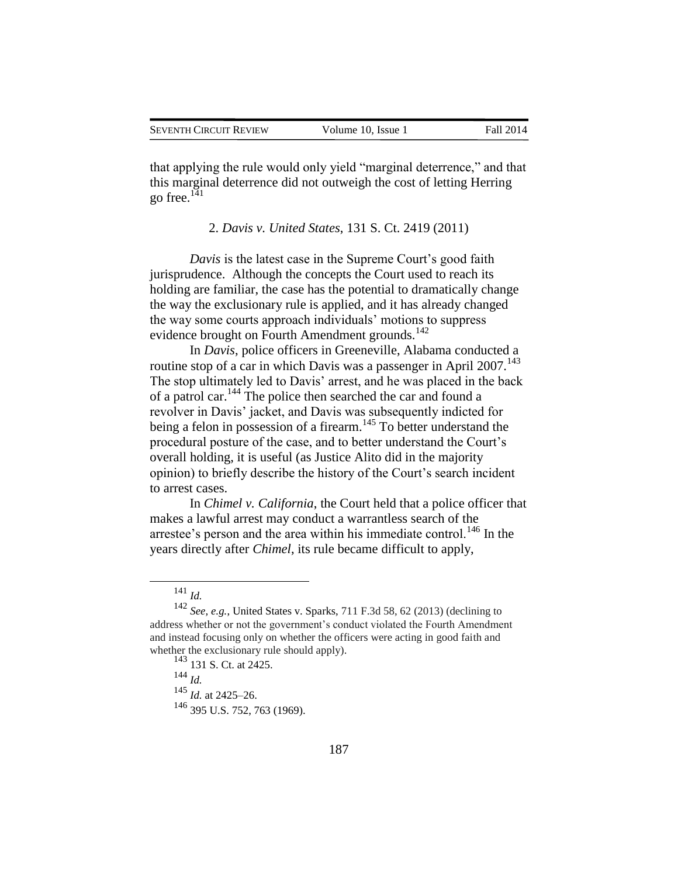that applying the rule would only yield "marginal deterrence," and that this marginal deterrence did not outweigh the cost of letting Herring go free. $141$ 

2. *Davis v. United States*, 131 S. Ct. 2419 (2011)

*Davis* is the latest case in the Supreme Court's good faith jurisprudence. Although the concepts the Court used to reach its holding are familiar, the case has the potential to dramatically change the way the exclusionary rule is applied, and it has already changed the way some courts approach individuals' motions to suppress evidence brought on Fourth Amendment grounds. $^{142}$ 

In *Davis*, police officers in Greeneville, Alabama conducted a routine stop of a car in which Davis was a passenger in April 2007.<sup>143</sup> The stop ultimately led to Davis' arrest, and he was placed in the back of a patrol car.<sup>144</sup> The police then searched the car and found a revolver in Davis' jacket, and Davis was subsequently indicted for being a felon in possession of a firearm.<sup>145</sup> To better understand the procedural posture of the case, and to better understand the Court's overall holding, it is useful (as Justice Alito did in the majority opinion) to briefly describe the history of the Court's search incident to arrest cases.

In *Chimel v. California*, the Court held that a police officer that makes a lawful arrest may conduct a warrantless search of the arrestee's person and the area within his immediate control.<sup>146</sup> In the years directly after *Chimel*, its rule became difficult to apply,

 $\overline{a}$ 

<sup>144</sup> *Id.*

<sup>141</sup> *Id.*

<sup>142</sup> *See, e.g.*, United States v. Sparks, 711 F.3d 58, 62 (2013) (declining to address whether or not the government's conduct violated the Fourth Amendment and instead focusing only on whether the officers were acting in good faith and whether the exclusionary rule should apply).

<sup>143</sup> 131 S. Ct. at 2425.

<sup>145</sup> *Id.* at 2425–26.

<sup>146</sup> 395 U.S. 752, 763 (1969).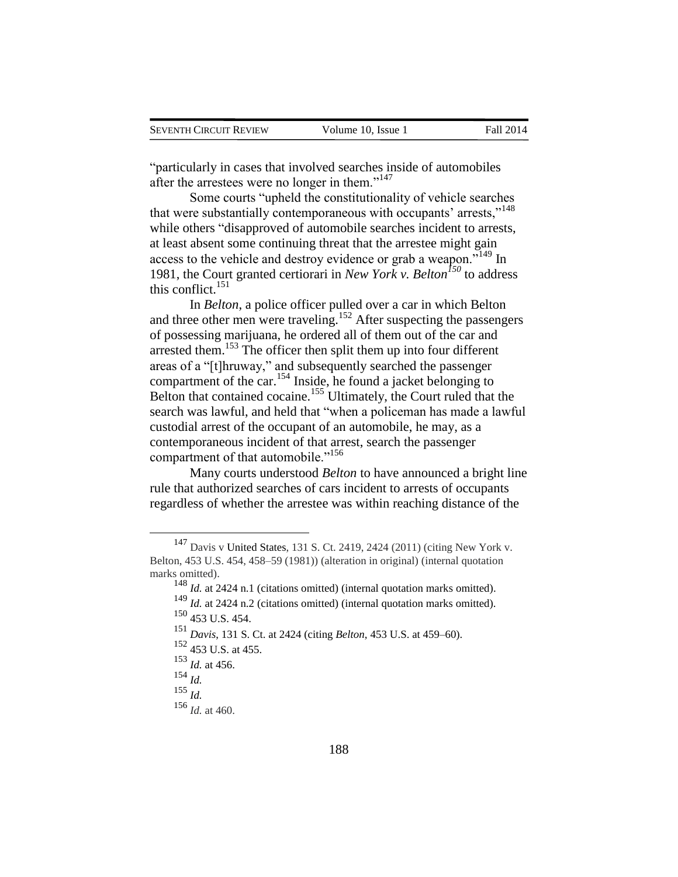"particularly in cases that involved searches inside of automobiles after the arrestees were no longer in them."<sup>147</sup>

Some courts "upheld the constitutionality of vehicle searches that were substantially contemporaneous with occupants' arrests,"<sup>148</sup> while others "disapproved of automobile searches incident to arrests, at least absent some continuing threat that the arrestee might gain access to the vehicle and destroy evidence or grab a weapon."<sup>149</sup> In 1981, the Court granted certiorari in *New York v. Belton<sup>150</sup>* to address this conflict. $151$ 

In *Belton*, a police officer pulled over a car in which Belton and three other men were traveling.<sup>152</sup> After suspecting the passengers of possessing marijuana, he ordered all of them out of the car and arrested them.<sup>153</sup> The officer then split them up into four different areas of a "[t]hruway," and subsequently searched the passenger compartment of the car.<sup>154</sup> Inside, he found a jacket belonging to Belton that contained cocaine.<sup>155</sup> Ultimately, the Court ruled that the search was lawful, and held that "when a policeman has made a lawful custodial arrest of the occupant of an automobile, he may, as a contemporaneous incident of that arrest, search the passenger compartment of that automobile."<sup>156</sup>

Many courts understood *Belton* to have announced a bright line rule that authorized searches of cars incident to arrests of occupants regardless of whether the arrestee was within reaching distance of the

<sup>147</sup> Davis v United States, 131 S. Ct. 2419, 2424 (2011) (citing New York v. Belton, 453 U.S. 454, 458–59 (1981)) (alteration in original) (internal quotation marks omitted).

<sup>&</sup>lt;sup>148</sup> *Id.* at 2424 n.1 (citations omitted) (internal quotation marks omitted). <sup>149</sup> *Id.* at 2424 n.2 (citations omitted) (internal quotation marks omitted). <sup>150</sup> 453 U.S. 454.

<sup>151</sup> *Davis*, 131 S. Ct. at 2424 (citing *Belton*, 453 U.S. at 459–60).

<sup>152</sup> 453 U.S. at 455.

 $^{153}$  *Id.* at 456.

<sup>154</sup> *Id.*

<sup>155</sup> *Id.*

<sup>156</sup> *Id.* at 460.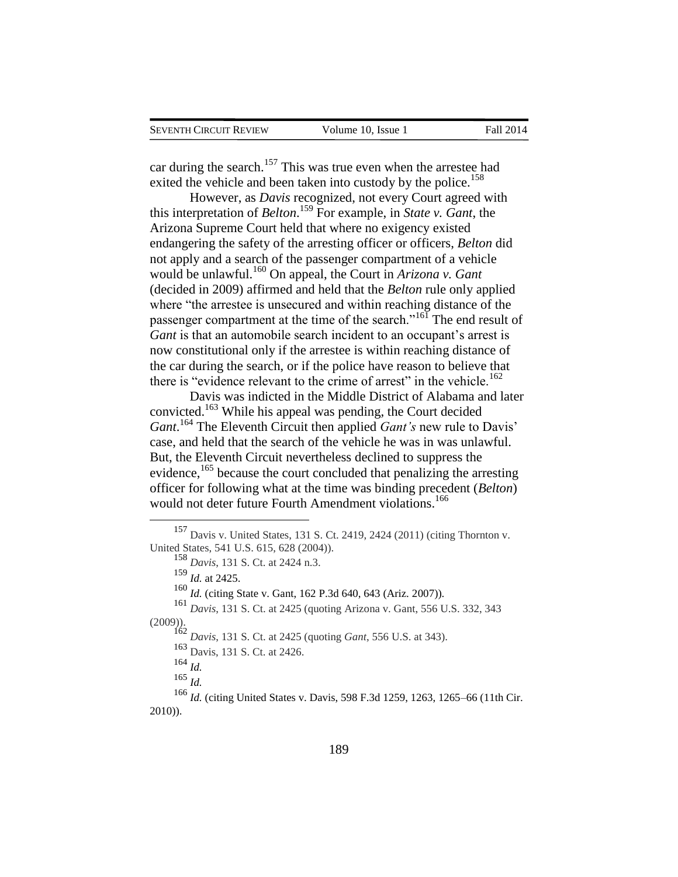car during the search.<sup>157</sup> This was true even when the arrestee had exited the vehicle and been taken into custody by the police.<sup>158</sup>

However, as *Davis* recognized, not every Court agreed with this interpretation of *Belton*. <sup>159</sup> For example, in *State v. Gant*, the Arizona Supreme Court held that where no exigency existed endangering the safety of the arresting officer or officers, *Belton* did not apply and a search of the passenger compartment of a vehicle would be unlawful.<sup>160</sup> On appeal, the Court in *Arizona v. Gant* (decided in 2009) affirmed and held that the *Belton* rule only applied where "the arrestee is unsecured and within reaching distance of the passenger compartment at the time of the search."<sup>161</sup> The end result of *Gant* is that an automobile search incident to an occupant's arrest is now constitutional only if the arrestee is within reaching distance of the car during the search, or if the police have reason to believe that there is "evidence relevant to the crime of arrest" in the vehicle.<sup>162</sup>

Davis was indicted in the Middle District of Alabama and later convicted.<sup>163</sup> While his appeal was pending, the Court decided *Gant*. <sup>164</sup> The Eleventh Circuit then applied *Gant's* new rule to Davis' case, and held that the search of the vehicle he was in was unlawful. But, the Eleventh Circuit nevertheless declined to suppress the evidence,<sup>165</sup> because the court concluded that penalizing the arresting officer for following what at the time was binding precedent (*Belton*) would not deter future Fourth Amendment violations.<sup>166</sup>

<sup>160</sup> *Id.* (citing State v. Gant, 162 P.3d 640, 643 (Ariz. 2007)).

<sup>164</sup> *Id.*

 $\overline{a}$ 

<sup>165</sup> *Id.*

<sup>157</sup> Davis v. United States, 131 S. Ct. 2419, 2424 (2011) (citing Thornton v. United States, 541 U.S. 615, 628 (2004)).

<sup>158</sup> *Davis*, 131 S. Ct. at 2424 n.3.

<sup>159</sup> *Id.* at 2425.

<sup>161</sup> *Davis*, 131 S. Ct. at 2425 (quoting Arizona v. Gant, 556 U.S. 332, 343 (2009)).

<sup>162</sup> *Davis*, 131 S. Ct. at 2425 (quoting *Gant*, 556 U.S. at 343).

<sup>163</sup> Davis, 131 S. Ct. at 2426.

<sup>166</sup> *Id.* (citing United States v. Davis, 598 F.3d 1259, 1263, 1265–66 (11th Cir. 2010)).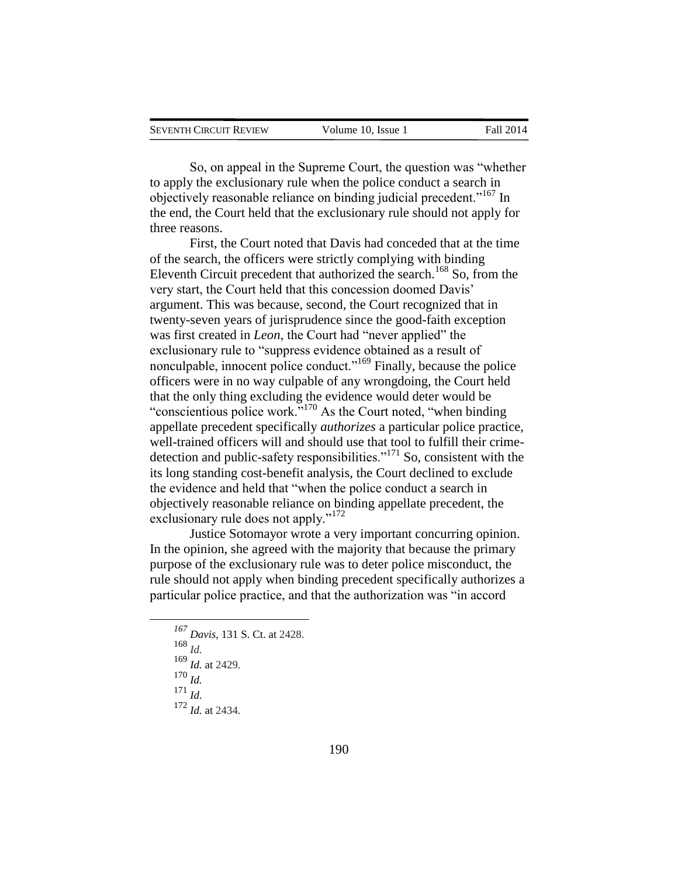| SEVENTH CIRCUIT REVIEW | Volume 10, Issue 1 | <b>Fall 2014</b> |
|------------------------|--------------------|------------------|
|                        |                    |                  |

So, on appeal in the Supreme Court, the question was "whether to apply the exclusionary rule when the police conduct a search in objectively reasonable reliance on binding judicial precedent."<sup>167</sup> In the end, the Court held that the exclusionary rule should not apply for three reasons.

First, the Court noted that Davis had conceded that at the time of the search, the officers were strictly complying with binding Eleventh Circuit precedent that authorized the search.<sup>168</sup> So, from the very start, the Court held that this concession doomed Davis' argument. This was because, second, the Court recognized that in twenty-seven years of jurisprudence since the good-faith exception was first created in *Leon*, the Court had "never applied" the exclusionary rule to "suppress evidence obtained as a result of nonculpable, innocent police conduct."<sup>169</sup> Finally, because the police officers were in no way culpable of any wrongdoing, the Court held that the only thing excluding the evidence would deter would be "conscientious police work."<sup>170</sup> As the Court noted, "when binding appellate precedent specifically *authorizes* a particular police practice, well-trained officers will and should use that tool to fulfill their crimedetection and public-safety responsibilities."<sup>171</sup> So, consistent with the its long standing cost-benefit analysis, the Court declined to exclude the evidence and held that "when the police conduct a search in objectively reasonable reliance on binding appellate precedent, the exclusionary rule does not apply."<sup>172</sup>

Justice Sotomayor wrote a very important concurring opinion. In the opinion, she agreed with the majority that because the primary purpose of the exclusionary rule was to deter police misconduct, the rule should not apply when binding precedent specifically authorizes a particular police practice, and that the authorization was "in accord

<sup>168</sup> *Id.*

 $\overline{a}$ 

<sup>170</sup> *Id.*

<sup>171</sup> *Id*.

<sup>172</sup> *Id.* at 2434.

*<sup>167</sup> Davis*, 131 S. Ct. at 2428.

<sup>169</sup> *Id.* at 2429.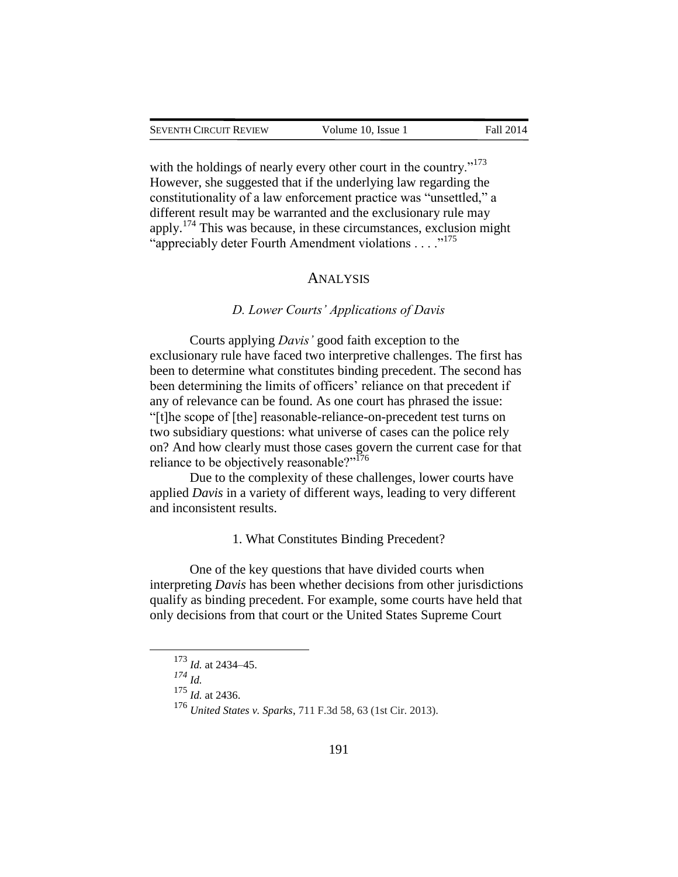with the holdings of nearly every other court in the country."<sup>173</sup> However, she suggested that if the underlying law regarding the constitutionality of a law enforcement practice was "unsettled," a different result may be warranted and the exclusionary rule may apply.<sup>174</sup> This was because, in these circumstances, exclusion might "appreciably deter Fourth Amendment violations . . . . .<sup>175</sup>

### ANALYSIS

#### *D. Lower Courts' Applications of Davis*

Courts applying *Davis'* good faith exception to the exclusionary rule have faced two interpretive challenges. The first has been to determine what constitutes binding precedent. The second has been determining the limits of officers' reliance on that precedent if any of relevance can be found. As one court has phrased the issue: "[t]he scope of [the] reasonable-reliance-on-precedent test turns on two subsidiary questions: what universe of cases can the police rely on? And how clearly must those cases govern the current case for that reliance to be objectively reasonable?"<sup>176</sup>

Due to the complexity of these challenges, lower courts have applied *Davis* in a variety of different ways, leading to very different and inconsistent results.

1. What Constitutes Binding Precedent?

One of the key questions that have divided courts when interpreting *Davis* has been whether decisions from other jurisdictions qualify as binding precedent. For example, some courts have held that only decisions from that court or the United States Supreme Court

*<sup>174</sup> Id.*

 $\overline{a}$ 

<sup>175</sup> *Id.* at 2436.

<sup>173</sup> *Id.* at 2434–45.

<sup>176</sup> *United States v. Sparks*, 711 F.3d 58, 63 (1st Cir. 2013).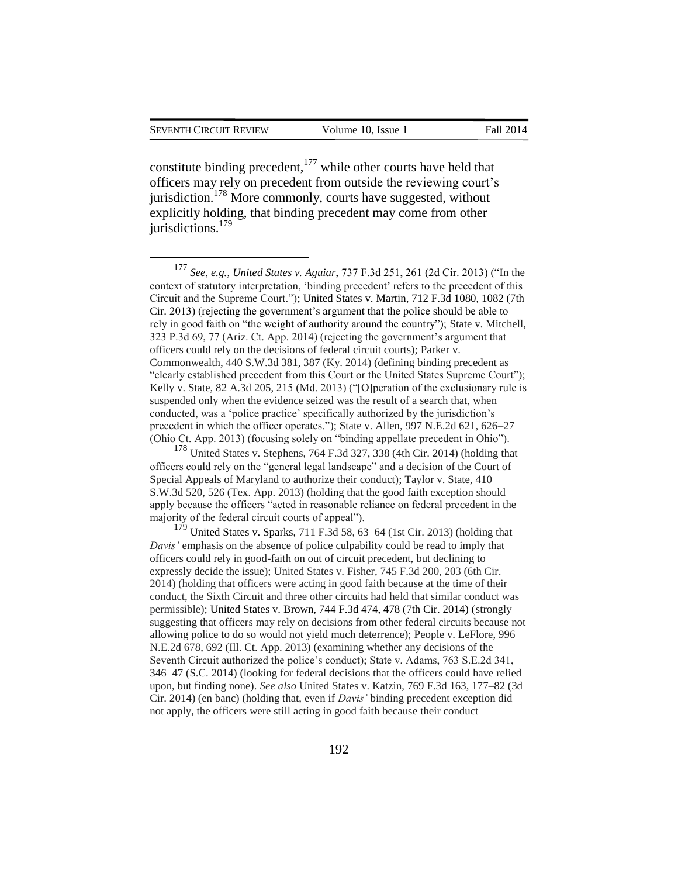$\overline{a}$ 

constitute binding precedent,  $177$  while other courts have held that officers may rely on precedent from outside the reviewing court's jurisdiction.<sup>178</sup> More commonly, courts have suggested, without explicitly holding, that binding precedent may come from other jurisdictions.<sup>179</sup>

<sup>177</sup> *See, e.g.*, *United States v. Aguiar*, 737 F.3d 251, 261 (2d Cir. 2013) ("In the context of statutory interpretation, 'binding precedent' refers to the precedent of this Circuit and the Supreme Court."); United States v. Martin, 712 F.3d 1080, 1082 (7th Cir. 2013) (rejecting the government's argument that the police should be able to rely in good faith on "the weight of authority around the country"); State v. Mitchell, 323 P.3d 69, 77 (Ariz. Ct. App. 2014) (rejecting the government's argument that officers could rely on the decisions of federal circuit courts); Parker v. Commonwealth, 440 S.W.3d 381, 387 (Ky. 2014) (defining binding precedent as "clearly established precedent from this Court or the United States Supreme Court"); Kelly v. State, 82 A.3d 205, 215 (Md. 2013) ("[O]peration of the exclusionary rule is suspended only when the evidence seized was the result of a search that, when conducted, was a 'police practice' specifically authorized by the jurisdiction's precedent in which the officer operates."); State v. Allen, 997 N.E.2d 621, 626–27 (Ohio Ct. App. 2013) (focusing solely on "binding appellate precedent in Ohio").

<sup>178</sup> United States v. Stephens, 764 F.3d 327, 338 (4th Cir. 2014) (holding that officers could rely on the "general legal landscape" and a decision of the Court of Special Appeals of Maryland to authorize their conduct); Taylor v. State, 410 S.W.3d 520, 526 (Tex. App. 2013) (holding that the good faith exception should apply because the officers "acted in reasonable reliance on federal precedent in the majority of the federal circuit courts of appeal").

 $179$  United States v. Sparks, 711 F.3d 58, 63–64 (1st Cir. 2013) (holding that *Davis'* emphasis on the absence of police culpability could be read to imply that officers could rely in good-faith on out of circuit precedent, but declining to expressly decide the issue); United States v. Fisher, 745 F.3d 200, 203 (6th Cir. 2014) (holding that officers were acting in good faith because at the time of their conduct, the Sixth Circuit and three other circuits had held that similar conduct was permissible); United States v. Brown, 744 F.3d 474, 478 (7th Cir. 2014) (strongly suggesting that officers may rely on decisions from other federal circuits because not allowing police to do so would not yield much deterrence); People v. LeFlore, 996 N.E.2d 678, 692 (Ill. Ct. App. 2013) (examining whether any decisions of the Seventh Circuit authorized the police's conduct); State v. Adams, 763 S.E.2d 341, 346–47 (S.C. 2014) (looking for federal decisions that the officers could have relied upon, but finding none). *See also* United States v. Katzin, 769 F.3d 163, 177–82 (3d Cir. 2014) (en banc) (holding that, even if *Davis'* binding precedent exception did not apply, the officers were still acting in good faith because their conduct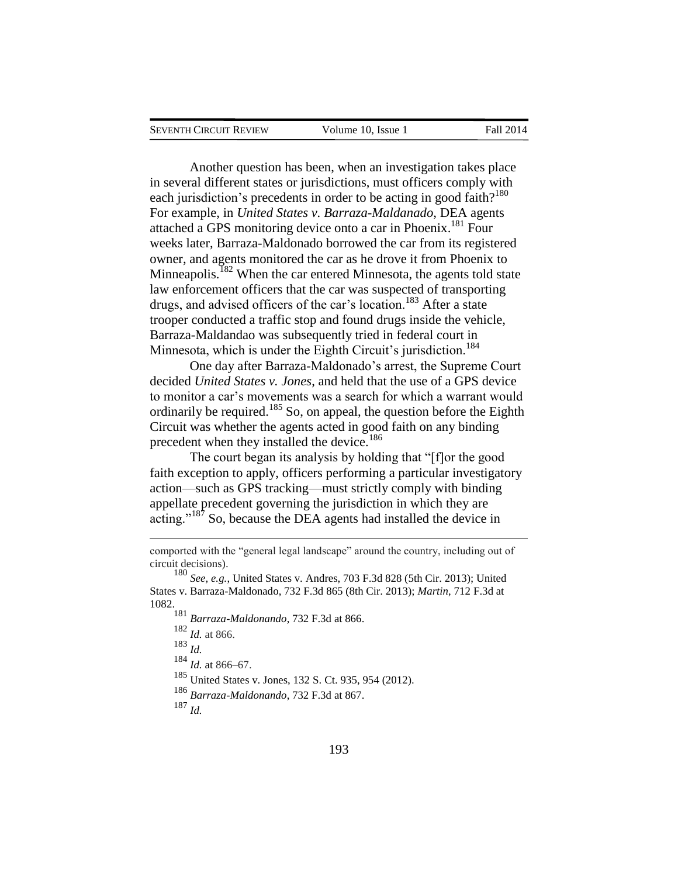$\overline{a}$ 

Another question has been, when an investigation takes place in several different states or jurisdictions, must officers comply with each jurisdiction's precedents in order to be acting in good faith?<sup>180</sup> For example, in *United States v. Barraza-Maldanado*, DEA agents attached a GPS monitoring device onto a car in Phoenix.<sup>181</sup> Four weeks later, Barraza-Maldonado borrowed the car from its registered owner, and agents monitored the car as he drove it from Phoenix to Minneapolis.<sup>182</sup> When the car entered Minnesota, the agents told state law enforcement officers that the car was suspected of transporting drugs, and advised officers of the car's location.<sup>183</sup> After a state trooper conducted a traffic stop and found drugs inside the vehicle, Barraza-Maldandao was subsequently tried in federal court in Minnesota, which is under the Eighth Circuit's jurisdiction.<sup>184</sup>

One day after Barraza-Maldonado's arrest, the Supreme Court decided *United States v. Jones*, and held that the use of a GPS device to monitor a car's movements was a search for which a warrant would ordinarily be required.<sup>185</sup> So, on appeal, the question before the Eighth Circuit was whether the agents acted in good faith on any binding precedent when they installed the device.<sup>186</sup>

The court began its analysis by holding that "[f]or the good faith exception to apply, officers performing a particular investigatory action—such as GPS tracking—must strictly comply with binding appellate precedent governing the jurisdiction in which they are acting."<sup>187</sup> So, because the DEA agents had installed the device in

 *Barraza-Maldonando*, 732 F.3d at 866. *Id.* at 866. <sup>183</sup> *Id. Id.* at 866–67. United States v. Jones, 132 S. Ct. 935, 954 (2012). *Barraza-Maldonando*, 732 F.3d at 867. <sup>187</sup> *Id.*

comported with the "general legal landscape" around the country, including out of circuit decisions).

<sup>180</sup> *See, e.g.*, United States v. Andres, 703 F.3d 828 (5th Cir. 2013); United States v. Barraza-Maldonado, 732 F.3d 865 (8th Cir. 2013); *Martin*, 712 F.3d at 1082.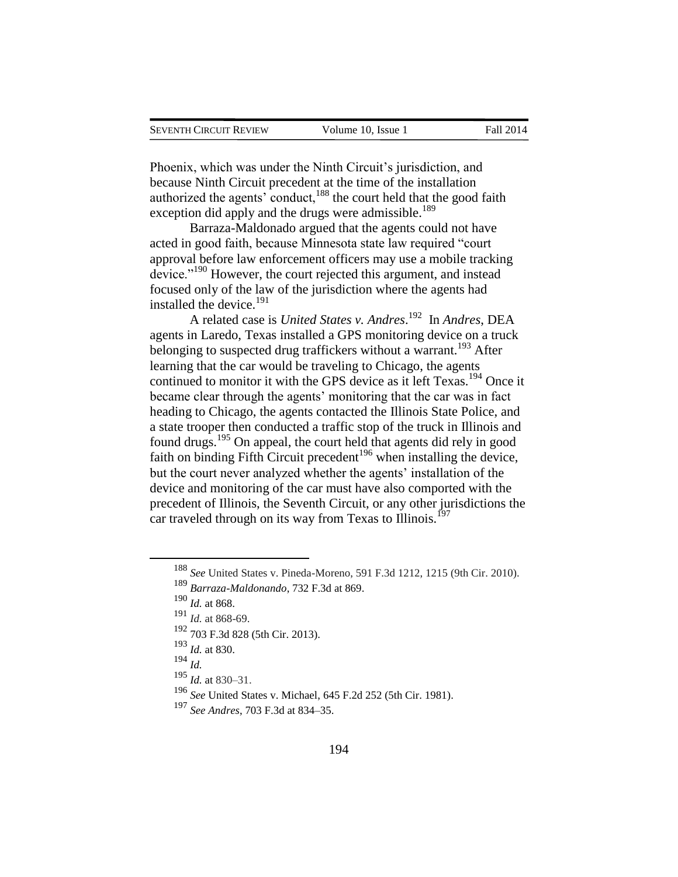Phoenix, which was under the Ninth Circuit's jurisdiction, and because Ninth Circuit precedent at the time of the installation authorized the agents' conduct,<sup>188</sup> the court held that the good faith exception did apply and the drugs were admissible.<sup>189</sup>

Barraza-Maldonado argued that the agents could not have acted in good faith, because Minnesota state law required "court approval before law enforcement officers may use a mobile tracking device."<sup>190</sup> However, the court rejected this argument, and instead focused only of the law of the jurisdiction where the agents had installed the device. $191$ 

A related case is *United States v. Andres*. 192 In *Andres*, DEA agents in Laredo, Texas installed a GPS monitoring device on a truck belonging to suspected drug traffickers without a warrant.<sup>193</sup> After learning that the car would be traveling to Chicago, the agents continued to monitor it with the GPS device as it left Texas.<sup>194</sup> Once it became clear through the agents' monitoring that the car was in fact heading to Chicago, the agents contacted the Illinois State Police, and a state trooper then conducted a traffic stop of the truck in Illinois and found drugs.<sup>195</sup> On appeal, the court held that agents did rely in good faith on binding Fifth Circuit precedent<sup>196</sup> when installing the device, but the court never analyzed whether the agents' installation of the device and monitoring of the car must have also comported with the precedent of Illinois, the Seventh Circuit, or any other jurisdictions the car traveled through on its way from Texas to Illinois.<sup>197</sup>

<sup>188</sup> *See* United States v. Pineda-Moreno, 591 F.3d 1212, 1215 (9th Cir. 2010).

<sup>189</sup> *Barraza-Maldonando*, 732 F.3d at 869.

<sup>190</sup> *Id.* at 868.

<sup>191</sup> *Id.* at 868-69.

<sup>192</sup> 703 F.3d 828 (5th Cir. 2013).

<sup>193</sup> *Id.* at 830.

 $^{194}$  *Id.* 

<sup>195</sup> *Id.* at 830–31.

<sup>196</sup> *See* United States v. Michael, 645 F.2d 252 (5th Cir. 1981).

<sup>197</sup> *See Andres*, 703 F.3d at 834–35.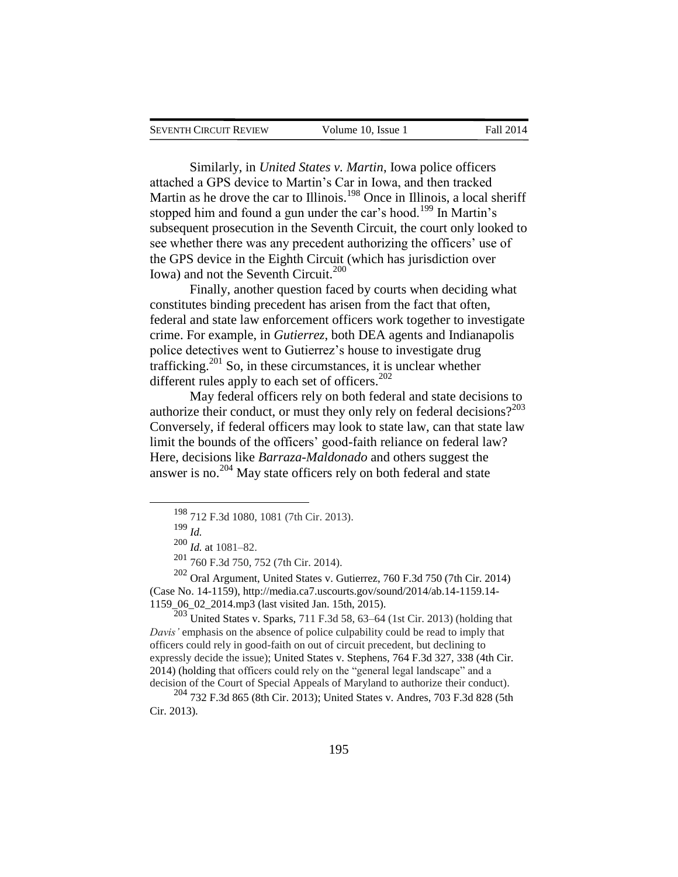| SEVENTH CIRCUIT REVIEW | Volume 10, Issue 1 | Fall 2014 |
|------------------------|--------------------|-----------|
|                        |                    |           |

Similarly, in *United States v. Martin*, Iowa police officers attached a GPS device to Martin's Car in Iowa, and then tracked Martin as he drove the car to Illinois.<sup>198</sup> Once in Illinois, a local sheriff stopped him and found a gun under the car's hood.<sup>199</sup> In Martin's subsequent prosecution in the Seventh Circuit, the court only looked to see whether there was any precedent authorizing the officers' use of the GPS device in the Eighth Circuit (which has jurisdiction over Iowa) and not the Seventh Circuit.<sup>200</sup>

Finally, another question faced by courts when deciding what constitutes binding precedent has arisen from the fact that often, federal and state law enforcement officers work together to investigate crime. For example, in *Gutierrez*, both DEA agents and Indianapolis police detectives went to Gutierrez's house to investigate drug trafficking.<sup>201</sup> So, in these circumstances, it is unclear whether different rules apply to each set of officers. $202$ 

May federal officers rely on both federal and state decisions to authorize their conduct, or must they only rely on federal decisions?<sup>203</sup> Conversely, if federal officers may look to state law, can that state law limit the bounds of the officers' good-faith reliance on federal law? Here, decisions like *Barraza-Maldonado* and others suggest the answer is no.<sup>204</sup> May state officers rely on both federal and state

 $\overline{a}$ 

 $203$  United States v. Sparks, 711 F.3d 58, 63–64 (1st Cir. 2013) (holding that *Davis'* emphasis on the absence of police culpability could be read to imply that officers could rely in good-faith on out of circuit precedent, but declining to expressly decide the issue); United States v. Stephens, 764 F.3d 327, 338 (4th Cir. 2014) (holding that officers could rely on the "general legal landscape" and a decision of the Court of Special Appeals of Maryland to authorize their conduct).

<sup>204</sup> 732 F.3d 865 (8th Cir. 2013); United States v. Andres, 703 F.3d 828 (5th Cir. 2013).

<sup>198</sup> 712 F.3d 1080, 1081 (7th Cir. 2013).

<sup>199</sup> *Id.*

<sup>200</sup> *Id.* at 1081–82.

<sup>201</sup> 760 F.3d 750, 752 (7th Cir. 2014).

<sup>202</sup> Oral Argument, United States v. Gutierrez, 760 F.3d 750 (7th Cir. 2014) (Case No. 14-1159), http://media.ca7.uscourts.gov/sound/2014/ab.14-1159.14- 1159\_06\_02\_2014.mp3 (last visited Jan. 15th, 2015).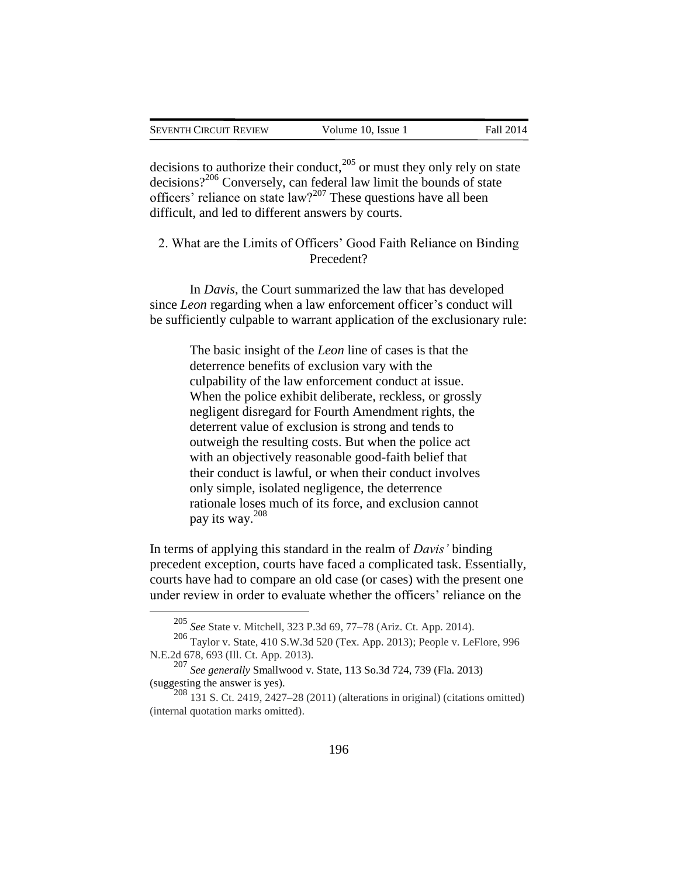| SEVENTH CIRCUIT REVIEW | Volume 10, Issue 1 | <b>Fall 2014</b> |
|------------------------|--------------------|------------------|
|                        |                    |                  |

decisions to authorize their conduct, $^{205}$  or must they only rely on state decisions?<sup>206</sup> Conversely, can federal law limit the bounds of state officers' reliance on state law?<sup>207</sup> These questions have all been difficult, and led to different answers by courts.

2. What are the Limits of Officers' Good Faith Reliance on Binding Precedent?

In *Davis*, the Court summarized the law that has developed since *Leon* regarding when a law enforcement officer's conduct will be sufficiently culpable to warrant application of the exclusionary rule:

> The basic insight of the *Leon* line of cases is that the deterrence benefits of exclusion vary with the culpability of the law enforcement conduct at issue. When the police exhibit deliberate, reckless, or grossly negligent disregard for Fourth Amendment rights, the deterrent value of exclusion is strong and tends to outweigh the resulting costs. But when the police act with an objectively reasonable good-faith belief that their conduct is lawful, or when their conduct involves only simple, isolated negligence, the deterrence rationale loses much of its force, and exclusion cannot pay its way.<sup>208</sup>

In terms of applying this standard in the realm of *Davis'* binding precedent exception, courts have faced a complicated task. Essentially, courts have had to compare an old case (or cases) with the present one under review in order to evaluate whether the officers' reliance on the

<sup>205</sup> *See* State v. Mitchell, 323 P.3d 69, 77–78 (Ariz. Ct. App. 2014).

<sup>206</sup> Taylor v. State, 410 S.W.3d 520 (Tex. App. 2013); People v. LeFlore, 996 N.E.2d 678, 693 (Ill. Ct. App. 2013).

<sup>207</sup> *See generally* Smallwood v. State, 113 So.3d 724, 739 (Fla. 2013) (suggesting the answer is yes).

 $208$  131 S. Ct. 2419, 2427–28 (2011) (alterations in original) (citations omitted) (internal quotation marks omitted).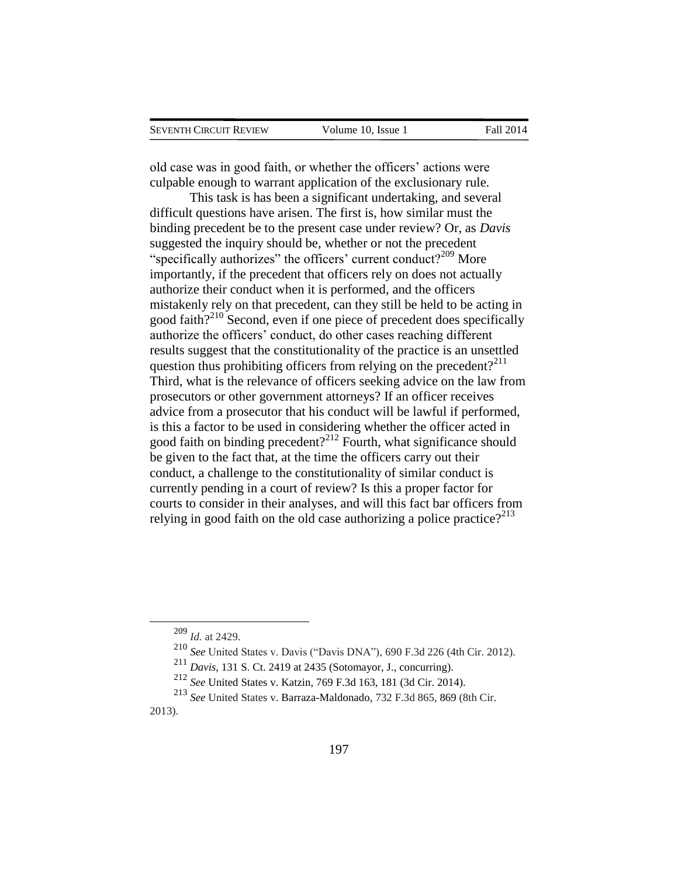| SEVENTH CIRCUIT REVIEW | Volume 10, Issue 1 | <b>Fall 2014</b> |
|------------------------|--------------------|------------------|
|                        |                    |                  |

old case was in good faith, or whether the officers' actions were culpable enough to warrant application of the exclusionary rule.

This task is has been a significant undertaking, and several difficult questions have arisen. The first is, how similar must the binding precedent be to the present case under review? Or, as *Davis* suggested the inquiry should be, whether or not the precedent "specifically authorizes" the officers' current conduct? $209$  More importantly, if the precedent that officers rely on does not actually authorize their conduct when it is performed, and the officers mistakenly rely on that precedent, can they still be held to be acting in good faith? $2^{210}$  Second, even if one piece of precedent does specifically authorize the officers' conduct, do other cases reaching different results suggest that the constitutionality of the practice is an unsettled question thus prohibiting officers from relying on the precedent?<sup>211</sup> Third, what is the relevance of officers seeking advice on the law from prosecutors or other government attorneys? If an officer receives advice from a prosecutor that his conduct will be lawful if performed, is this a factor to be used in considering whether the officer acted in good faith on binding precedent?<sup>212</sup> Fourth, what significance should be given to the fact that, at the time the officers carry out their conduct, a challenge to the constitutionality of similar conduct is currently pending in a court of review? Is this a proper factor for courts to consider in their analyses, and will this fact bar officers from relying in good faith on the old case authorizing a police practice?<sup>213</sup>

<sup>209</sup> *Id.* at 2429.

<sup>210</sup> *See* United States v. Davis ("Davis DNA"), 690 F.3d 226 (4th Cir. 2012).

<sup>211</sup> *Davis*, 131 S. Ct. 2419 at 2435 (Sotomayor, J., concurring).

<sup>212</sup> *See* United States v. Katzin, 769 F.3d 163, 181 (3d Cir. 2014).

<sup>213</sup> *See* United States v. Barraza-Maldonado, 732 F.3d 865, 869 (8th Cir. 2013).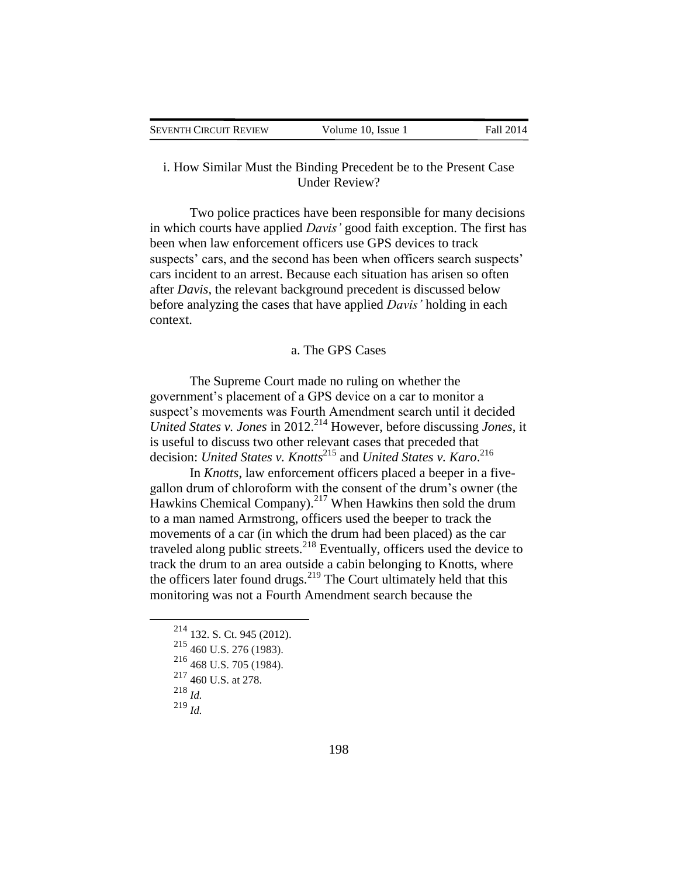| SEVENTH CIRCUIT REVIEW | Volume 10, Issue 1 | Fall 2014 |
|------------------------|--------------------|-----------|
|                        |                    |           |

## i. How Similar Must the Binding Precedent be to the Present Case Under Review?

Two police practices have been responsible for many decisions in which courts have applied *Davis'* good faith exception. The first has been when law enforcement officers use GPS devices to track suspects' cars, and the second has been when officers search suspects' cars incident to an arrest. Because each situation has arisen so often after *Davis*, the relevant background precedent is discussed below before analyzing the cases that have applied *Davis'* holding in each context.

### a. The GPS Cases

The Supreme Court made no ruling on whether the government's placement of a GPS device on a car to monitor a suspect's movements was Fourth Amendment search until it decided *United States v. Jones* in 2012.<sup>214</sup> However, before discussing *Jones*, it is useful to discuss two other relevant cases that preceded that decision: *United States v. Knotts*<sup>215</sup> and *United States v. Karo.*<sup>216</sup>

In *Knotts*, law enforcement officers placed a beeper in a fivegallon drum of chloroform with the consent of the drum's owner (the Hawkins Chemical Company).<sup>217</sup> When Hawkins then sold the drum to a man named Armstrong, officers used the beeper to track the movements of a car (in which the drum had been placed) as the car traveled along public streets. $^{218}$  Eventually, officers used the device to track the drum to an area outside a cabin belonging to Knotts, where the officers later found drugs. $^{219}$  The Court ultimately held that this monitoring was not a Fourth Amendment search because the

<sup>214</sup> 132. S. Ct. 945 (2012).

<sup>215</sup> 460 U.S. 276 (1983).

<sup>216</sup> 468 U.S. 705 (1984).

<sup>217</sup> 460 U.S. at 278.

<sup>218</sup> *Id.*

 $\overline{a}$ 

<sup>219</sup> *Id.*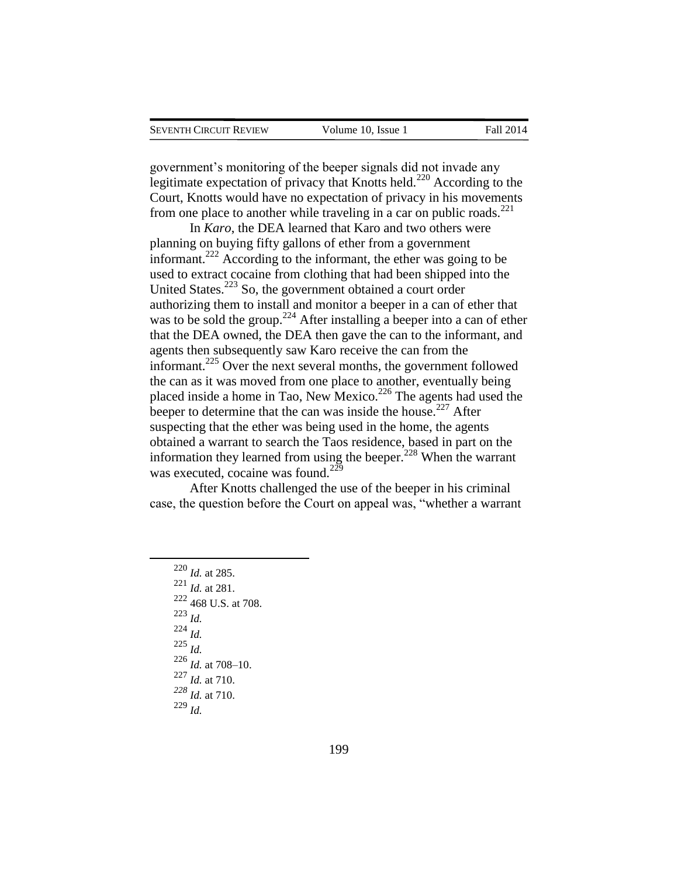government's monitoring of the beeper signals did not invade any legitimate expectation of privacy that Knotts held.<sup>220</sup> According to the Court, Knotts would have no expectation of privacy in his movements from one place to another while traveling in a car on public roads. $^{221}$ 

In *Karo*, the DEA learned that Karo and two others were planning on buying fifty gallons of ether from a government informant.<sup>222</sup> According to the informant, the ether was going to be used to extract cocaine from clothing that had been shipped into the United States.<sup>223</sup> So, the government obtained a court order authorizing them to install and monitor a beeper in a can of ether that was to be sold the group.<sup>224</sup> After installing a beeper into a can of ether that the DEA owned, the DEA then gave the can to the informant, and agents then subsequently saw Karo receive the can from the informant.<sup>225</sup> Over the next several months, the government followed the can as it was moved from one place to another, eventually being placed inside a home in Tao, New Mexico.<sup>226</sup> The agents had used the beeper to determine that the can was inside the house.<sup>227</sup> After suspecting that the ether was being used in the home, the agents obtained a warrant to search the Taos residence, based in part on the information they learned from using the beeper.<sup>228</sup> When the warrant was executed, cocaine was found.<sup>229</sup>

After Knotts challenged the use of the beeper in his criminal case, the question before the Court on appeal was, "whether a warrant

<sup>220</sup> *Id.* at 285. <sup>221</sup> *Id.* at 281. <sup>222</sup> 468 U.S. at 708. <sup>223</sup> *Id.* <sup>224</sup> *Id.* <sup>225</sup> *Id.*  $^{226}$  *Id.* at 708–10. <sup>227</sup> *Id.* at 710. *<sup>228</sup> Id.* at 710. <sup>229</sup> *Id.*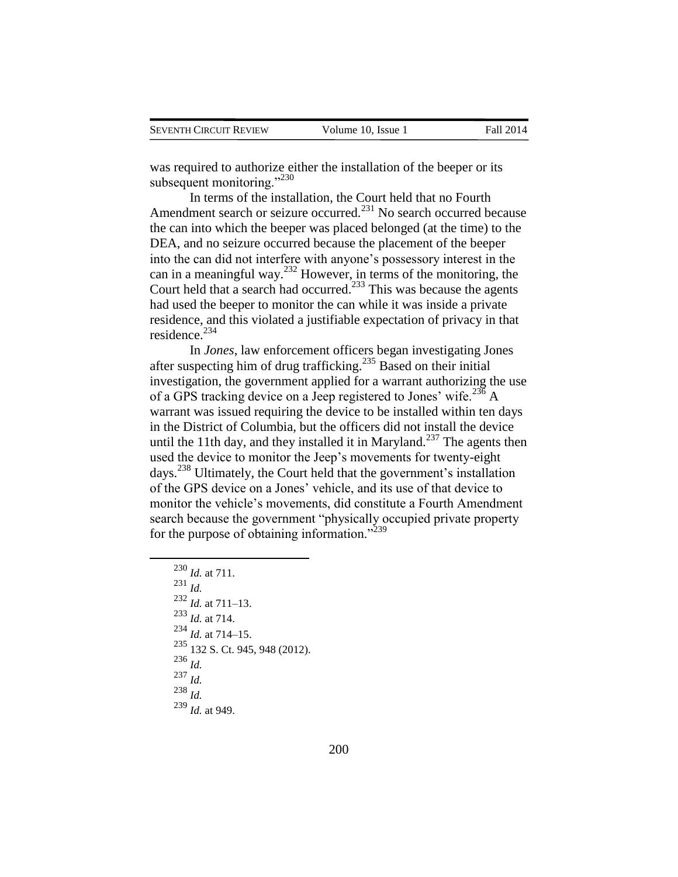was required to authorize either the installation of the beeper or its subsequent monitoring." $^{230}$ 

In terms of the installation, the Court held that no Fourth Amendment search or seizure occurred.<sup>231</sup> No search occurred because the can into which the beeper was placed belonged (at the time) to the DEA, and no seizure occurred because the placement of the beeper into the can did not interfere with anyone's possessory interest in the can in a meaningful way.<sup>232</sup> However, in terms of the monitoring, the Court held that a search had occurred.<sup>233</sup> This was because the agents had used the beeper to monitor the can while it was inside a private residence, and this violated a justifiable expectation of privacy in that residence. $234$ 

In *Jones*, law enforcement officers began investigating Jones after suspecting him of drug trafficking.<sup>235</sup> Based on their initial investigation, the government applied for a warrant authorizing the use of a GPS tracking device on a Jeep registered to Jones' wife.<sup>236</sup> A warrant was issued requiring the device to be installed within ten days in the District of Columbia, but the officers did not install the device until the 11th day, and they installed it in Maryland.<sup>237</sup> The agents then used the device to monitor the Jeep's movements for twenty-eight days.<sup>238</sup> Ultimately, the Court held that the government's installation of the GPS device on a Jones' vehicle, and its use of that device to monitor the vehicle's movements, did constitute a Fourth Amendment search because the government "physically occupied private property for the purpose of obtaining information."<sup>239</sup>

```
230 Id. at 711. 
231 Id. 
232 Id. at 711–13.
233 Id. at 714.
234 Id. at 714–15.
235 132 S. Ct. 945, 948 (2012).
236 Id.
237 Id.
238 Id.
239 Id. at 949.
```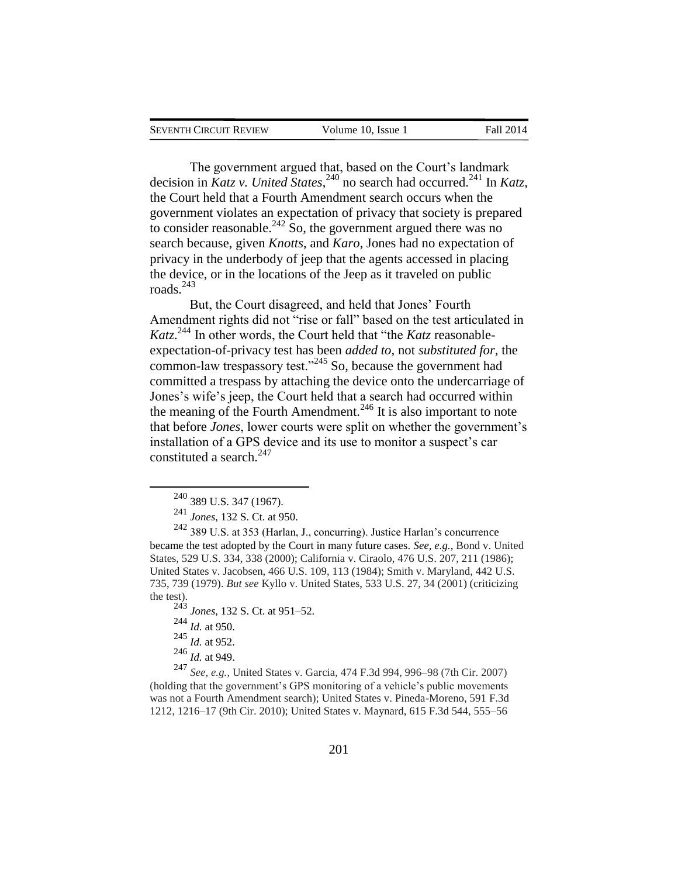| SEVENTH CIRCUIT REVIEW | Volume 10. Issue 1 | <b>Fall 2014</b> |
|------------------------|--------------------|------------------|
|                        |                    |                  |

The government argued that, based on the Court's landmark decision in *Katz v. United States*<sup>240</sup> no search had occurred.<sup>241</sup> In *Katz*, the Court held that a Fourth Amendment search occurs when the government violates an expectation of privacy that society is prepared to consider reasonable.<sup>242</sup> So, the government argued there was no search because, given *Knotts*, and *Karo*, Jones had no expectation of privacy in the underbody of jeep that the agents accessed in placing the device, or in the locations of the Jeep as it traveled on public roads. $^{243}$ 

But, the Court disagreed, and held that Jones' Fourth Amendment rights did not "rise or fall" based on the test articulated in *Katz*. <sup>244</sup> In other words, the Court held that "the *Katz* reasonableexpectation-of-privacy test has been *added to,* not *substituted for,* the common-law trespassory test."<sup>245</sup> So, because the government had committed a trespass by attaching the device onto the undercarriage of Jones's wife's jeep, the Court held that a search had occurred within the meaning of the Fourth Amendment.<sup>246</sup> It is also important to note that before *Jones*, lower courts were split on whether the government's installation of a GPS device and its use to monitor a suspect's car constituted a search.<sup>247</sup>

<sup>243</sup> *Jones*, 132 S. Ct. at 951–52.

<sup>244</sup> *Id.* at 950.

 $\overline{a}$ 

<sup>245</sup> *Id.* at 952.

<sup>246</sup> *Id.* at 949.

<sup>247</sup> *See, e.g.*, United States v. Garcia, 474 F.3d 994, 996–98 (7th Cir. 2007) (holding that the government's GPS monitoring of a vehicle's public movements was not a Fourth Amendment search); United States v. Pineda-Moreno, 591 F.3d 1212, 1216–17 (9th Cir. 2010); United States v. Maynard, 615 F.3d 544, 555–56

<sup>240</sup> 389 U.S. 347 (1967).

<sup>241</sup> *Jones*, 132 S. Ct. at 950.

<sup>242</sup> 389 U.S. at 353 (Harlan, J., concurring). Justice Harlan's concurrence became the test adopted by the Court in many future cases. *See, e.g.*, Bond v. United States, 529 U.S. 334, 338 (2000); California v. Ciraolo, 476 U.S. 207, 211 (1986); United States v. Jacobsen, 466 U.S. 109, 113 (1984); Smith v. Maryland, 442 U.S. 735, 739 (1979). *But see* Kyllo v. United States, 533 U.S. 27, 34 (2001) (criticizing the test).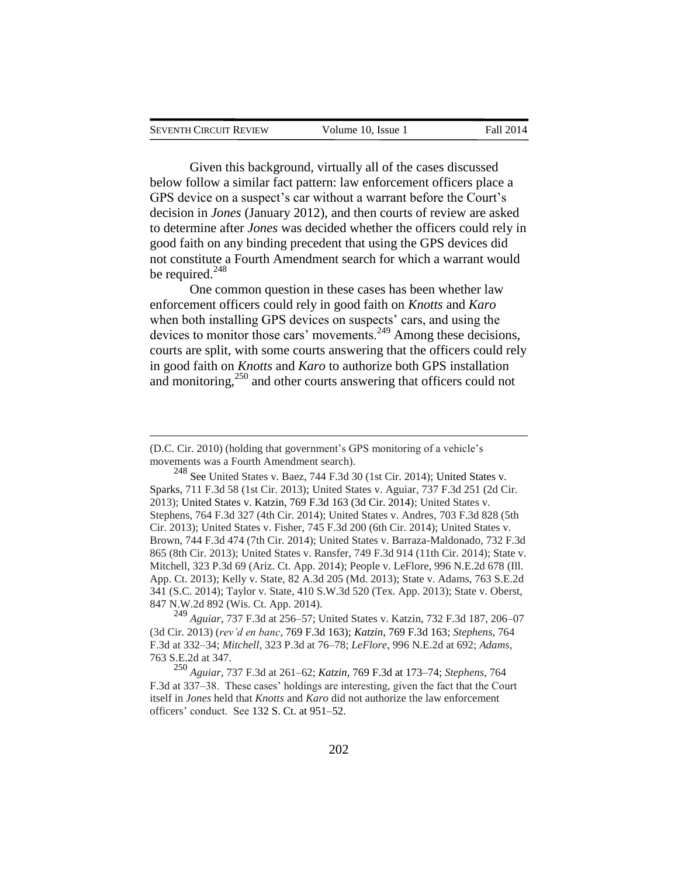| <b>SEVENTH CIRCUIT REVIEW</b> | Volume 10. Issue 1 | Fall 2014 |
|-------------------------------|--------------------|-----------|
|                               |                    |           |

Given this background, virtually all of the cases discussed below follow a similar fact pattern: law enforcement officers place a GPS device on a suspect's car without a warrant before the Court's decision in *Jones* (January 2012), and then courts of review are asked to determine after *Jones* was decided whether the officers could rely in good faith on any binding precedent that using the GPS devices did not constitute a Fourth Amendment search for which a warrant would be required. $248$ 

One common question in these cases has been whether law enforcement officers could rely in good faith on *Knotts* and *Karo* when both installing GPS devices on suspects' cars, and using the devices to monitor those cars' movements.<sup>249</sup> Among these decisions, courts are split, with some courts answering that the officers could rely in good faith on *Knotts* and *Karo* to authorize both GPS installation and monitoring,<sup>250</sup> and other courts answering that officers could not

 $\overline{a}$ 

 $248$  See United States v. Baez, 744 F.3d 30 (1st Cir. 2014); United States v. Sparks, 711 F.3d 58 (1st Cir. 2013); United States v. Aguiar, 737 F.3d 251 (2d Cir. 2013); United States v. Katzin, 769 F.3d 163 (3d Cir. 2014); United States v. Stephens, 764 F.3d 327 (4th Cir. 2014); United States v. Andres, 703 F.3d 828 (5th Cir. 2013); United States v. Fisher, 745 F.3d 200 (6th Cir. 2014); United States v. Brown, 744 F.3d 474 (7th Cir. 2014); United States v. Barraza-Maldonado, 732 F.3d 865 (8th Cir. 2013); United States v. Ransfer, 749 F.3d 914 (11th Cir. 2014); State v. Mitchell, 323 P.3d 69 (Ariz. Ct. App. 2014); People v. LeFlore, 996 N.E.2d 678 (Ill. App. Ct. 2013); Kelly v. State, 82 A.3d 205 (Md. 2013); State v. Adams, 763 S.E.2d 341 (S.C. 2014); Taylor v. State, 410 S.W.3d 520 (Tex. App. 2013); State v. Oberst, 847 N.W.2d 892 (Wis. Ct. App. 2014).

<sup>249</sup> *Aguiar*, 737 F.3d at 256–57; United States v. Katzin, 732 F.3d 187, 206–07 (3d Cir. 2013) (*rev'd en banc*, 769 F.3d 163); *Katzin*, 769 F.3d 163; *Stephens*, 764 F.3d at 332–34; *Mitchell*, 323 P.3d at 76–78; *LeFlore*, 996 N.E.2d at 692; *Adams*, 763 S.E.2d at 347.

<sup>250</sup> *Aguiar*, 737 F.3d at 261–62; *Katzin*, 769 F.3d at 173–74; *Stephens*, 764 F.3d at 337–38. These cases' holdings are interesting, given the fact that the Court itself in *Jones* held that *Knotts* and *Karo* did not authorize the law enforcement officers' conduct. See 132 S. Ct. at 951–52.

<sup>(</sup>D.C. Cir. 2010) (holding that government's GPS monitoring of a vehicle's movements was a Fourth Amendment search).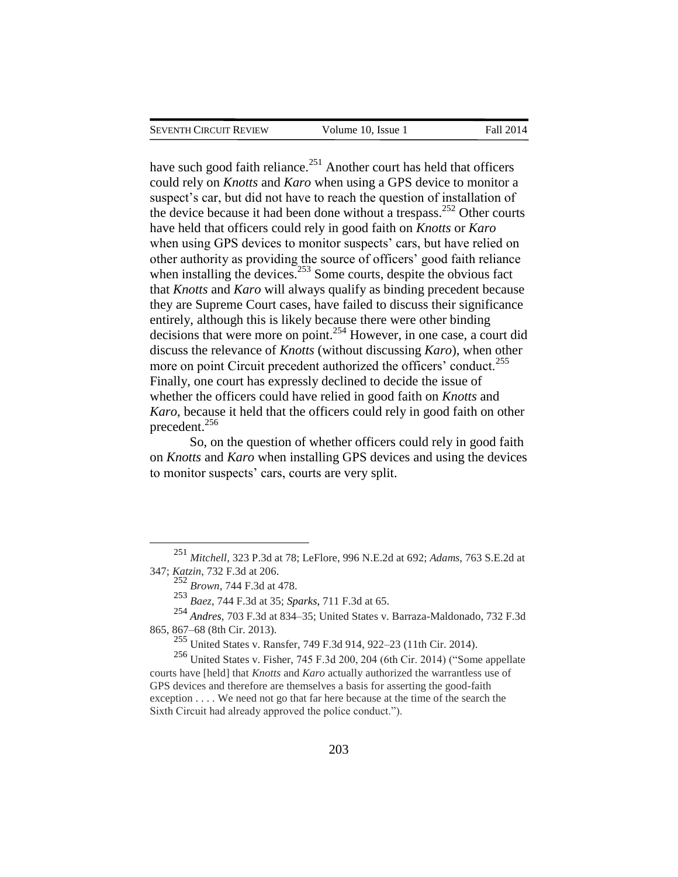have such good faith reliance. $^{251}$  Another court has held that officers could rely on *Knotts* and *Karo* when using a GPS device to monitor a suspect's car, but did not have to reach the question of installation of the device because it had been done without a trespass.<sup>252</sup> Other courts have held that officers could rely in good faith on *Knotts* or *Karo* when using GPS devices to monitor suspects' cars, but have relied on other authority as providing the source of officers' good faith reliance when installing the devices. $253$  Some courts, despite the obvious fact that *Knotts* and *Karo* will always qualify as binding precedent because they are Supreme Court cases, have failed to discuss their significance entirely, although this is likely because there were other binding decisions that were more on point.<sup>254</sup> However, in one case, a court did discuss the relevance of *Knotts* (without discussing *Karo*), when other more on point Circuit precedent authorized the officers' conduct.<sup>255</sup> Finally, one court has expressly declined to decide the issue of whether the officers could have relied in good faith on *Knotts* and *Karo*, because it held that the officers could rely in good faith on other precedent.<sup>256</sup>

So, on the question of whether officers could rely in good faith on *Knotts* and *Karo* when installing GPS devices and using the devices to monitor suspects' cars, courts are very split.

 $\overline{a}$ 

 $255$  United States v. Ransfer, 749 F.3d 914, 922–23 (11th Cir. 2014).

<sup>256</sup> United States v. Fisher, 745 F.3d 200, 204 (6th Cir. 2014) ("Some appellate courts have [held] that *Knotts* and *Karo* actually authorized the warrantless use of GPS devices and therefore are themselves a basis for asserting the good-faith exception . . . . We need not go that far here because at the time of the search the Sixth Circuit had already approved the police conduct.").

<sup>251</sup> *Mitchell*, 323 P.3d at 78; LeFlore, 996 N.E.2d at 692; *Adams*, 763 S.E.2d at 347; *Katzin*, 732 F.3d at 206.

<sup>252</sup> *Brown*, 744 F.3d at 478.

<sup>253</sup> *Baez*, 744 F.3d at 35; *Sparks*, 711 F.3d at 65.

<sup>254</sup> *Andres*, 703 F.3d at 834–35; United States v. Barraza-Maldonado, 732 F.3d 865, 867–68 (8th Cir. 2013).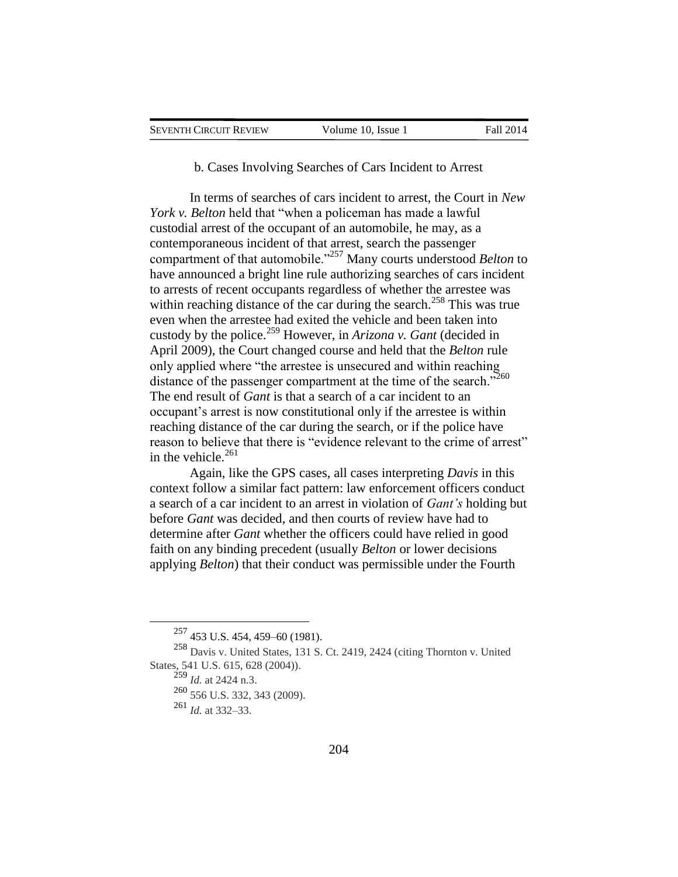### b. Cases Involving Searches of Cars Incident to Arrest

In terms of searches of cars incident to arrest, the Court in *New York v. Belton* held that "when a policeman has made a lawful custodial arrest of the occupant of an automobile, he may, as a contemporaneous incident of that arrest, search the passenger compartment of that automobile."<sup>257</sup> Many courts understood *Belton* to have announced a bright line rule authorizing searches of cars incident to arrests of recent occupants regardless of whether the arrestee was within reaching distance of the car during the search.<sup>258</sup> This was true even when the arrestee had exited the vehicle and been taken into custody by the police.<sup>259</sup> However, in *Arizona v. Gant* (decided in April 2009), the Court changed course and held that the *Belton* rule only applied where "the arrestee is unsecured and within reaching distance of the passenger compartment at the time of the search."<sup>260</sup> The end result of *Gant* is that a search of a car incident to an occupant's arrest is now constitutional only if the arrestee is within reaching distance of the car during the search, or if the police have reason to believe that there is "evidence relevant to the crime of arrest" in the vehicle. $261$ 

Again, like the GPS cases, all cases interpreting *Davis* in this context follow a similar fact pattern: law enforcement officers conduct a search of a car incident to an arrest in violation of *Gant's* holding but before *Gant* was decided, and then courts of review have had to determine after *Gant* whether the officers could have relied in good faith on any binding precedent (usually *Belton* or lower decisions applying *Belton*) that their conduct was permissible under the Fourth

<sup>257</sup> 453 U.S. 454, 459–60 (1981).

<sup>258</sup> Davis v. United States, 131 S. Ct. 2419, 2424 (citing Thornton v. United States, 541 U.S. 615, 628 (2004)).

<sup>259</sup> *Id.* at 2424 n.3.

<sup>260</sup> 556 U.S. 332, 343 (2009).

<sup>261</sup> *Id.* at 332–33.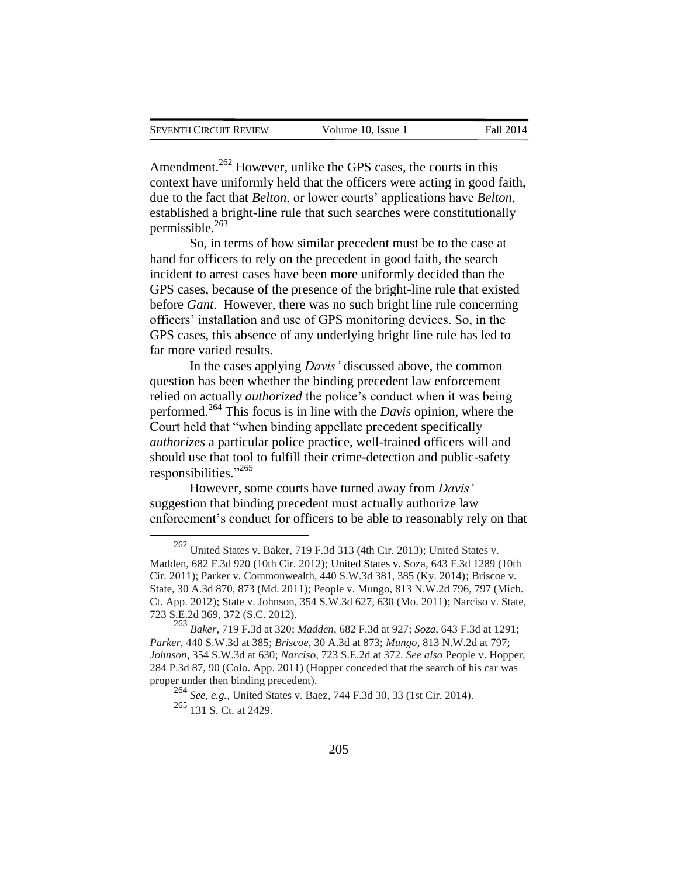$\overline{a}$ 

Amendment.<sup>262</sup> However, unlike the GPS cases, the courts in this context have uniformly held that the officers were acting in good faith, due to the fact that *Belton*, or lower courts' applications have *Belton*, established a bright-line rule that such searches were constitutionally permissible.<sup>263</sup>

So, in terms of how similar precedent must be to the case at hand for officers to rely on the precedent in good faith, the search incident to arrest cases have been more uniformly decided than the GPS cases, because of the presence of the bright-line rule that existed before *Gant*. However, there was no such bright line rule concerning officers' installation and use of GPS monitoring devices. So, in the GPS cases, this absence of any underlying bright line rule has led to far more varied results.

In the cases applying *Davis'* discussed above, the common question has been whether the binding precedent law enforcement relied on actually *authorized* the police's conduct when it was being performed.<sup>264</sup> This focus is in line with the *Davis* opinion, where the Court held that "when binding appellate precedent specifically *authorizes* a particular police practice, well-trained officers will and should use that tool to fulfill their crime-detection and public-safety responsibilities."<sup>265</sup>

However, some courts have turned away from *Davis'* suggestion that binding precedent must actually authorize law enforcement's conduct for officers to be able to reasonably rely on that

<sup>262</sup> United States v. Baker, 719 F.3d 313 (4th Cir. 2013); United States v. Madden, 682 F.3d 920 (10th Cir. 2012); United States v. Soza, 643 F.3d 1289 (10th Cir. 2011); Parker v. Commonwealth, 440 S.W.3d 381, 385 (Ky. 2014); Briscoe v. State, 30 A.3d 870, 873 (Md. 2011); People v. Mungo, 813 N.W.2d 796, 797 (Mich. Ct. App. 2012); State v. Johnson, 354 S.W.3d 627, 630 (Mo. 2011); Narciso v. State, 723 S.E.2d 369, 372 (S.C. 2012).

<sup>263</sup> *Baker*, 719 F.3d at 320; *Madden*, 682 F.3d at 927; *Soza*, 643 F.3d at 1291; *Parker*, 440 S.W.3d at 385; *Briscoe*, 30 A.3d at 873; *Mungo*, 813 N.W.2d at 797; *Johnson*, 354 S.W.3d at 630; *Narciso*, 723 S.E.2d at 372. *See also* People v. Hopper, 284 P.3d 87, 90 (Colo. App. 2011) (Hopper conceded that the search of his car was proper under then binding precedent).

<sup>264</sup> *See, e.g.*, United States v. Baez, 744 F.3d 30, 33 (1st Cir. 2014). <sup>265</sup> 131 S. Ct. at 2429.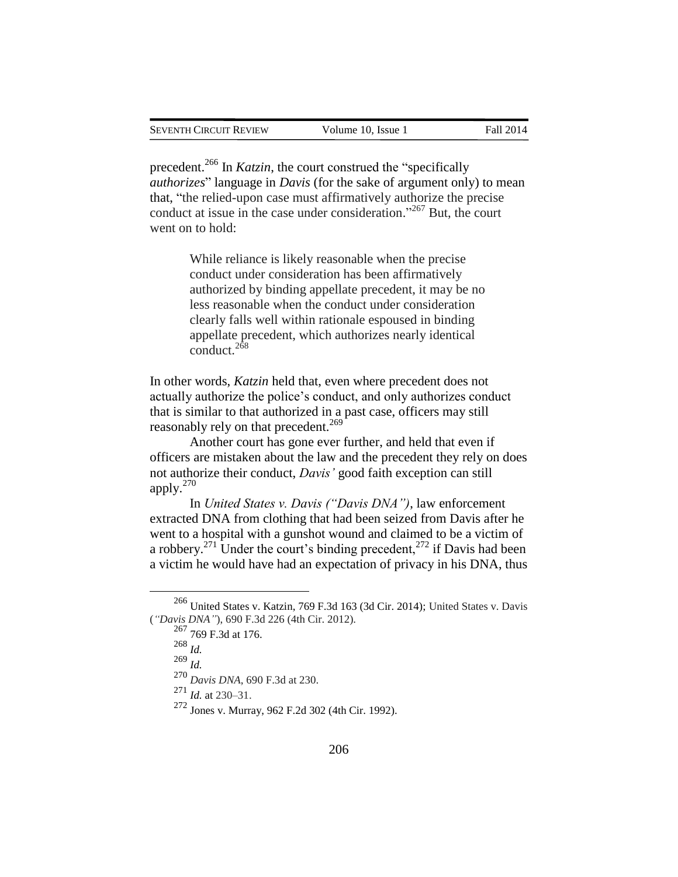precedent.<sup>266</sup> In *Katzin*, the court construed the "specifically *authorizes*" language in *Davis* (for the sake of argument only) to mean that, "the relied-upon case must affirmatively authorize the precise conduct at issue in the case under consideration." <sup>267</sup> But, the court went on to hold:

> While reliance is likely reasonable when the precise conduct under consideration has been affirmatively authorized by binding appellate precedent, it may be no less reasonable when the conduct under consideration clearly falls well within rationale espoused in binding appellate precedent, which authorizes nearly identical conduct. $2\overline{68}$

In other words, *Katzin* held that, even where precedent does not actually authorize the police's conduct, and only authorizes conduct that is similar to that authorized in a past case, officers may still reasonably rely on that precedent.<sup>269</sup>

Another court has gone ever further, and held that even if officers are mistaken about the law and the precedent they rely on does not authorize their conduct, *Davis'* good faith exception can still apply. $270$ 

In *United States v. Davis ("Davis DNA")*, law enforcement extracted DNA from clothing that had been seized from Davis after he went to a hospital with a gunshot wound and claimed to be a victim of a robbery.<sup>271</sup> Under the court's binding precedent,<sup>272</sup> if Davis had been a victim he would have had an expectation of privacy in his DNA, thus

 $\overline{a}$ 

<sup>270</sup> *Davis DNA*, 690 F.3d at 230.

<sup>271</sup> *Id.* at 230–31.

<sup>266</sup> United States v. Katzin, 769 F.3d 163 (3d Cir. 2014); United States v. Davis (*"Davis DNA"*), 690 F.3d 226 (4th Cir. 2012).

<sup>267</sup> 769 F.3d at 176.

<sup>268</sup> *Id.*

<sup>269</sup> *Id.*

<sup>272</sup> Jones v. Murray, 962 F.2d 302 (4th Cir. 1992).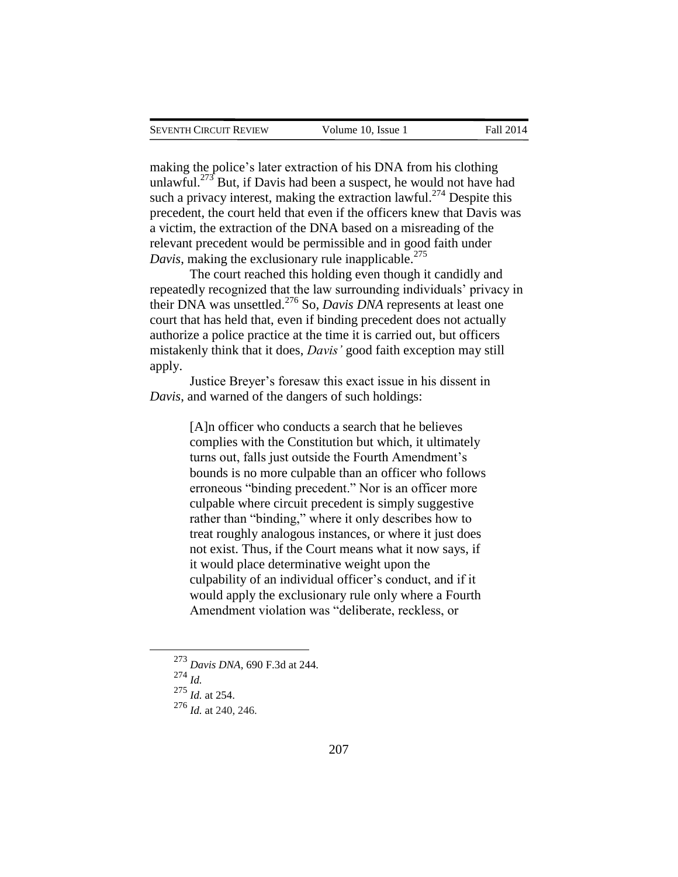making the police's later extraction of his DNA from his clothing unlawful.<sup>273</sup> But, if Davis had been a suspect, he would not have had such a privacy interest, making the extraction lawful.<sup>274</sup> Despite this precedent, the court held that even if the officers knew that Davis was a victim, the extraction of the DNA based on a misreading of the relevant precedent would be permissible and in good faith under *Davis*, making the exclusionary rule inapplicable.<sup>275</sup>

The court reached this holding even though it candidly and repeatedly recognized that the law surrounding individuals' privacy in their DNA was unsettled.<sup>276</sup> So, *Davis DNA* represents at least one court that has held that, even if binding precedent does not actually authorize a police practice at the time it is carried out, but officers mistakenly think that it does, *Davis'* good faith exception may still apply.

Justice Breyer's foresaw this exact issue in his dissent in *Davis*, and warned of the dangers of such holdings:

> [A]n officer who conducts a search that he believes complies with the Constitution but which, it ultimately turns out, falls just outside the Fourth Amendment's bounds is no more culpable than an officer who follows erroneous "binding precedent." Nor is an officer more culpable where circuit precedent is simply suggestive rather than "binding," where it only describes how to treat roughly analogous instances, or where it just does not exist. Thus, if the Court means what it now says, if it would place determinative weight upon the culpability of an individual officer's conduct, and if it would apply the exclusionary rule only where a Fourth Amendment violation was "deliberate, reckless, or

<sup>274</sup> *Id.*

<sup>273</sup> *Davis DNA*, 690 F.3d at 244.

<sup>275</sup> *Id.* at 254.

<sup>276</sup> *Id.* at 240, 246.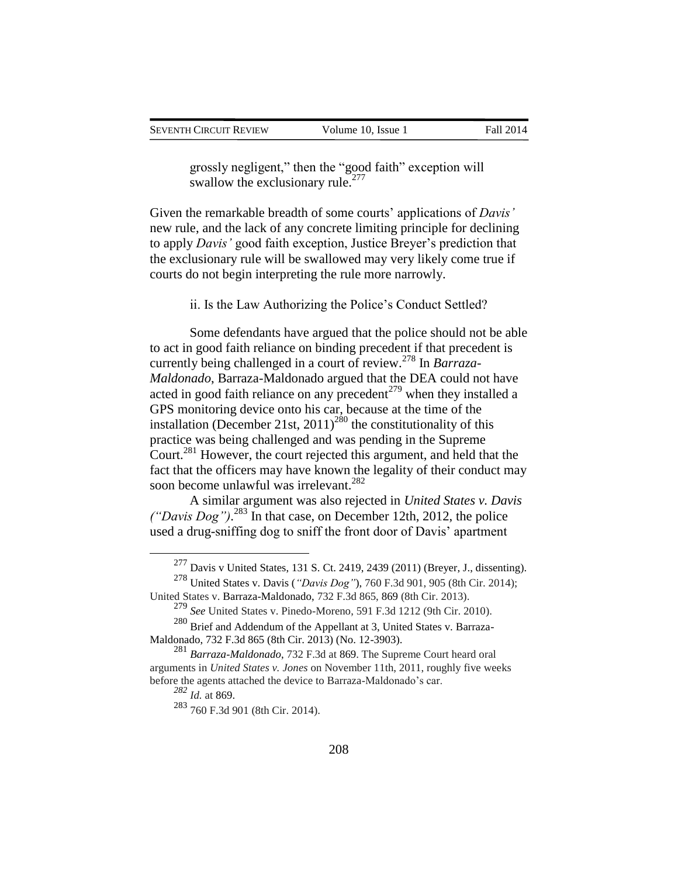grossly negligent," then the "good faith" exception will swallow the exclusionary rule.<sup>277</sup>

Given the remarkable breadth of some courts' applications of *Davis'* new rule, and the lack of any concrete limiting principle for declining to apply *Davis'* good faith exception, Justice Breyer's prediction that the exclusionary rule will be swallowed may very likely come true if courts do not begin interpreting the rule more narrowly.

ii. Is the Law Authorizing the Police's Conduct Settled?

Some defendants have argued that the police should not be able to act in good faith reliance on binding precedent if that precedent is currently being challenged in a court of review.<sup>278</sup> In *Barraza-Maldonado*, Barraza-Maldonado argued that the DEA could not have acted in good faith reliance on any precedent<sup> $279$ </sup> when they installed a GPS monitoring device onto his car, because at the time of the installation (December 21st,  $2011$ )<sup>280</sup> the constitutionality of this practice was being challenged and was pending in the Supreme Court.<sup>281</sup> However, the court rejected this argument, and held that the fact that the officers may have known the legality of their conduct may soon become unlawful was irrelevant.<sup>282</sup>

A similar argument was also rejected in *United States v. Davis ("Davis Dog")*. <sup>283</sup> In that case, on December 12th, 2012, the police used a drug-sniffing dog to sniff the front door of Davis' apartment

<sup>277</sup> Davis v United States, 131 S. Ct. 2419, 2439 (2011) (Breyer, J., dissenting).

<sup>278</sup> United States v. Davis (*"Davis Dog"*), 760 F.3d 901, 905 (8th Cir. 2014); United States v. Barraza-Maldonado, 732 F.3d 865, 869 (8th Cir. 2013).

<sup>279</sup> *See* United States v. Pinedo-Moreno, 591 F.3d 1212 (9th Cir. 2010).

<sup>280</sup> Brief and Addendum of the Appellant at 3, United States v. Barraza-Maldonado, 732 F.3d 865 (8th Cir. 2013) (No. 12-3903).

<sup>281</sup> *Barraza-Maldonado*, 732 F.3d at 869. The Supreme Court heard oral arguments in *United States v. Jones* on November 11th, 2011, roughly five weeks before the agents attached the device to Barraza-Maldonado's car.

*<sup>282</sup> Id.* at 869.

<sup>283</sup> 760 F.3d 901 (8th Cir. 2014).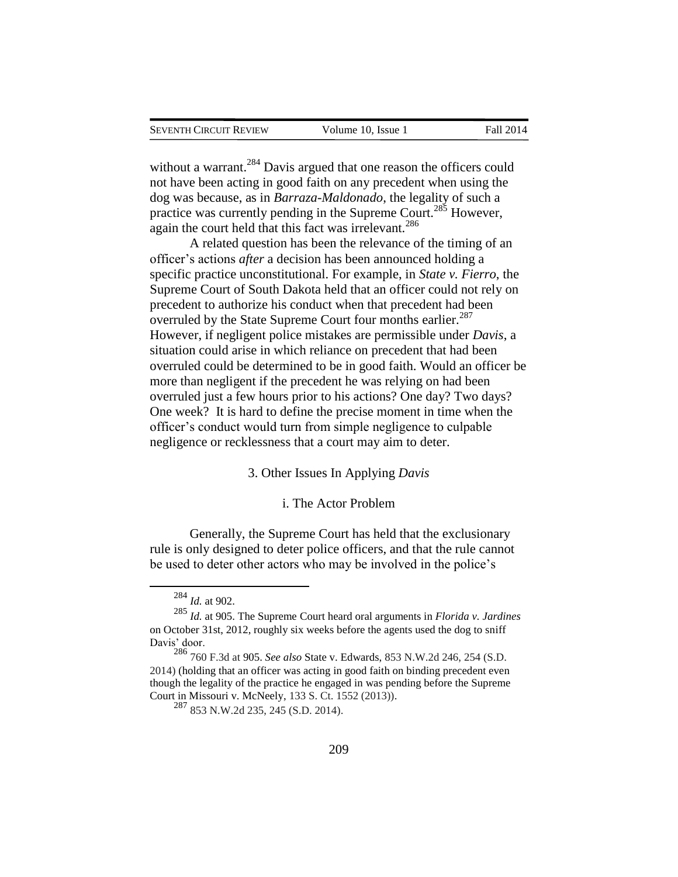without a warrant.<sup>284</sup> Davis argued that one reason the officers could not have been acting in good faith on any precedent when using the dog was because, as in *Barraza-Maldonado*, the legality of such a practice was currently pending in the Supreme Court.<sup>285</sup> However, again the court held that this fact was irrelevant.<sup>286</sup>

A related question has been the relevance of the timing of an officer's actions *after* a decision has been announced holding a specific practice unconstitutional. For example, in *State v. Fierro*, the Supreme Court of South Dakota held that an officer could not rely on precedent to authorize his conduct when that precedent had been overruled by the State Supreme Court four months earlier.<sup>287</sup> However, if negligent police mistakes are permissible under *Davis*, a situation could arise in which reliance on precedent that had been overruled could be determined to be in good faith. Would an officer be more than negligent if the precedent he was relying on had been overruled just a few hours prior to his actions? One day? Two days? One week? It is hard to define the precise moment in time when the officer's conduct would turn from simple negligence to culpable negligence or recklessness that a court may aim to deter.

3. Other Issues In Applying *Davis*

### i. The Actor Problem

Generally, the Supreme Court has held that the exclusionary rule is only designed to deter police officers, and that the rule cannot be used to deter other actors who may be involved in the police's

<sup>284</sup> *Id.* at 902.

<sup>285</sup> *Id.* at 905. The Supreme Court heard oral arguments in *Florida v. Jardines* on October 31st, 2012, roughly six weeks before the agents used the dog to sniff Davis' door.

<sup>286</sup> 760 F.3d at 905. *See also* State v. Edwards, 853 N.W.2d 246, 254 (S.D. 2014) (holding that an officer was acting in good faith on binding precedent even though the legality of the practice he engaged in was pending before the Supreme Court in Missouri v. McNeely, 133 S. Ct. 1552 (2013)).

<sup>287</sup> 853 N.W.2d 235, 245 (S.D. 2014).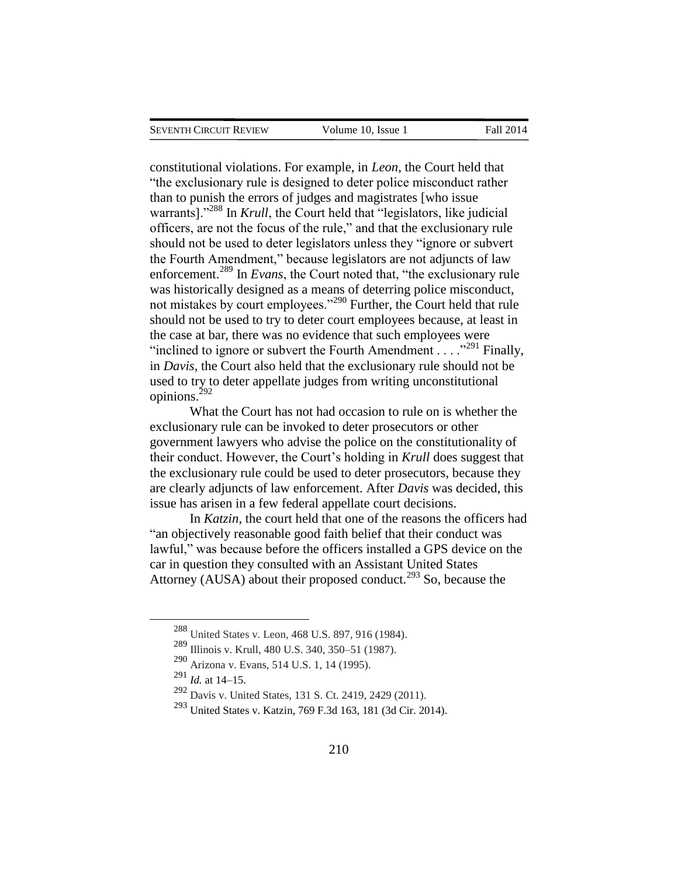constitutional violations. For example, in *Leon*, the Court held that "the exclusionary rule is designed to deter police misconduct rather than to punish the errors of judges and magistrates [who issue warrants]."<sup>288</sup> In *Krull*, the Court held that "legislators, like judicial officers, are not the focus of the rule," and that the exclusionary rule should not be used to deter legislators unless they "ignore or subvert the Fourth Amendment," because legislators are not adjuncts of law enforcement.<sup>289</sup> In *Evans*, the Court noted that, "the exclusionary rule was historically designed as a means of deterring police misconduct, not mistakes by court employees."<sup>290</sup> Further, the Court held that rule should not be used to try to deter court employees because, at least in the case at bar, there was no evidence that such employees were "inclined to ignore or subvert the Fourth Amendment  $\ldots$ ."<sup>291</sup> Finally, in *Davis*, the Court also held that the exclusionary rule should not be used to try to deter appellate judges from writing unconstitutional opinions. $^{292}$ 

What the Court has not had occasion to rule on is whether the exclusionary rule can be invoked to deter prosecutors or other government lawyers who advise the police on the constitutionality of their conduct. However, the Court's holding in *Krull* does suggest that the exclusionary rule could be used to deter prosecutors, because they are clearly adjuncts of law enforcement. After *Davis* was decided, this issue has arisen in a few federal appellate court decisions.

In *Katzin*, the court held that one of the reasons the officers had "an objectively reasonable good faith belief that their conduct was lawful," was because before the officers installed a GPS device on the car in question they consulted with an Assistant United States Attorney (AUSA) about their proposed conduct.<sup>293</sup> So, because the

<sup>288</sup> United States v. Leon, 468 U.S. 897, 916 (1984).

<sup>289</sup> Illinois v. Krull, 480 U.S. 340, 350–51 (1987).

<sup>290</sup> Arizona v. Evans, 514 U.S. 1, 14 (1995).

<sup>291</sup> *Id.* at 14–15.

<sup>292</sup> Davis v. United States, 131 S. Ct. 2419, 2429 (2011).

<sup>293</sup> United States v. Katzin, 769 F.3d 163, 181 (3d Cir. 2014).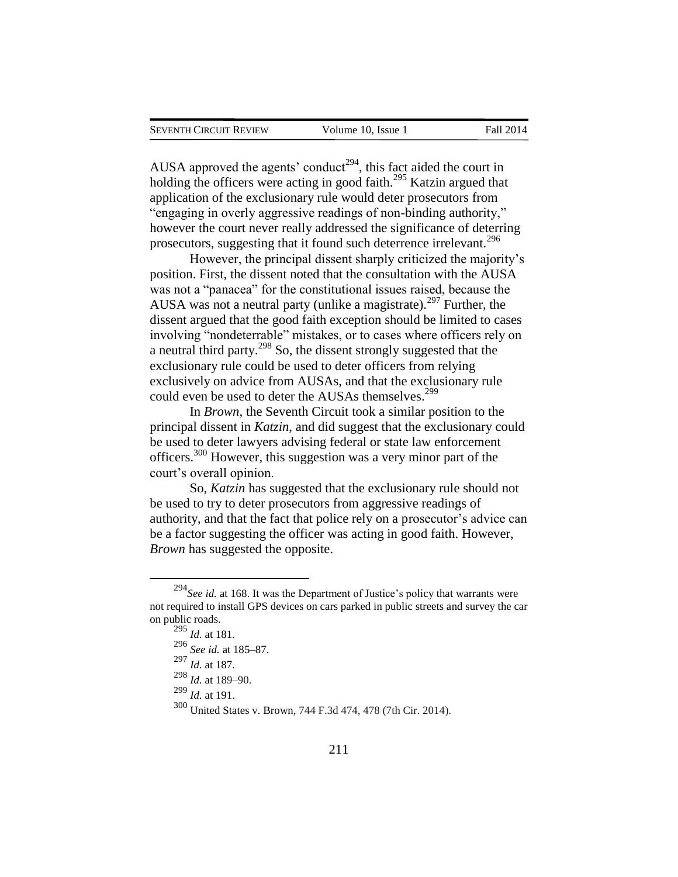AUSA approved the agents' conduct<sup>294</sup>, this fact aided the court in holding the officers were acting in good faith.<sup>295</sup> Katzin argued that application of the exclusionary rule would deter prosecutors from "engaging in overly aggressive readings of non-binding authority," however the court never really addressed the significance of deterring prosecutors, suggesting that it found such deterrence irrelevant.<sup>296</sup>

However, the principal dissent sharply criticized the majority's position. First, the dissent noted that the consultation with the AUSA was not a "panacea" for the constitutional issues raised, because the AUSA was not a neutral party (unlike a magistrate).<sup>297</sup> Further, the dissent argued that the good faith exception should be limited to cases involving "nondeterrable" mistakes, or to cases where officers rely on a neutral third party.<sup>298</sup> So, the dissent strongly suggested that the exclusionary rule could be used to deter officers from relying exclusively on advice from AUSAs, and that the exclusionary rule could even be used to deter the AUSAs themselves.<sup>299</sup>

In *Brown*, the Seventh Circuit took a similar position to the principal dissent in *Katzin*, and did suggest that the exclusionary could be used to deter lawyers advising federal or state law enforcement officers.<sup>300</sup> However, this suggestion was a very minor part of the court's overall opinion.

So, *Katzin* has suggested that the exclusionary rule should not be used to try to deter prosecutors from aggressive readings of authority, and that the fact that police rely on a prosecutor's advice can be a factor suggesting the officer was acting in good faith. However, *Brown* has suggested the opposite.

<sup>294</sup>*See id.* at 168. It was the Department of Justice's policy that warrants were not required to install GPS devices on cars parked in public streets and survey the car on public roads.

 $\frac{295}{295}$  *Id.* at 181.

<sup>296</sup> *See id.* at 185–87.

<sup>297</sup> *Id.* at 187.

<sup>298</sup> *Id.* at 189–90.

<sup>299</sup> *Id.* at 191.

<sup>300</sup> United States v. Brown, 744 F.3d 474, 478 (7th Cir. 2014).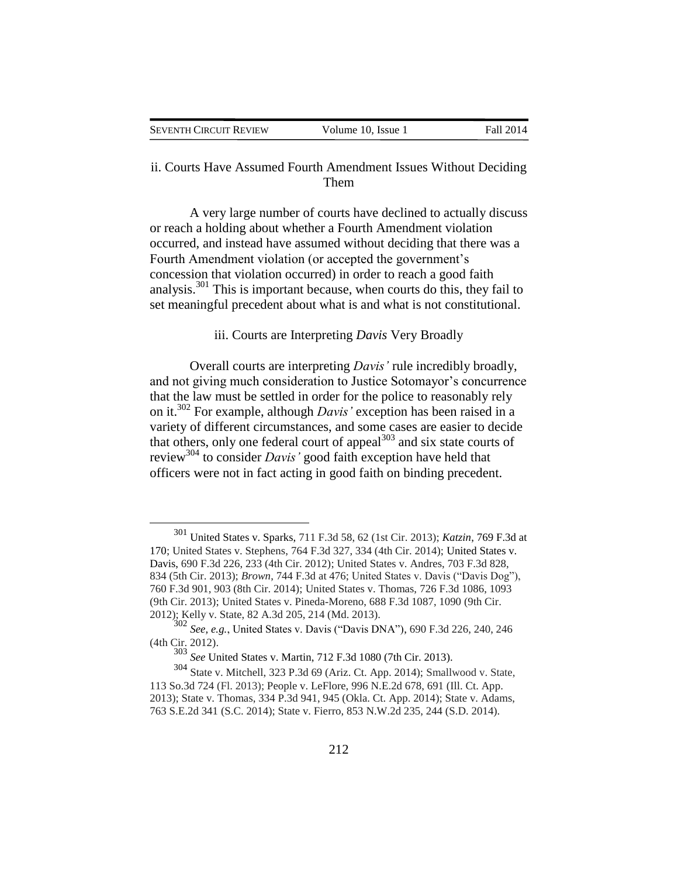| SEVENTH CIRCUIT REVIEW | Volume 10, Issue 1 | Fall 2014 |
|------------------------|--------------------|-----------|

## ii. Courts Have Assumed Fourth Amendment Issues Without Deciding Them

A very large number of courts have declined to actually discuss or reach a holding about whether a Fourth Amendment violation occurred, and instead have assumed without deciding that there was a Fourth Amendment violation (or accepted the government's concession that violation occurred) in order to reach a good faith analysis.<sup>301</sup> This is important because, when courts do this, they fail to set meaningful precedent about what is and what is not constitutional.

iii. Courts are Interpreting *Davis* Very Broadly

Overall courts are interpreting *Davis'* rule incredibly broadly, and not giving much consideration to Justice Sotomayor's concurrence that the law must be settled in order for the police to reasonably rely on it.<sup>302</sup> For example, although *Davis'* exception has been raised in a variety of different circumstances, and some cases are easier to decide that others, only one federal court of appeal $^{303}$  and six state courts of review<sup>304</sup> to consider *Davis'* good faith exception have held that officers were not in fact acting in good faith on binding precedent.

<sup>301</sup> United States v. Sparks, 711 F.3d 58, 62 (1st Cir. 2013); *Katzin*, 769 F.3d at 170; United States v. Stephens, 764 F.3d 327, 334 (4th Cir. 2014); United States v. Davis, 690 F.3d 226, 233 (4th Cir. 2012); United States v. Andres, 703 F.3d 828, 834 (5th Cir. 2013); *Brown*, 744 F.3d at 476; United States v. Davis ("Davis Dog"), 760 F.3d 901, 903 (8th Cir. 2014); United States v. Thomas, 726 F.3d 1086, 1093 (9th Cir. 2013); United States v. Pineda-Moreno, 688 F.3d 1087, 1090 (9th Cir. 2012); Kelly v. State, 82 A.3d 205, 214 (Md. 2013).

<sup>302</sup> *See, e.g.*, United States v. Davis ("Davis DNA"), 690 F.3d 226, 240, 246 (4th Cir. 2012).

<sup>303</sup> *See* United States v. Martin, 712 F.3d 1080 (7th Cir. 2013).

<sup>304</sup> State v. Mitchell, 323 P.3d 69 (Ariz. Ct. App. 2014); Smallwood v. State, 113 So.3d 724 (Fl. 2013); People v. LeFlore, 996 N.E.2d 678, 691 (Ill. Ct. App. 2013); State v. Thomas, 334 P.3d 941, 945 (Okla. Ct. App. 2014); State v. Adams, 763 S.E.2d 341 (S.C. 2014); State v. Fierro, 853 N.W.2d 235, 244 (S.D. 2014).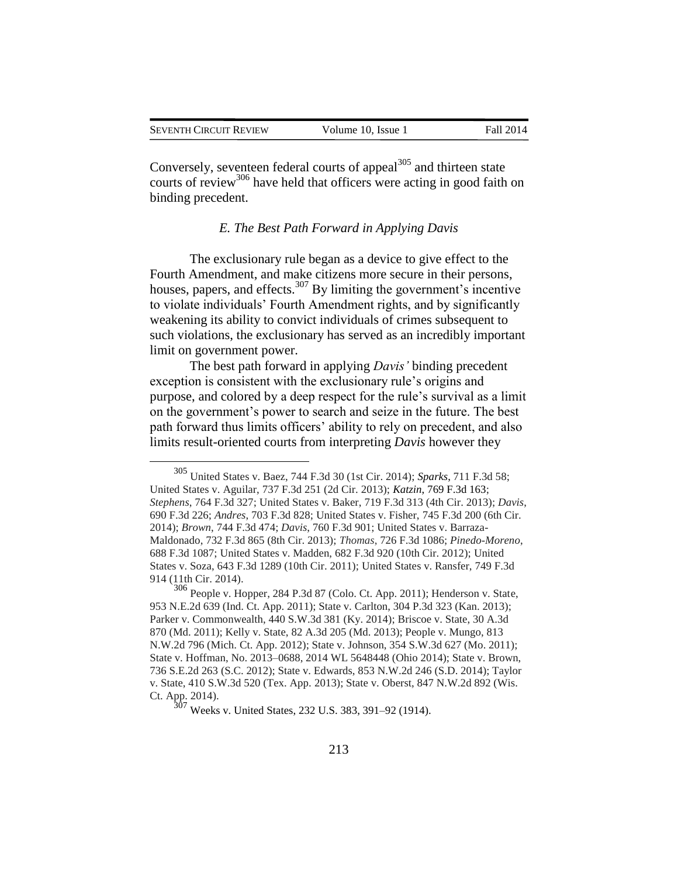| SEVENTH CIRCUIT REVIEW | Volume 10. Issue 1 | Fall 2014 |
|------------------------|--------------------|-----------|
|                        |                    |           |

Conversely, seventeen federal courts of appeal $305$  and thirteen state courts of review<sup>306</sup> have held that officers were acting in good faith on binding precedent.

## *E. The Best Path Forward in Applying Davis*

The exclusionary rule began as a device to give effect to the Fourth Amendment, and make citizens more secure in their persons, houses, papers, and effects.<sup>307</sup> By limiting the government's incentive to violate individuals' Fourth Amendment rights, and by significantly weakening its ability to convict individuals of crimes subsequent to such violations, the exclusionary has served as an incredibly important limit on government power.

The best path forward in applying *Davis'* binding precedent exception is consistent with the exclusionary rule's origins and purpose, and colored by a deep respect for the rule's survival as a limit on the government's power to search and seize in the future. The best path forward thus limits officers' ability to rely on precedent, and also limits result-oriented courts from interpreting *Davis* however they

<sup>305</sup> United States v. Baez, 744 F.3d 30 (1st Cir. 2014); *Sparks*, 711 F.3d 58; United States v. Aguilar, 737 F.3d 251 (2d Cir. 2013); *Katzin*, 769 F.3d 163; *Stephens*, 764 F.3d 327; United States v. Baker, 719 F.3d 313 (4th Cir. 2013); *Davis*, 690 F.3d 226; *Andres*, 703 F.3d 828; United States v. Fisher, 745 F.3d 200 (6th Cir. 2014); *Brown*, 744 F.3d 474; *Davis*, 760 F.3d 901; United States v. Barraza-Maldonado, 732 F.3d 865 (8th Cir. 2013); *Thomas*, 726 F.3d 1086; *Pinedo-Moreno*, 688 F.3d 1087; United States v. Madden, 682 F.3d 920 (10th Cir. 2012); United States v. Soza, 643 F.3d 1289 (10th Cir. 2011); United States v. Ransfer, 749 F.3d 914 (11th Cir. 2014).

<sup>306</sup> People v. Hopper, 284 P.3d 87 (Colo. Ct. App. 2011); Henderson v. State, 953 N.E.2d 639 (Ind. Ct. App. 2011); State v. Carlton, 304 P.3d 323 (Kan. 2013); Parker v. Commonwealth, 440 S.W.3d 381 (Ky. 2014); Briscoe v. State, 30 A.3d 870 (Md. 2011); Kelly v. State, 82 A.3d 205 (Md. 2013); People v. Mungo, 813 N.W.2d 796 (Mich. Ct. App. 2012); State v. Johnson, 354 S.W.3d 627 (Mo. 2011); State v. Hoffman, No. 2013–0688, 2014 WL 5648448 (Ohio 2014); State v. Brown, 736 S.E.2d 263 (S.C. 2012); State v. Edwards, 853 N.W.2d 246 (S.D. 2014); Taylor v. State, 410 S.W.3d 520 (Tex. App. 2013); State v. Oberst, 847 N.W.2d 892 (Wis. Ct. App. 2014).

<sup>307</sup> Weeks v. United States, 232 U.S. 383, 391–92 (1914).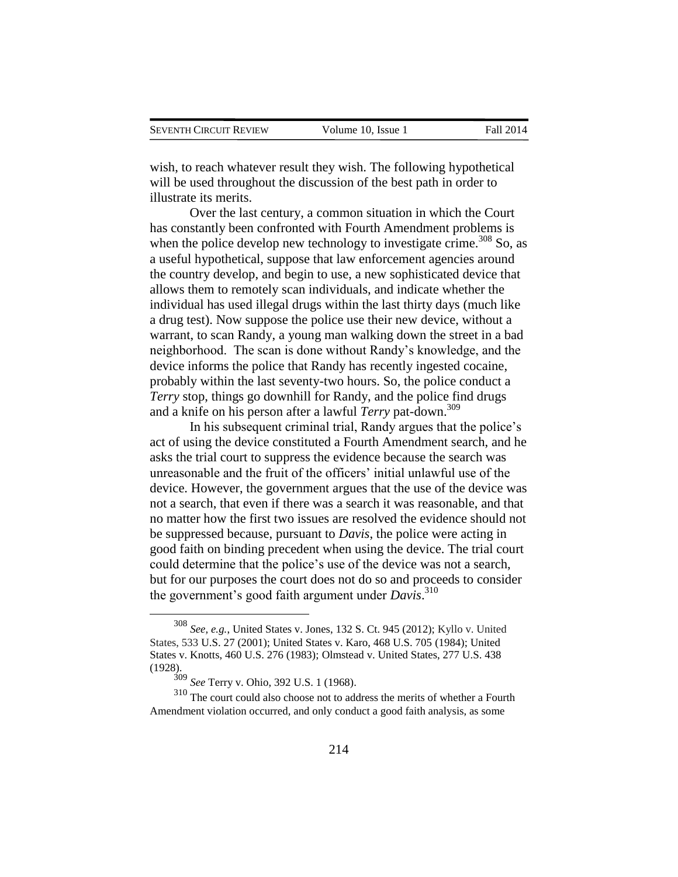wish, to reach whatever result they wish. The following hypothetical will be used throughout the discussion of the best path in order to illustrate its merits.

Over the last century, a common situation in which the Court has constantly been confronted with Fourth Amendment problems is when the police develop new technology to investigate crime.<sup>308</sup> So, as a useful hypothetical, suppose that law enforcement agencies around the country develop, and begin to use, a new sophisticated device that allows them to remotely scan individuals, and indicate whether the individual has used illegal drugs within the last thirty days (much like a drug test). Now suppose the police use their new device, without a warrant, to scan Randy, a young man walking down the street in a bad neighborhood. The scan is done without Randy's knowledge, and the device informs the police that Randy has recently ingested cocaine, probably within the last seventy-two hours. So, the police conduct a *Terry* stop, things go downhill for Randy, and the police find drugs and a knife on his person after a lawful *Terry* pat-down.<sup>309</sup>

In his subsequent criminal trial, Randy argues that the police's act of using the device constituted a Fourth Amendment search, and he asks the trial court to suppress the evidence because the search was unreasonable and the fruit of the officers' initial unlawful use of the device. However, the government argues that the use of the device was not a search, that even if there was a search it was reasonable, and that no matter how the first two issues are resolved the evidence should not be suppressed because, pursuant to *Davis*, the police were acting in good faith on binding precedent when using the device. The trial court could determine that the police's use of the device was not a search, but for our purposes the court does not do so and proceeds to consider the government's good faith argument under *Davis*. 310

<sup>308</sup> *See, e.g.*, United States v. Jones, 132 S. Ct. 945 (2012); Kyllo v. United States, 533 U.S. 27 (2001); United States v. Karo, 468 U.S. 705 (1984); United States v. Knotts, 460 U.S. 276 (1983); Olmstead v. United States, 277 U.S. 438 (1928).

<sup>309</sup> *See* Terry v. Ohio, 392 U.S. 1 (1968).

<sup>&</sup>lt;sup>310</sup> The court could also choose not to address the merits of whether a Fourth Amendment violation occurred, and only conduct a good faith analysis, as some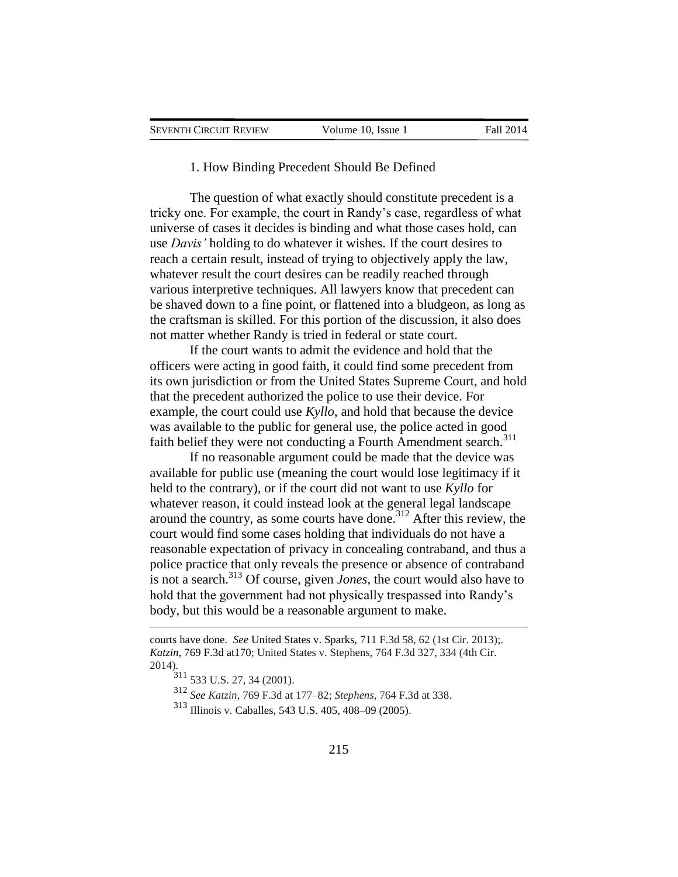#### 1. How Binding Precedent Should Be Defined

The question of what exactly should constitute precedent is a tricky one. For example, the court in Randy's case, regardless of what universe of cases it decides is binding and what those cases hold, can use *Davis'* holding to do whatever it wishes. If the court desires to reach a certain result, instead of trying to objectively apply the law, whatever result the court desires can be readily reached through various interpretive techniques. All lawyers know that precedent can be shaved down to a fine point, or flattened into a bludgeon, as long as the craftsman is skilled. For this portion of the discussion, it also does not matter whether Randy is tried in federal or state court.

If the court wants to admit the evidence and hold that the officers were acting in good faith, it could find some precedent from its own jurisdiction or from the United States Supreme Court, and hold that the precedent authorized the police to use their device. For example, the court could use *Kyllo*, and hold that because the device was available to the public for general use, the police acted in good faith belief they were not conducting a Fourth Amendment search.<sup>311</sup>

If no reasonable argument could be made that the device was available for public use (meaning the court would lose legitimacy if it held to the contrary), or if the court did not want to use *Kyllo* for whatever reason, it could instead look at the general legal landscape around the country, as some courts have done.<sup>312</sup> After this review, the court would find some cases holding that individuals do not have a reasonable expectation of privacy in concealing contraband, and thus a police practice that only reveals the presence or absence of contraband is not a search.<sup>313</sup> Of course, given *Jones*, the court would also have to hold that the government had not physically trespassed into Randy's body, but this would be a reasonable argument to make.

 $\overline{a}$ 

<sup>312</sup> *See Katzin*, 769 F.3d at 177–82; *Stephens*, 764 F.3d at 338.

<sup>313</sup> Illinois v. Caballes, 543 U.S. 405, 408–09 (2005).

courts have done. *See* United States v. Sparks, 711 F.3d 58, 62 (1st Cir. 2013);*. Katzin*, 769 F.3d at170; United States v. Stephens, 764 F.3d 327, 334 (4th Cir. 2014).

<sup>311</sup> 533 U.S. 27, 34 (2001).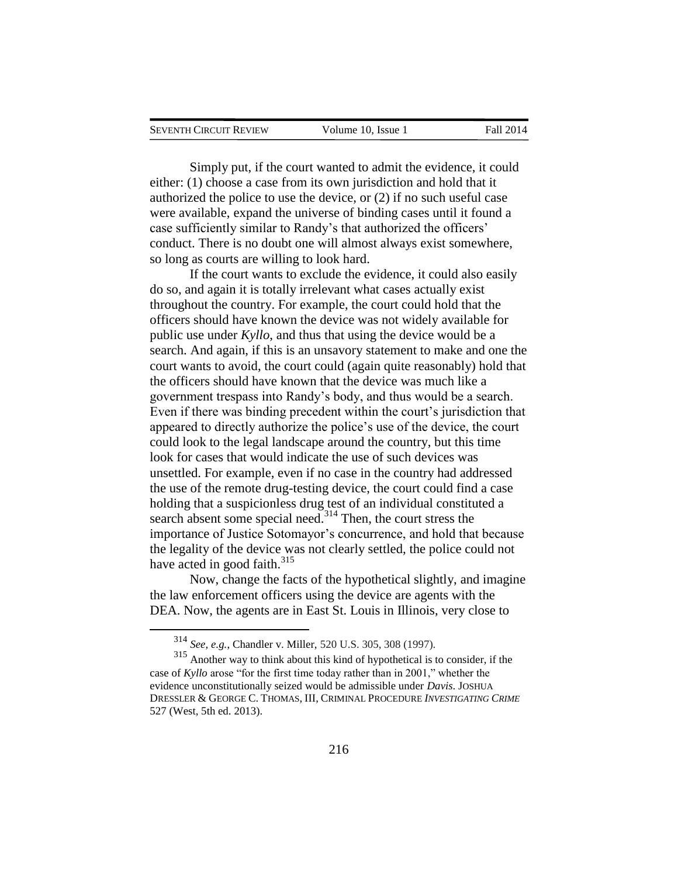| SEVENTH CIRCUIT REVIEW | Volume 10. Issue 1 | <b>Fall 2014</b> |
|------------------------|--------------------|------------------|
|                        |                    |                  |

Simply put, if the court wanted to admit the evidence, it could either: (1) choose a case from its own jurisdiction and hold that it authorized the police to use the device, or (2) if no such useful case were available, expand the universe of binding cases until it found a case sufficiently similar to Randy's that authorized the officers' conduct. There is no doubt one will almost always exist somewhere, so long as courts are willing to look hard.

If the court wants to exclude the evidence, it could also easily do so, and again it is totally irrelevant what cases actually exist throughout the country. For example, the court could hold that the officers should have known the device was not widely available for public use under *Kyllo*, and thus that using the device would be a search. And again, if this is an unsavory statement to make and one the court wants to avoid, the court could (again quite reasonably) hold that the officers should have known that the device was much like a government trespass into Randy's body, and thus would be a search. Even if there was binding precedent within the court's jurisdiction that appeared to directly authorize the police's use of the device, the court could look to the legal landscape around the country, but this time look for cases that would indicate the use of such devices was unsettled. For example, even if no case in the country had addressed the use of the remote drug-testing device, the court could find a case holding that a suspicionless drug test of an individual constituted a search absent some special need.<sup>314</sup> Then, the court stress the importance of Justice Sotomayor's concurrence, and hold that because the legality of the device was not clearly settled, the police could not have acted in good faith. $315$ 

Now, change the facts of the hypothetical slightly, and imagine the law enforcement officers using the device are agents with the DEA. Now, the agents are in East St. Louis in Illinois, very close to

<sup>314</sup> *See, e.g.*, Chandler v. Miller, 520 U.S. 305, 308 (1997).

<sup>315</sup> Another way to think about this kind of hypothetical is to consider, if the case of *Kyllo* arose "for the first time today rather than in 2001," whether the evidence unconstitutionally seized would be admissible under *Davis*. JOSHUA DRESSLER & GEORGE C. THOMAS, III, CRIMINAL PROCEDURE *INVESTIGATING CRIME* 527 (West, 5th ed. 2013).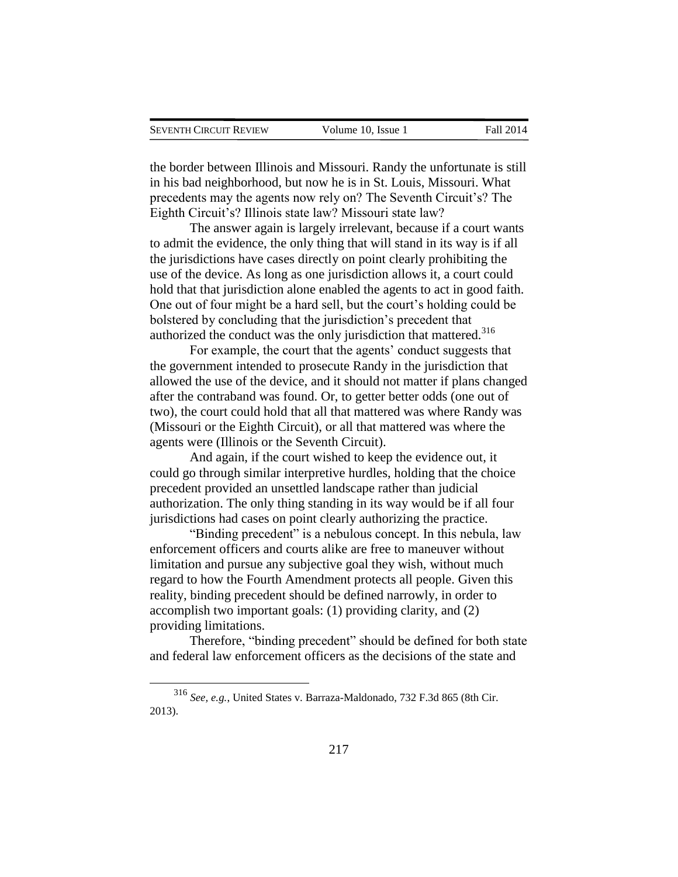$\overline{a}$ 

the border between Illinois and Missouri. Randy the unfortunate is still in his bad neighborhood, but now he is in St. Louis, Missouri. What precedents may the agents now rely on? The Seventh Circuit's? The Eighth Circuit's? Illinois state law? Missouri state law?

The answer again is largely irrelevant, because if a court wants to admit the evidence, the only thing that will stand in its way is if all the jurisdictions have cases directly on point clearly prohibiting the use of the device. As long as one jurisdiction allows it, a court could hold that that jurisdiction alone enabled the agents to act in good faith. One out of four might be a hard sell, but the court's holding could be bolstered by concluding that the jurisdiction's precedent that authorized the conduct was the only jurisdiction that mattered.<sup>316</sup>

For example, the court that the agents' conduct suggests that the government intended to prosecute Randy in the jurisdiction that allowed the use of the device, and it should not matter if plans changed after the contraband was found. Or, to getter better odds (one out of two), the court could hold that all that mattered was where Randy was (Missouri or the Eighth Circuit), or all that mattered was where the agents were (Illinois or the Seventh Circuit).

And again, if the court wished to keep the evidence out, it could go through similar interpretive hurdles, holding that the choice precedent provided an unsettled landscape rather than judicial authorization. The only thing standing in its way would be if all four jurisdictions had cases on point clearly authorizing the practice.

"Binding precedent" is a nebulous concept. In this nebula, law enforcement officers and courts alike are free to maneuver without limitation and pursue any subjective goal they wish, without much regard to how the Fourth Amendment protects all people. Given this reality, binding precedent should be defined narrowly, in order to accomplish two important goals: (1) providing clarity, and (2) providing limitations.

Therefore, "binding precedent" should be defined for both state and federal law enforcement officers as the decisions of the state and

<sup>316</sup> *See, e.g.*, United States v. Barraza-Maldonado, 732 F.3d 865 (8th Cir. 2013).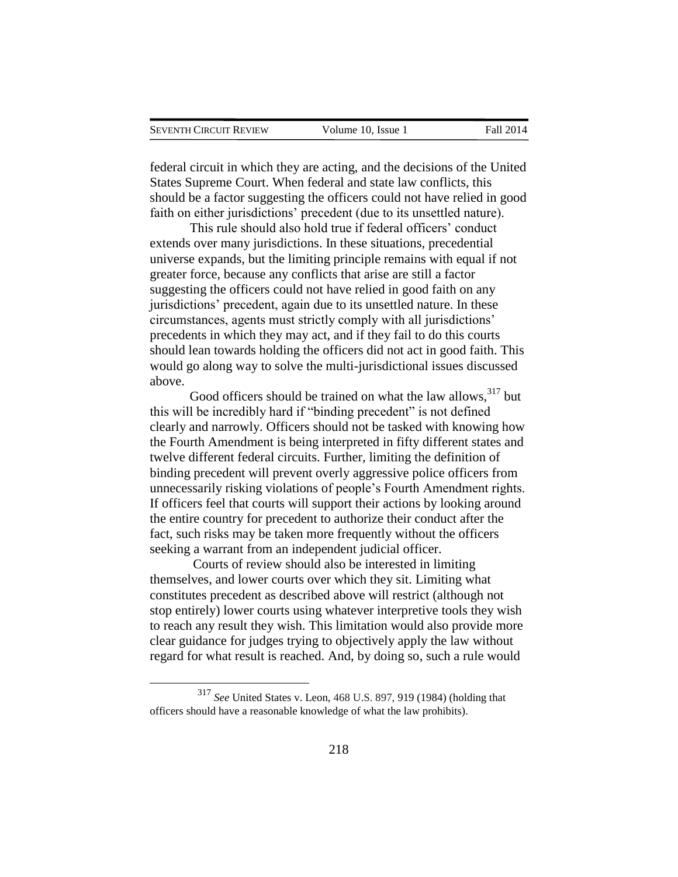$\overline{a}$ 

federal circuit in which they are acting, and the decisions of the United States Supreme Court. When federal and state law conflicts, this should be a factor suggesting the officers could not have relied in good faith on either jurisdictions' precedent (due to its unsettled nature).

This rule should also hold true if federal officers' conduct extends over many jurisdictions. In these situations, precedential universe expands, but the limiting principle remains with equal if not greater force, because any conflicts that arise are still a factor suggesting the officers could not have relied in good faith on any jurisdictions' precedent, again due to its unsettled nature. In these circumstances, agents must strictly comply with all jurisdictions' precedents in which they may act, and if they fail to do this courts should lean towards holding the officers did not act in good faith. This would go along way to solve the multi-jurisdictional issues discussed above.

Good officers should be trained on what the law allows,  $317$  but this will be incredibly hard if "binding precedent" is not defined clearly and narrowly. Officers should not be tasked with knowing how the Fourth Amendment is being interpreted in fifty different states and twelve different federal circuits. Further, limiting the definition of binding precedent will prevent overly aggressive police officers from unnecessarily risking violations of people's Fourth Amendment rights. If officers feel that courts will support their actions by looking around the entire country for precedent to authorize their conduct after the fact, such risks may be taken more frequently without the officers seeking a warrant from an independent judicial officer.

Courts of review should also be interested in limiting themselves, and lower courts over which they sit. Limiting what constitutes precedent as described above will restrict (although not stop entirely) lower courts using whatever interpretive tools they wish to reach any result they wish. This limitation would also provide more clear guidance for judges trying to objectively apply the law without regard for what result is reached. And, by doing so, such a rule would

<sup>317</sup> *See* United States v. Leon, 468 U.S. 897, 919 (1984) (holding that officers should have a reasonable knowledge of what the law prohibits).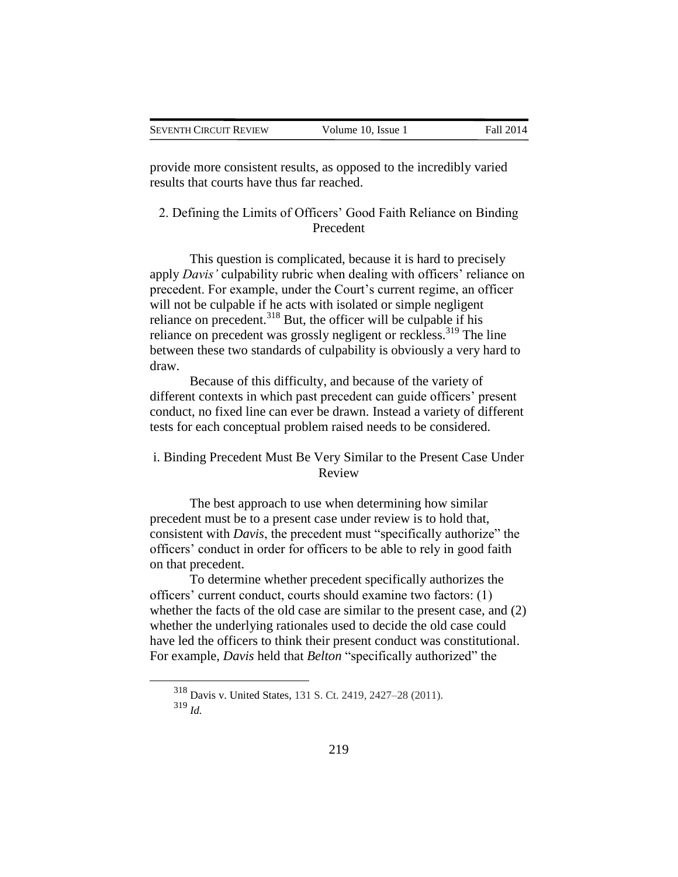| <b>SEVENTH CIRCUIT REVIEW</b> | Volume 10, Issue 1 | Fall 2014 |
|-------------------------------|--------------------|-----------|

provide more consistent results, as opposed to the incredibly varied results that courts have thus far reached.

2. Defining the Limits of Officers' Good Faith Reliance on Binding Precedent

This question is complicated, because it is hard to precisely apply *Davis'* culpability rubric when dealing with officers' reliance on precedent. For example, under the Court's current regime, an officer will not be culpable if he acts with isolated or simple negligent reliance on precedent.<sup>318</sup> But, the officer will be culpable if his reliance on precedent was grossly negligent or reckless.<sup>319</sup> The line between these two standards of culpability is obviously a very hard to draw.

Because of this difficulty, and because of the variety of different contexts in which past precedent can guide officers' present conduct, no fixed line can ever be drawn. Instead a variety of different tests for each conceptual problem raised needs to be considered.

## i. Binding Precedent Must Be Very Similar to the Present Case Under Review

The best approach to use when determining how similar precedent must be to a present case under review is to hold that, consistent with *Davis*, the precedent must "specifically authorize" the officers' conduct in order for officers to be able to rely in good faith on that precedent.

To determine whether precedent specifically authorizes the officers' current conduct, courts should examine two factors: (1) whether the facts of the old case are similar to the present case, and (2) whether the underlying rationales used to decide the old case could have led the officers to think their present conduct was constitutional. For example, *Davis* held that *Belton* "specifically authorized" the

<sup>318</sup> Davis v. United States, 131 S. Ct. 2419, 2427–28 (2011).

<sup>319</sup> *Id.*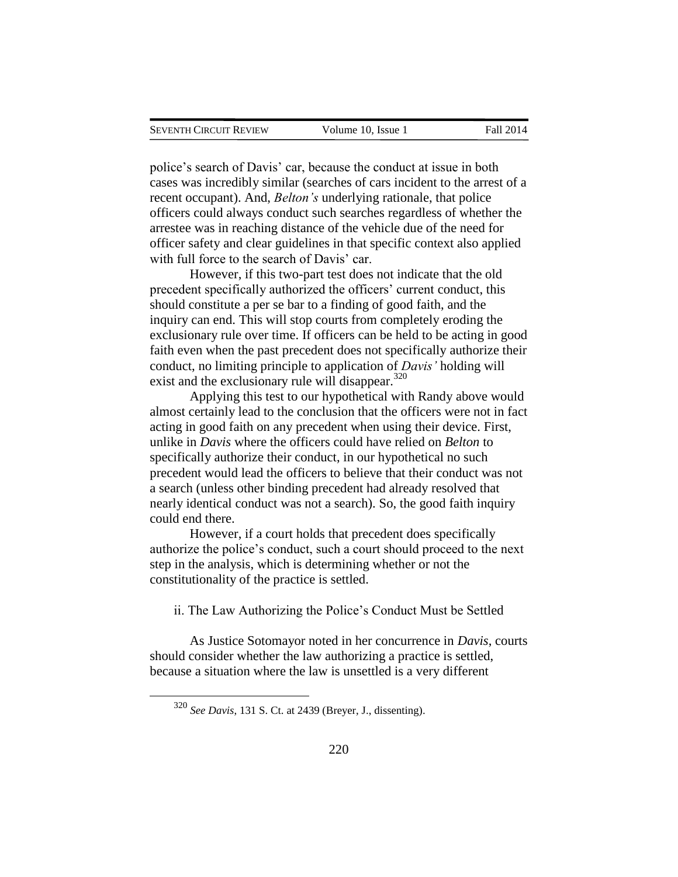police's search of Davis' car, because the conduct at issue in both cases was incredibly similar (searches of cars incident to the arrest of a recent occupant). And, *Belton's* underlying rationale, that police officers could always conduct such searches regardless of whether the arrestee was in reaching distance of the vehicle due of the need for officer safety and clear guidelines in that specific context also applied with full force to the search of Davis' car.

However, if this two-part test does not indicate that the old precedent specifically authorized the officers' current conduct, this should constitute a per se bar to a finding of good faith, and the inquiry can end. This will stop courts from completely eroding the exclusionary rule over time. If officers can be held to be acting in good faith even when the past precedent does not specifically authorize their conduct, no limiting principle to application of *Davis'* holding will exist and the exclusionary rule will disappear. $320$ 

Applying this test to our hypothetical with Randy above would almost certainly lead to the conclusion that the officers were not in fact acting in good faith on any precedent when using their device. First, unlike in *Davis* where the officers could have relied on *Belton* to specifically authorize their conduct, in our hypothetical no such precedent would lead the officers to believe that their conduct was not a search (unless other binding precedent had already resolved that nearly identical conduct was not a search). So, the good faith inquiry could end there.

However, if a court holds that precedent does specifically authorize the police's conduct, such a court should proceed to the next step in the analysis, which is determining whether or not the constitutionality of the practice is settled.

ii. The Law Authorizing the Police's Conduct Must be Settled

As Justice Sotomayor noted in her concurrence in *Davis*, courts should consider whether the law authorizing a practice is settled, because a situation where the law is unsettled is a very different

<sup>320</sup> *See Davis*, 131 S. Ct. at 2439 (Breyer, J., dissenting).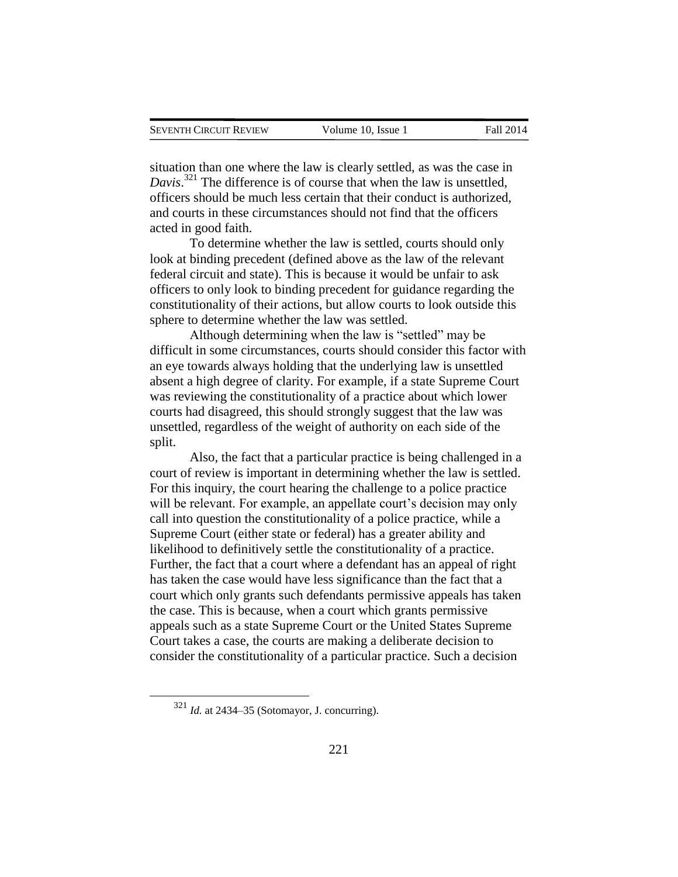situation than one where the law is clearly settled, as was the case in *Davis*. <sup>321</sup> The difference is of course that when the law is unsettled, officers should be much less certain that their conduct is authorized, and courts in these circumstances should not find that the officers acted in good faith.

To determine whether the law is settled, courts should only look at binding precedent (defined above as the law of the relevant federal circuit and state). This is because it would be unfair to ask officers to only look to binding precedent for guidance regarding the constitutionality of their actions, but allow courts to look outside this sphere to determine whether the law was settled.

Although determining when the law is "settled" may be difficult in some circumstances, courts should consider this factor with an eye towards always holding that the underlying law is unsettled absent a high degree of clarity. For example, if a state Supreme Court was reviewing the constitutionality of a practice about which lower courts had disagreed, this should strongly suggest that the law was unsettled, regardless of the weight of authority on each side of the split.

Also, the fact that a particular practice is being challenged in a court of review is important in determining whether the law is settled. For this inquiry, the court hearing the challenge to a police practice will be relevant. For example, an appellate court's decision may only call into question the constitutionality of a police practice, while a Supreme Court (either state or federal) has a greater ability and likelihood to definitively settle the constitutionality of a practice. Further, the fact that a court where a defendant has an appeal of right has taken the case would have less significance than the fact that a court which only grants such defendants permissive appeals has taken the case. This is because, when a court which grants permissive appeals such as a state Supreme Court or the United States Supreme Court takes a case, the courts are making a deliberate decision to consider the constitutionality of a particular practice. Such a decision

<sup>321</sup> *Id.* at 2434–35 (Sotomayor, J. concurring).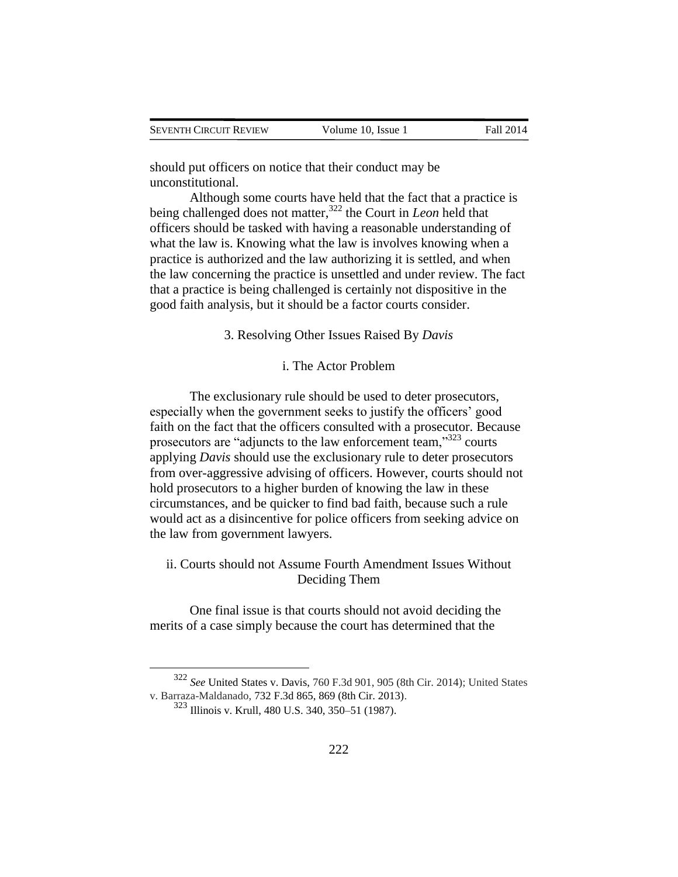should put officers on notice that their conduct may be unconstitutional.

Although some courts have held that the fact that a practice is being challenged does not matter,<sup>322</sup> the Court in *Leon* held that officers should be tasked with having a reasonable understanding of what the law is. Knowing what the law is involves knowing when a practice is authorized and the law authorizing it is settled, and when the law concerning the practice is unsettled and under review. The fact that a practice is being challenged is certainly not dispositive in the good faith analysis, but it should be a factor courts consider.

3. Resolving Other Issues Raised By *Davis*

### i. The Actor Problem

The exclusionary rule should be used to deter prosecutors, especially when the government seeks to justify the officers' good faith on the fact that the officers consulted with a prosecutor. Because prosecutors are "adjuncts to the law enforcement team,"<sup>323</sup> courts applying *Davis* should use the exclusionary rule to deter prosecutors from over-aggressive advising of officers. However, courts should not hold prosecutors to a higher burden of knowing the law in these circumstances, and be quicker to find bad faith, because such a rule would act as a disincentive for police officers from seeking advice on the law from government lawyers.

## ii. Courts should not Assume Fourth Amendment Issues Without Deciding Them

One final issue is that courts should not avoid deciding the merits of a case simply because the court has determined that the

<sup>322</sup> *See* United States v. Davis, 760 F.3d 901, 905 (8th Cir. 2014); United States v. Barraza-Maldanado, 732 F.3d 865, 869 (8th Cir. 2013).

<sup>323</sup> Illinois v. Krull, 480 U.S. 340, 350–51 (1987).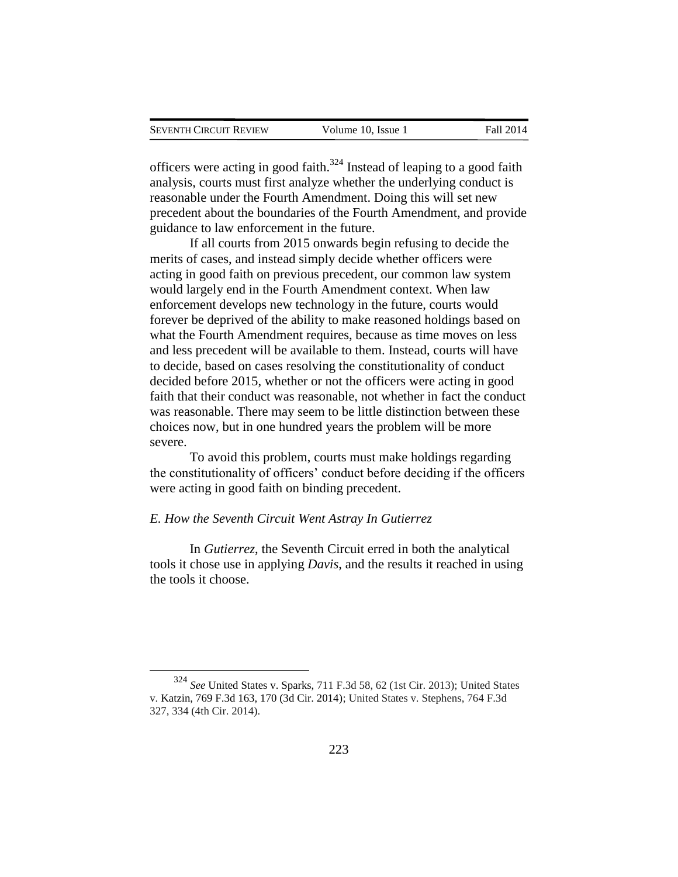officers were acting in good faith.<sup>324</sup> Instead of leaping to a good faith analysis, courts must first analyze whether the underlying conduct is reasonable under the Fourth Amendment. Doing this will set new precedent about the boundaries of the Fourth Amendment, and provide guidance to law enforcement in the future.

If all courts from 2015 onwards begin refusing to decide the merits of cases, and instead simply decide whether officers were acting in good faith on previous precedent, our common law system would largely end in the Fourth Amendment context. When law enforcement develops new technology in the future, courts would forever be deprived of the ability to make reasoned holdings based on what the Fourth Amendment requires, because as time moves on less and less precedent will be available to them. Instead, courts will have to decide, based on cases resolving the constitutionality of conduct decided before 2015, whether or not the officers were acting in good faith that their conduct was reasonable, not whether in fact the conduct was reasonable. There may seem to be little distinction between these choices now, but in one hundred years the problem will be more severe.

To avoid this problem, courts must make holdings regarding the constitutionality of officers' conduct before deciding if the officers were acting in good faith on binding precedent.

#### *E. How the Seventh Circuit Went Astray In Gutierrez*

 $\overline{a}$ 

In *Gutierrez*, the Seventh Circuit erred in both the analytical tools it chose use in applying *Davis*, and the results it reached in using the tools it choose.

<sup>324</sup> *See* United States v. Sparks, 711 F.3d 58, 62 (1st Cir. 2013); United States v. Katzin, 769 F.3d 163, 170 (3d Cir. 2014); United States v. Stephens, 764 F.3d 327, 334 (4th Cir. 2014).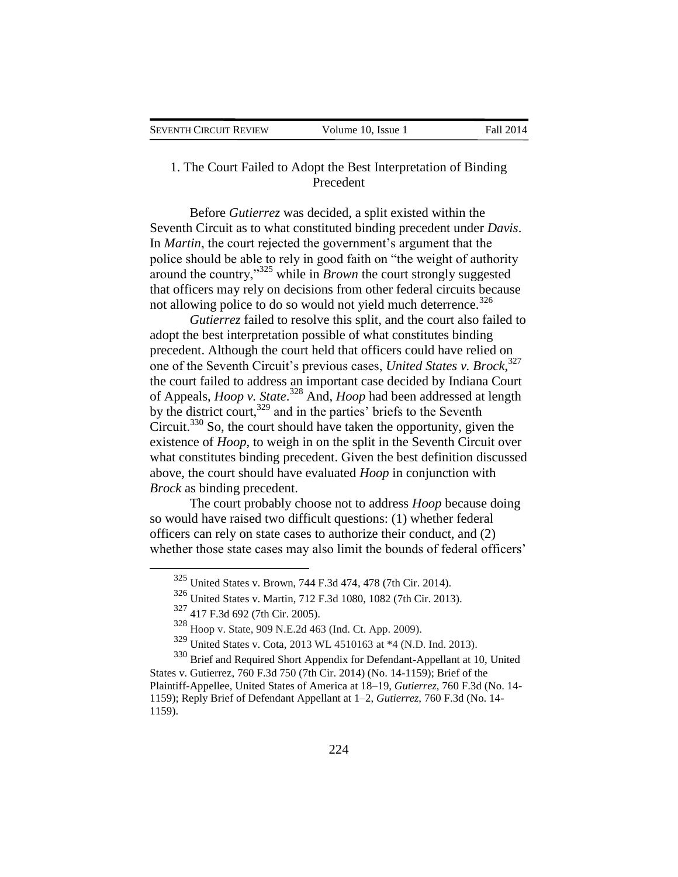| SEVENTH CIRCUIT REVIEW | Volume 10, Issue 1 | Fall 2014 |
|------------------------|--------------------|-----------|
|                        |                    |           |

## 1. The Court Failed to Adopt the Best Interpretation of Binding Precedent

Before *Gutierrez* was decided, a split existed within the Seventh Circuit as to what constituted binding precedent under *Davis*. In *Martin*, the court rejected the government's argument that the police should be able to rely in good faith on "the weight of authority around the country,"<sup>325</sup> while in *Brown* the court strongly suggested that officers may rely on decisions from other federal circuits because not allowing police to do so would not yield much deterrence.<sup>326</sup>

*Gutierrez* failed to resolve this split, and the court also failed to adopt the best interpretation possible of what constitutes binding precedent. Although the court held that officers could have relied on one of the Seventh Circuit's previous cases, *United States v. Brock*, 327 the court failed to address an important case decided by Indiana Court of Appeals, *Hoop v. State*. <sup>328</sup> And, *Hoop* had been addressed at length by the district court,<sup>329</sup> and in the parties' briefs to the Seventh Circuit.<sup>330</sup> So, the court should have taken the opportunity, given the existence of *Hoop*, to weigh in on the split in the Seventh Circuit over what constitutes binding precedent. Given the best definition discussed above, the court should have evaluated *Hoop* in conjunction with *Brock* as binding precedent.

The court probably choose not to address *Hoop* because doing so would have raised two difficult questions: (1) whether federal officers can rely on state cases to authorize their conduct, and (2) whether those state cases may also limit the bounds of federal officers'

 $\overline{a}$ 

<sup>330</sup> Brief and Required Short Appendix for Defendant-Appellant at 10, United States v. Gutierrez, 760 F.3d 750 (7th Cir. 2014) (No. 14-1159); Brief of the Plaintiff-Appellee, United States of America at 18–19, *Gutierrez*, 760 F.3d (No. 14- 1159); Reply Brief of Defendant Appellant at 1–2, *Gutierrez*, 760 F.3d (No. 14- 1159).

<sup>325</sup> United States v. Brown, 744 F.3d 474, 478 (7th Cir. 2014).

<sup>326</sup> United States v. Martin, 712 F.3d 1080, 1082 (7th Cir. 2013).

<sup>327</sup> 417 F.3d 692 (7th Cir. 2005).

<sup>328</sup> Hoop v. State, 909 N.E.2d 463 (Ind. Ct. App. 2009).

<sup>329</sup> United States v. Cota, 2013 WL 4510163 at \*4 (N.D. Ind. 2013).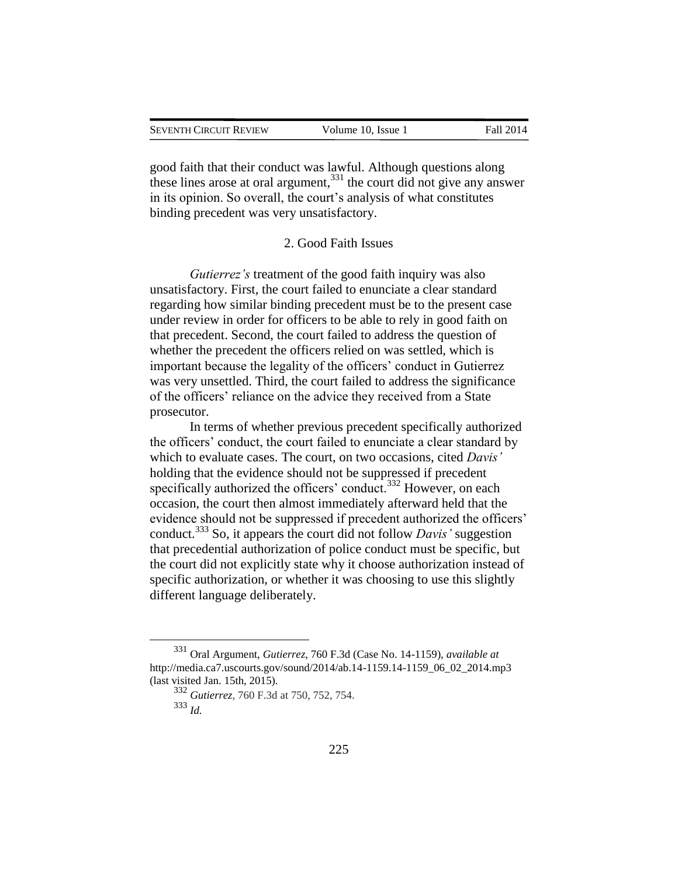| SEVENTH CIRCUIT REVIEW | Volume 10, Issue 1 | Fall 2014 |
|------------------------|--------------------|-----------|
|                        |                    |           |

good faith that their conduct was lawful. Although questions along these lines arose at oral argument,  $331$  the court did not give any answer in its opinion. So overall, the court's analysis of what constitutes binding precedent was very unsatisfactory.

#### 2. Good Faith Issues

*Gutierrez's* treatment of the good faith inquiry was also unsatisfactory. First, the court failed to enunciate a clear standard regarding how similar binding precedent must be to the present case under review in order for officers to be able to rely in good faith on that precedent. Second, the court failed to address the question of whether the precedent the officers relied on was settled, which is important because the legality of the officers' conduct in Gutierrez was very unsettled. Third, the court failed to address the significance of the officers' reliance on the advice they received from a State prosecutor.

In terms of whether previous precedent specifically authorized the officers' conduct, the court failed to enunciate a clear standard by which to evaluate cases. The court, on two occasions, cited *Davis'* holding that the evidence should not be suppressed if precedent specifically authorized the officers' conduct.<sup>332</sup> However, on each occasion, the court then almost immediately afterward held that the evidence should not be suppressed if precedent authorized the officers' conduct.<sup>333</sup> So, it appears the court did not follow *Davis'* suggestion that precedential authorization of police conduct must be specific, but the court did not explicitly state why it choose authorization instead of specific authorization, or whether it was choosing to use this slightly different language deliberately.

<sup>331</sup> Oral Argument, *Gutierrez*, 760 F.3d (Case No. 14-1159), *available at*  http://media.ca7.uscourts.gov/sound/2014/ab.14-1159.14-1159\_06\_02\_2014.mp3 (last visited Jan. 15th, 2015).

<sup>332</sup> *Gutierrez*, 760 F.3d at 750, 752, 754. <sup>333</sup> *Id.*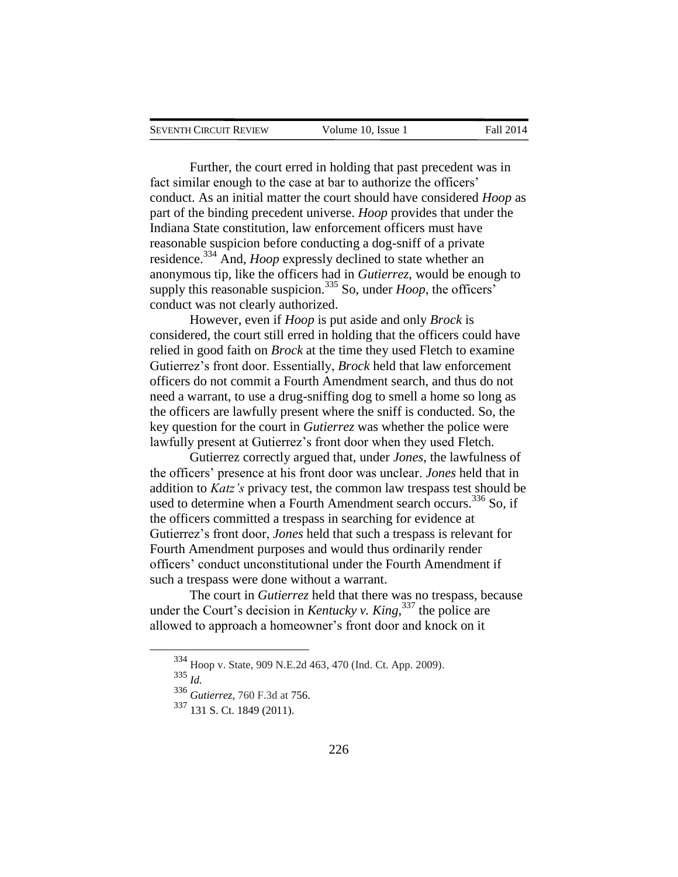|  | SEVENTH CIRCUIT REVIEW | Volume 10. Issue 1 | <b>Fall 2014</b> |
|--|------------------------|--------------------|------------------|
|--|------------------------|--------------------|------------------|

Further, the court erred in holding that past precedent was in fact similar enough to the case at bar to authorize the officers' conduct. As an initial matter the court should have considered *Hoop* as part of the binding precedent universe. *Hoop* provides that under the Indiana State constitution, law enforcement officers must have reasonable suspicion before conducting a dog-sniff of a private residence.<sup>334</sup> And, *Hoop* expressly declined to state whether an anonymous tip, like the officers had in *Gutierrez*, would be enough to supply this reasonable suspicion.<sup>335</sup> So, under *Hoop*, the officers<sup>'</sup> conduct was not clearly authorized.

However, even if *Hoop* is put aside and only *Brock* is considered, the court still erred in holding that the officers could have relied in good faith on *Brock* at the time they used Fletch to examine Gutierrez's front door. Essentially, *Brock* held that law enforcement officers do not commit a Fourth Amendment search, and thus do not need a warrant, to use a drug-sniffing dog to smell a home so long as the officers are lawfully present where the sniff is conducted. So, the key question for the court in *Gutierrez* was whether the police were lawfully present at Gutierrez's front door when they used Fletch.

Gutierrez correctly argued that, under *Jones*, the lawfulness of the officers' presence at his front door was unclear. *Jones* held that in addition to *Katz's* privacy test, the common law trespass test should be used to determine when a Fourth Amendment search occurs.<sup>336</sup> So, if the officers committed a trespass in searching for evidence at Gutierrez's front door, *Jones* held that such a trespass is relevant for Fourth Amendment purposes and would thus ordinarily render officers' conduct unconstitutional under the Fourth Amendment if such a trespass were done without a warrant.

The court in *Gutierrez* held that there was no trespass, because under the Court's decision in *Kentucky v. King*, <sup>337</sup> the police are allowed to approach a homeowner's front door and knock on it

<sup>335</sup> *Id.*

<sup>334</sup> Hoop v. State, 909 N.E.2d 463, 470 (Ind. Ct. App. 2009).

<sup>336</sup> *Gutierrez*, 760 F.3d at 756.

<sup>337</sup> 131 S. Ct. 1849 (2011).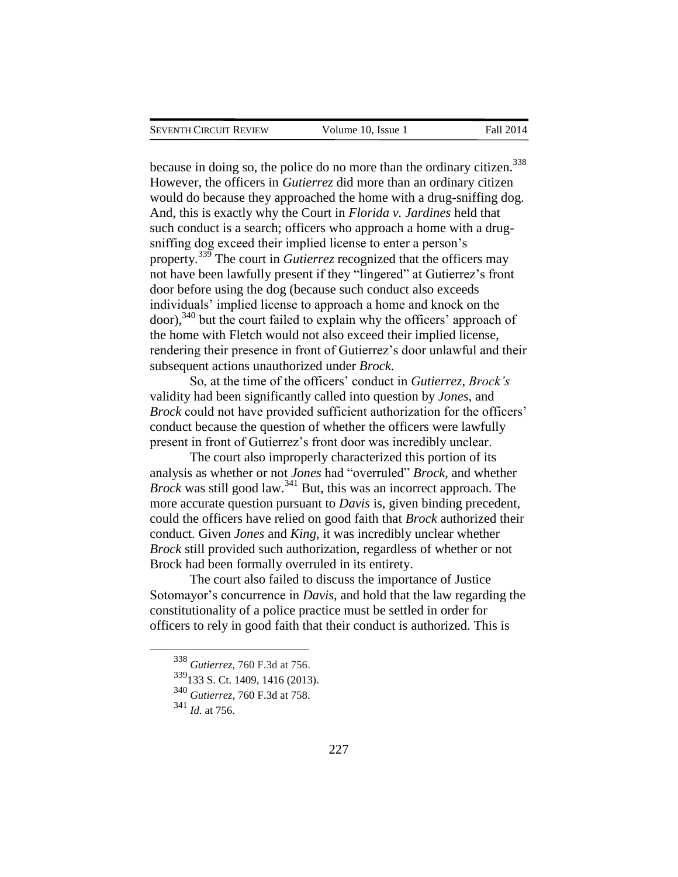because in doing so, the police do no more than the ordinary citizen.<sup>338</sup> However, the officers in *Gutierrez* did more than an ordinary citizen would do because they approached the home with a drug-sniffing dog. And, this is exactly why the Court in *Florida v. Jardines* held that such conduct is a search; officers who approach a home with a drugsniffing dog exceed their implied license to enter a person's property.<sup>339</sup> The court in *Gutierrez* recognized that the officers may not have been lawfully present if they "lingered" at Gutierrez's front door before using the dog (because such conduct also exceeds individuals' implied license to approach a home and knock on the door),<sup>340</sup> but the court failed to explain why the officers' approach of the home with Fletch would not also exceed their implied license, rendering their presence in front of Gutierrez's door unlawful and their subsequent actions unauthorized under *Brock*.

So, at the time of the officers' conduct in *Gutierrez*, *Brock's* validity had been significantly called into question by *Jones*, and *Brock* could not have provided sufficient authorization for the officers' conduct because the question of whether the officers were lawfully present in front of Gutierrez's front door was incredibly unclear.

The court also improperly characterized this portion of its analysis as whether or not *Jones* had "overruled" *Brock*, and whether *Brock* was still good law.<sup>341</sup> But, this was an incorrect approach. The more accurate question pursuant to *Davis* is, given binding precedent, could the officers have relied on good faith that *Brock* authorized their conduct. Given *Jones* and *King*, it was incredibly unclear whether *Brock* still provided such authorization, regardless of whether or not Brock had been formally overruled in its entirety.

The court also failed to discuss the importance of Justice Sotomayor's concurrence in *Davis*, and hold that the law regarding the constitutionality of a police practice must be settled in order for officers to rely in good faith that their conduct is authorized. This is

<sup>338</sup> *Gutierrez*, 760 F.3d at 756.

 $339$ <sub>133</sub> S. Ct. 1409, 1416 (2013).

<sup>340</sup> *Gutierrez*, 760 F.3d at 758.

<sup>341</sup> *Id.* at 756.